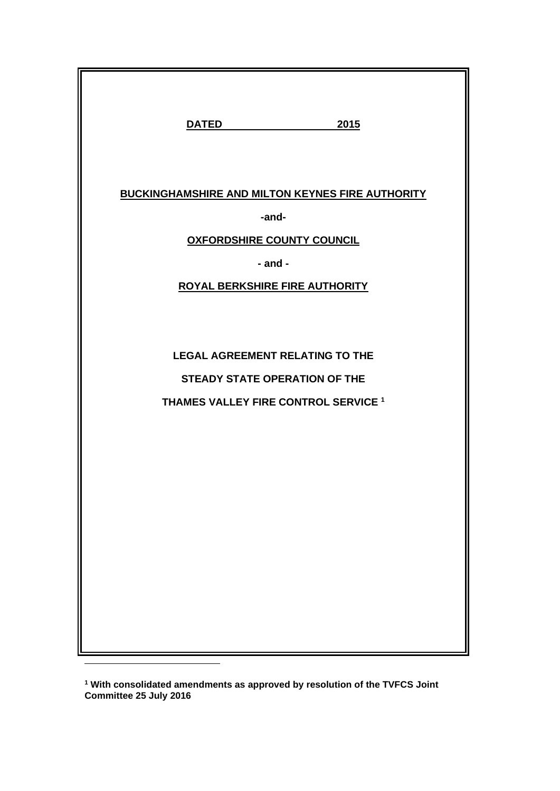| <b>DATED</b><br>2015                                                           |
|--------------------------------------------------------------------------------|
| <b>BUCKINGHAMSHIRE AND MILTON KEYNES FIRE AUTHORITY</b>                        |
| -and-                                                                          |
| <b>OXFORDSHIRE COUNTY COUNCIL</b>                                              |
| $-$ and $-$                                                                    |
| ROYAL BERKSHIRE FIRE AUTHORITY                                                 |
| <b>LEGAL AGREEMENT RELATING TO THE</b><br><b>STEADY STATE OPERATION OF THE</b> |
| THAMES VALLEY FIRE CONTROL SERVICE <sup>1</sup>                                |

**<sup>1</sup> With consolidated amendments as approved by resolution of the TVFCS Joint Committee 25 July 2016**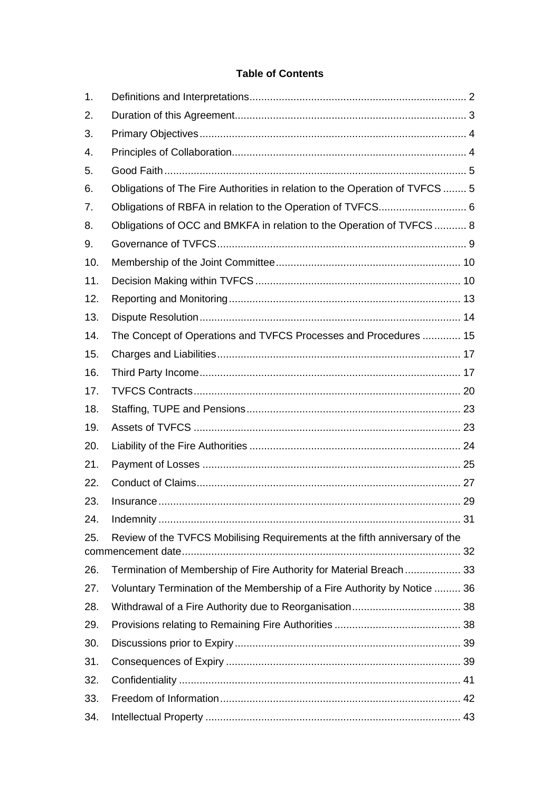# **Table of Contents**

| 1.  |                                                                              |  |
|-----|------------------------------------------------------------------------------|--|
| 2.  |                                                                              |  |
| 3.  |                                                                              |  |
| 4.  |                                                                              |  |
| 5.  |                                                                              |  |
| 6.  | Obligations of The Fire Authorities in relation to the Operation of TVFCS  5 |  |
| 7.  |                                                                              |  |
| 8.  | Obligations of OCC and BMKFA in relation to the Operation of TVFCS  8        |  |
| 9.  |                                                                              |  |
| 10. |                                                                              |  |
| 11. |                                                                              |  |
| 12. |                                                                              |  |
| 13. |                                                                              |  |
| 14. | The Concept of Operations and TVFCS Processes and Procedures  15             |  |
| 15. |                                                                              |  |
| 16. |                                                                              |  |
| 17. |                                                                              |  |
| 18. |                                                                              |  |
| 19. |                                                                              |  |
| 20. |                                                                              |  |
| 21. |                                                                              |  |
| 22. |                                                                              |  |
| 23. |                                                                              |  |
| 24. |                                                                              |  |
| 25. | Review of the TVFCS Mobilising Requirements at the fifth anniversary of the  |  |
|     |                                                                              |  |
| 26. | Termination of Membership of Fire Authority for Material Breach 33           |  |
| 27. | Voluntary Termination of the Membership of a Fire Authority by Notice  36    |  |
| 28. |                                                                              |  |
| 29. |                                                                              |  |
| 30. |                                                                              |  |
| 31. |                                                                              |  |
| 32. |                                                                              |  |
| 33. |                                                                              |  |
| 34. |                                                                              |  |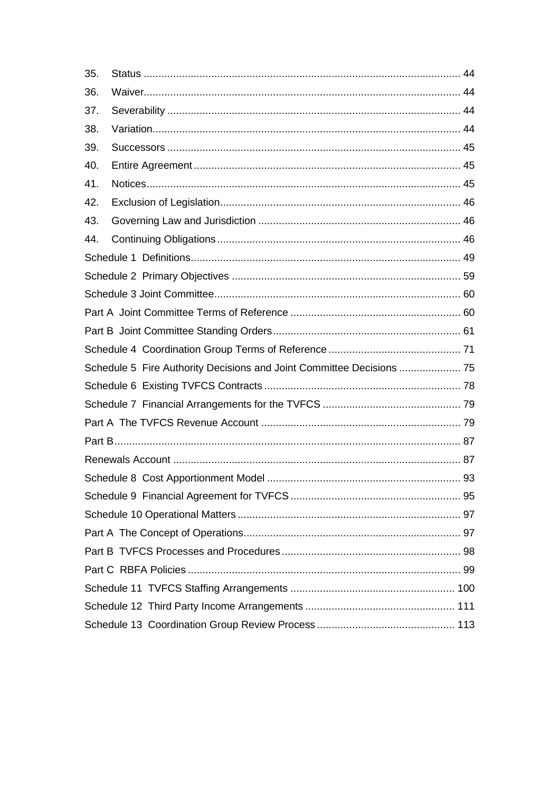| 35.                                                                   |  |
|-----------------------------------------------------------------------|--|
| 36.                                                                   |  |
| 37.                                                                   |  |
| 38.                                                                   |  |
| 39.                                                                   |  |
| 40.                                                                   |  |
| 41.                                                                   |  |
| 42.                                                                   |  |
| 43.                                                                   |  |
| 44.                                                                   |  |
|                                                                       |  |
|                                                                       |  |
|                                                                       |  |
|                                                                       |  |
|                                                                       |  |
|                                                                       |  |
| Schedule 5 Fire Authority Decisions and Joint Committee Decisions  75 |  |
|                                                                       |  |
|                                                                       |  |
|                                                                       |  |
|                                                                       |  |
|                                                                       |  |
|                                                                       |  |
|                                                                       |  |
|                                                                       |  |
|                                                                       |  |
|                                                                       |  |
|                                                                       |  |
|                                                                       |  |
|                                                                       |  |
|                                                                       |  |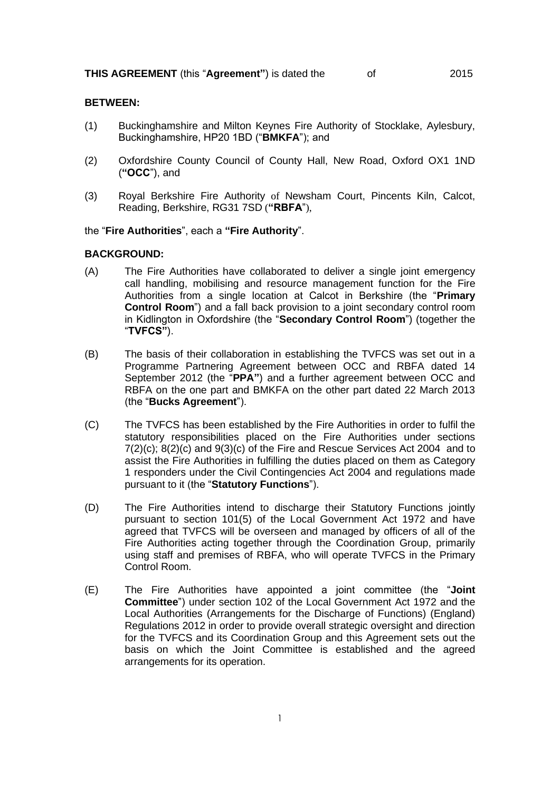#### **BETWEEN:**

- (1) Buckinghamshire and Milton Keynes Fire Authority of Stocklake, Aylesbury, Buckinghamshire, HP20 1BD ("**BMKFA**"); and
- (2) Oxfordshire County Council of County Hall, New Road, Oxford OX1 1ND (**"OCC**"), and
- (3) Royal Berkshire Fire Authority of Newsham Court, Pincents Kiln, Calcot, Reading, Berkshire, RG31 7SD (**"RBFA**"),

#### the "**Fire Authorities**", each a **"Fire Authority**".

#### **BACKGROUND:**

- (A) The Fire Authorities have collaborated to deliver a single joint emergency call handling, mobilising and resource management function for the Fire Authorities from a single location at Calcot in Berkshire (the "**Primary Control Room**") and a fall back provision to a joint secondary control room in Kidlington in Oxfordshire (the "**Secondary Control Room**") (together the "**TVFCS"**).
- (B) The basis of their collaboration in establishing the TVFCS was set out in a Programme Partnering Agreement between OCC and RBFA dated 14 September 2012 (the "**PPA"**) and a further agreement between OCC and RBFA on the one part and BMKFA on the other part dated 22 March 2013 (the "**Bucks Agreement**").
- (C) The TVFCS has been established by the Fire Authorities in order to fulfil the statutory responsibilities placed on the Fire Authorities under sections 7(2)(c); 8(2)(c) and 9(3)(c) of the Fire and Rescue Services Act 2004 and to assist the Fire Authorities in fulfilling the duties placed on them as Category 1 responders under the Civil Contingencies Act 2004 and regulations made pursuant to it (the "**Statutory Functions**").
- (D) The Fire Authorities intend to discharge their Statutory Functions jointly pursuant to section 101(5) of the Local Government Act 1972 and have agreed that TVFCS will be overseen and managed by officers of all of the Fire Authorities acting together through the Coordination Group, primarily using staff and premises of RBFA, who will operate TVFCS in the Primary Control Room.
- (E) The Fire Authorities have appointed a joint committee (the "**Joint Committee**") under section 102 of the Local Government Act 1972 and the Local Authorities (Arrangements for the Discharge of Functions) (England) Regulations 2012 in order to provide overall strategic oversight and direction for the TVFCS and its Coordination Group and this Agreement sets out the basis on which the Joint Committee is established and the agreed arrangements for its operation.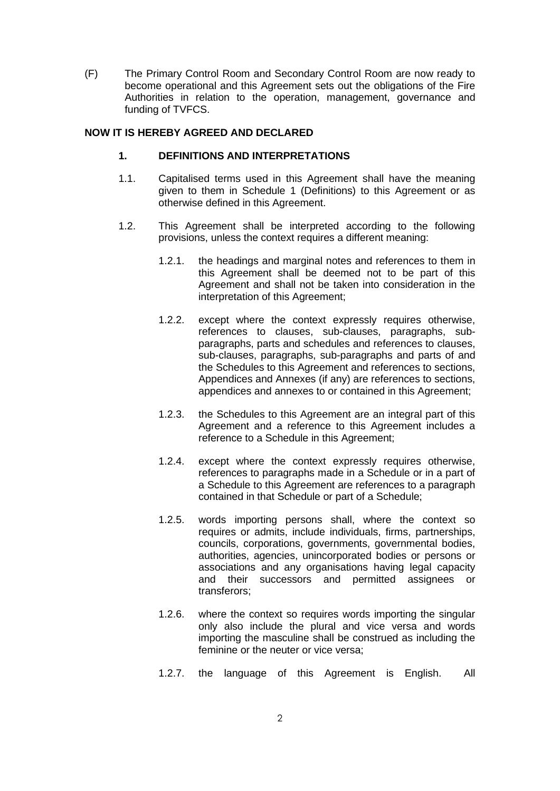(F) The Primary Control Room and Secondary Control Room are now ready to become operational and this Agreement sets out the obligations of the Fire Authorities in relation to the operation, management, governance and funding of TVFCS.

## <span id="page-4-0"></span>**NOW IT IS HEREBY AGREED AND DECLARED**

#### **1. DEFINITIONS AND INTERPRETATIONS**

- 1.1. Capitalised terms used in this Agreement shall have the meaning given to them in Schedule 1 (Definitions) to this Agreement or as otherwise defined in this Agreement.
- 1.2. This Agreement shall be interpreted according to the following provisions, unless the context requires a different meaning:
	- 1.2.1. the headings and marginal notes and references to them in this Agreement shall be deemed not to be part of this Agreement and shall not be taken into consideration in the interpretation of this Agreement;
	- 1.2.2. except where the context expressly requires otherwise, references to clauses, sub-clauses, paragraphs, subparagraphs, parts and schedules and references to clauses, sub-clauses, paragraphs, sub-paragraphs and parts of and the Schedules to this Agreement and references to sections, Appendices and Annexes (if any) are references to sections, appendices and annexes to or contained in this Agreement;
	- 1.2.3. the Schedules to this Agreement are an integral part of this Agreement and a reference to this Agreement includes a reference to a Schedule in this Agreement;
	- 1.2.4. except where the context expressly requires otherwise, references to paragraphs made in a Schedule or in a part of a Schedule to this Agreement are references to a paragraph contained in that Schedule or part of a Schedule;
	- 1.2.5. words importing persons shall, where the context so requires or admits, include individuals, firms, partnerships, councils, corporations, governments, governmental bodies, authorities, agencies, unincorporated bodies or persons or associations and any organisations having legal capacity and their successors and permitted assignees or transferors;
	- 1.2.6. where the context so requires words importing the singular only also include the plural and vice versa and words importing the masculine shall be construed as including the feminine or the neuter or vice versa;
	- 1.2.7. the language of this Agreement is English. All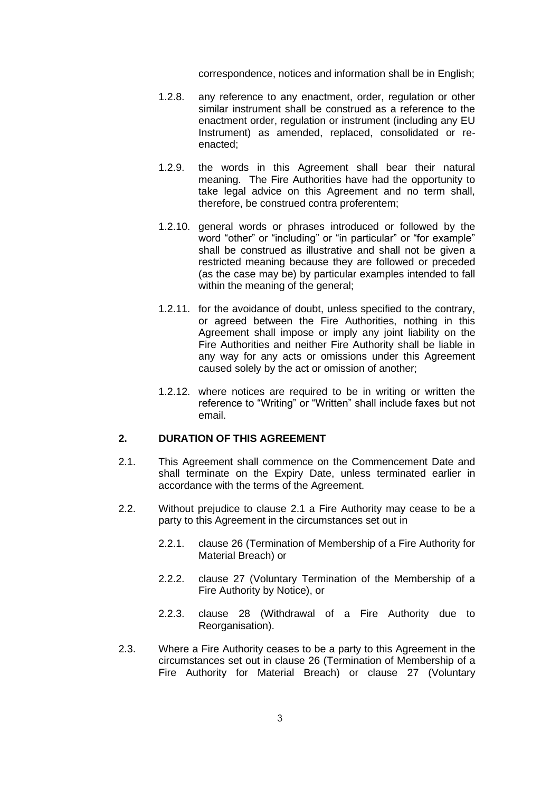correspondence, notices and information shall be in English;

- 1.2.8. any reference to any enactment, order, regulation or other similar instrument shall be construed as a reference to the enactment order, regulation or instrument (including any EU Instrument) as amended, replaced, consolidated or reenacted;
- 1.2.9. the words in this Agreement shall bear their natural meaning. The Fire Authorities have had the opportunity to take legal advice on this Agreement and no term shall, therefore, be construed contra proferentem;
- 1.2.10. general words or phrases introduced or followed by the word "other" or "including" or "in particular" or "for example" shall be construed as illustrative and shall not be given a restricted meaning because they are followed or preceded (as the case may be) by particular examples intended to fall within the meaning of the general;
- 1.2.11. for the avoidance of doubt, unless specified to the contrary, or agreed between the Fire Authorities, nothing in this Agreement shall impose or imply any joint liability on the Fire Authorities and neither Fire Authority shall be liable in any way for any acts or omissions under this Agreement caused solely by the act or omission of another;
- 1.2.12. where notices are required to be in writing or written the reference to "Writing" or "Written" shall include faxes but not email.

## <span id="page-5-0"></span>**2. DURATION OF THIS AGREEMENT**

- <span id="page-5-1"></span>2.1. This Agreement shall commence on the Commencement Date and shall terminate on the Expiry Date, unless terminated earlier in accordance with the terms of the Agreement.
- 2.2. Without prejudice to clause [2.1](#page-5-1) a Fire Authority may cease to be a party to this Agreement in the circumstances set out in
	- 2.2.1. clause [26](#page-35-0) (Termination of Membership of a Fire Authority for Material Breach) or
	- 2.2.2. clause [27](#page-38-0) (Voluntary Termination of the Membership of a Fire Authority by Notice), or
	- 2.2.3. clause [28](#page-40-0) (Withdrawal of a Fire Authority due to Reorganisation).
- 2.3. Where a Fire Authority ceases to be a party to this Agreement in the circumstances set out in clause [26](#page-35-0) (Termination of Membership of a Fire Authority for Material Breach) or clause [27](#page-38-0) (Voluntary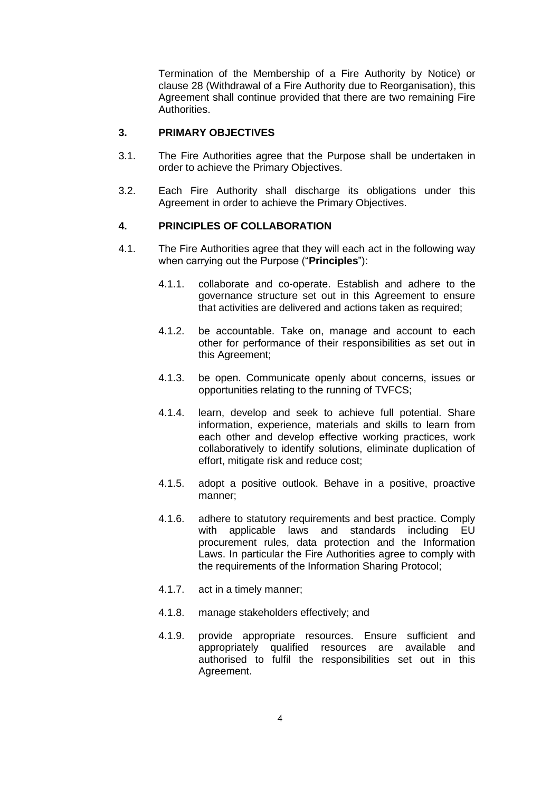Termination of the Membership of a Fire Authority by Notice) or clause [28](#page-40-0) (Withdrawal of a Fire Authority due to Reorganisation), this Agreement shall continue provided that there are two remaining Fire Authorities.

#### <span id="page-6-0"></span>**3. PRIMARY OBJECTIVES**

- 3.1. The Fire Authorities agree that the Purpose shall be undertaken in order to achieve the Primary Objectives.
- 3.2. Each Fire Authority shall discharge its obligations under this Agreement in order to achieve the Primary Objectives.

## <span id="page-6-1"></span>**4. PRINCIPLES OF COLLABORATION**

- 4.1. The Fire Authorities agree that they will each act in the following way when carrying out the Purpose ("**Principles**"):
	- 4.1.1. collaborate and co-operate. Establish and adhere to the governance structure set out in this Agreement to ensure that activities are delivered and actions taken as required;
	- 4.1.2. be accountable. Take on, manage and account to each other for performance of their responsibilities as set out in this Agreement;
	- 4.1.3. be open. Communicate openly about concerns, issues or opportunities relating to the running of TVFCS;
	- 4.1.4. learn, develop and seek to achieve full potential. Share information, experience, materials and skills to learn from each other and develop effective working practices, work collaboratively to identify solutions, eliminate duplication of effort, mitigate risk and reduce cost;
	- 4.1.5. adopt a positive outlook. Behave in a positive, proactive manner;
	- 4.1.6. adhere to statutory requirements and best practice. Comply with applicable laws and standards including EU procurement rules, data protection and the Information Laws. In particular the Fire Authorities agree to comply with the requirements of the Information Sharing Protocol;
	- 4.1.7. act in a timely manner;
	- 4.1.8. manage stakeholders effectively; and
	- 4.1.9. provide appropriate resources. Ensure sufficient and appropriately qualified resources are available and authorised to fulfil the responsibilities set out in this Agreement.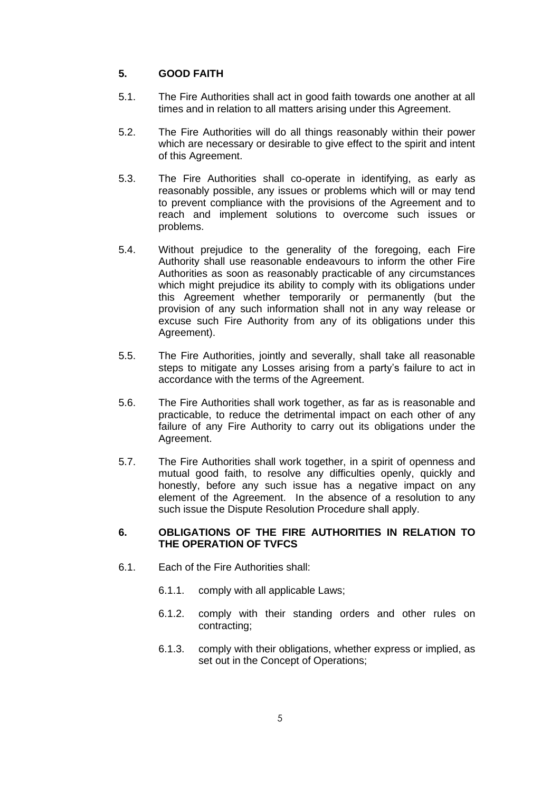## <span id="page-7-0"></span>**5. GOOD FAITH**

- 5.1. The Fire Authorities shall act in good faith towards one another at all times and in relation to all matters arising under this Agreement.
- 5.2. The Fire Authorities will do all things reasonably within their power which are necessary or desirable to give effect to the spirit and intent of this Agreement.
- 5.3. The Fire Authorities shall co-operate in identifying, as early as reasonably possible, any issues or problems which will or may tend to prevent compliance with the provisions of the Agreement and to reach and implement solutions to overcome such issues or problems.
- 5.4. Without prejudice to the generality of the foregoing, each Fire Authority shall use reasonable endeavours to inform the other Fire Authorities as soon as reasonably practicable of any circumstances which might prejudice its ability to comply with its obligations under this Agreement whether temporarily or permanently (but the provision of any such information shall not in any way release or excuse such Fire Authority from any of its obligations under this Agreement).
- 5.5. The Fire Authorities, jointly and severally, shall take all reasonable steps to mitigate any Losses arising from a party's failure to act in accordance with the terms of the Agreement.
- 5.6. The Fire Authorities shall work together, as far as is reasonable and practicable, to reduce the detrimental impact on each other of any failure of any Fire Authority to carry out its obligations under the Agreement.
- 5.7. The Fire Authorities shall work together, in a spirit of openness and mutual good faith, to resolve any difficulties openly, quickly and honestly, before any such issue has a negative impact on any element of the Agreement. In the absence of a resolution to any such issue the Dispute Resolution Procedure shall apply.

## <span id="page-7-1"></span>**6. OBLIGATIONS OF THE FIRE AUTHORITIES IN RELATION TO THE OPERATION OF TVFCS**

- <span id="page-7-2"></span>6.1. Each of the Fire Authorities shall:
	- 6.1.1. comply with all applicable Laws;
	- 6.1.2. comply with their standing orders and other rules on contracting;
	- 6.1.3. comply with their obligations, whether express or implied, as set out in the Concept of Operations;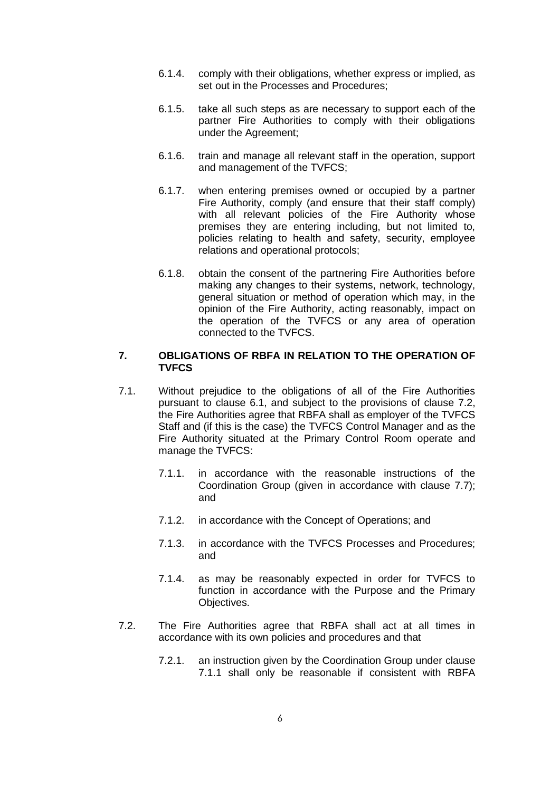- 6.1.4. comply with their obligations, whether express or implied, as set out in the Processes and Procedures;
- 6.1.5. take all such steps as are necessary to support each of the partner Fire Authorities to comply with their obligations under the Agreement;
- 6.1.6. train and manage all relevant staff in the operation, support and management of the TVFCS;
- 6.1.7. when entering premises owned or occupied by a partner Fire Authority, comply (and ensure that their staff comply) with all relevant policies of the Fire Authority whose premises they are entering including, but not limited to, policies relating to health and safety, security, employee relations and operational protocols;
- 6.1.8. obtain the consent of the partnering Fire Authorities before making any changes to their systems, network, technology, general situation or method of operation which may, in the opinion of the Fire Authority, acting reasonably, impact on the operation of the TVFCS or any area of operation connected to the TVFCS.

#### <span id="page-8-0"></span>**7. OBLIGATIONS OF RBFA IN RELATION TO THE OPERATION OF TVFCS**

- <span id="page-8-3"></span><span id="page-8-2"></span>7.1. Without prejudice to the obligations of all of the Fire Authorities pursuant to clause [6.1,](#page-7-2) and subject to the provisions of clause [7.2,](#page-8-1) the Fire Authorities agree that RBFA shall as employer of the TVFCS Staff and (if this is the case) the TVFCS Control Manager and as the Fire Authority situated at the Primary Control Room operate and manage the TVFCS:
	- 7.1.1. in accordance with the reasonable instructions of the Coordination Group (given in accordance with clause [7.7\)](#page-10-1); and
	- 7.1.2. in accordance with the Concept of Operations; and
	- 7.1.3. in accordance with the TVFCS Processes and Procedures; and
	- 7.1.4. as may be reasonably expected in order for TVFCS to function in accordance with the Purpose and the Primary Objectives.
- <span id="page-8-6"></span><span id="page-8-5"></span><span id="page-8-4"></span><span id="page-8-1"></span>7.2. The Fire Authorities agree that RBFA shall act at all times in accordance with its own policies and procedures and that
	- 7.2.1. an instruction given by the Coordination Group under clause [7.1.1](#page-8-2) shall only be reasonable if consistent with RBFA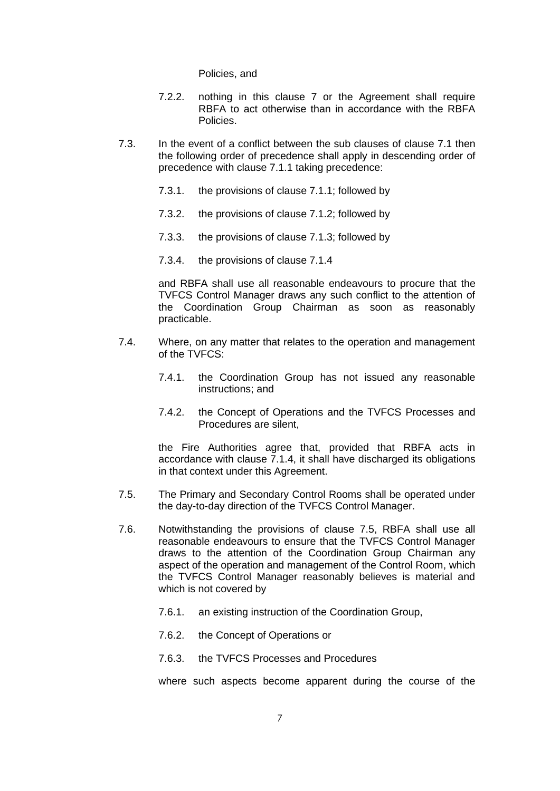Policies, and

- 7.2.2. nothing in this clause [7](#page-8-0) or the Agreement shall require RBFA to act otherwise than in accordance with the RBFA Policies.
- <span id="page-9-1"></span>7.3. In the event of a conflict between the sub clauses of clause [7.1](#page-8-3) then the following order of precedence shall apply in descending order of precedence with clause [7.1.1](#page-8-2) taking precedence:
	- 7.3.1. the provisions of clause [7.1.1;](#page-8-2) followed by
	- 7.3.2. the provisions of clause [7.1.2;](#page-8-4) followed by
	- 7.3.3. the provisions of clause [7.1.3;](#page-8-5) followed by
	- 7.3.4. the provisions of clause [7.1.4](#page-8-6)

and RBFA shall use all reasonable endeavours to procure that the TVFCS Control Manager draws any such conflict to the attention of the Coordination Group Chairman as soon as reasonably practicable.

- 7.4. Where, on any matter that relates to the operation and management of the TVFCS:
	- 7.4.1. the Coordination Group has not issued any reasonable instructions; and
	- 7.4.2. the Concept of Operations and the TVFCS Processes and Procedures are silent,

the Fire Authorities agree that, provided that RBFA acts in accordance with clause [7.1.4,](#page-8-6) it shall have discharged its obligations in that context under this Agreement.

- <span id="page-9-0"></span>7.5. The Primary and Secondary Control Rooms shall be operated under the day-to-day direction of the TVFCS Control Manager.
- <span id="page-9-2"></span>7.6. Notwithstanding the provisions of clause [7.5,](#page-9-0) RBFA shall use all reasonable endeavours to ensure that the TVFCS Control Manager draws to the attention of the Coordination Group Chairman any aspect of the operation and management of the Control Room, which the TVFCS Control Manager reasonably believes is material and which is not covered by
	- 7.6.1. an existing instruction of the Coordination Group,
	- 7.6.2. the Concept of Operations or
	- 7.6.3. the TVFCS Processes and Procedures

where such aspects become apparent during the course of the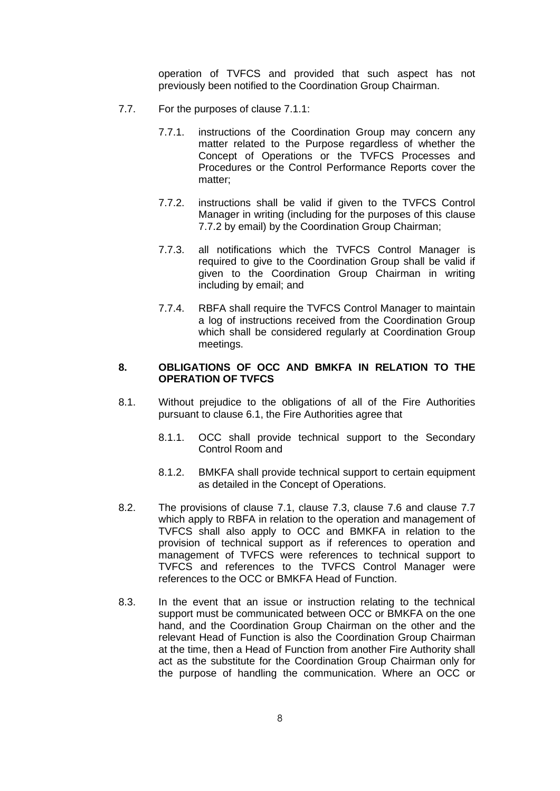operation of TVFCS and provided that such aspect has not previously been notified to the Coordination Group Chairman.

- <span id="page-10-2"></span><span id="page-10-1"></span>7.7. For the purposes of clause [7.1.1:](#page-8-2)
	- 7.7.1. instructions of the Coordination Group may concern any matter related to the Purpose regardless of whether the Concept of Operations or the TVFCS Processes and Procedures or the Control Performance Reports cover the matter;
	- 7.7.2. instructions shall be valid if given to the TVFCS Control Manager in writing (including for the purposes of this clause [7.7.2](#page-10-2) by email) by the Coordination Group Chairman;
	- 7.7.3. all notifications which the TVFCS Control Manager is required to give to the Coordination Group shall be valid if given to the Coordination Group Chairman in writing including by email; and
	- 7.7.4. RBFA shall require the TVFCS Control Manager to maintain a log of instructions received from the Coordination Group which shall be considered regularly at Coordination Group meetings.

### <span id="page-10-0"></span>**8. OBLIGATIONS OF OCC AND BMKFA IN RELATION TO THE OPERATION OF TVFCS**

- 8.1. Without prejudice to the obligations of all of the Fire Authorities pursuant to clause [6.1,](#page-7-2) the Fire Authorities agree that
	- 8.1.1. OCC shall provide technical support to the Secondary Control Room and
	- 8.1.2. BMKFA shall provide technical support to certain equipment as detailed in the Concept of Operations.
- <span id="page-10-4"></span>8.2. The provisions of clause [7.1,](#page-8-3) clause [7.3,](#page-9-1) clause [7.6](#page-9-2) and clause [7.7](#page-10-1) which apply to RBFA in relation to the operation and management of TVFCS shall also apply to OCC and BMKFA in relation to the provision of technical support as if references to operation and management of TVFCS were references to technical support to TVFCS and references to the TVFCS Control Manager were references to the OCC or BMKFA Head of Function.
- <span id="page-10-3"></span>8.3. In the event that an issue or instruction relating to the technical support must be communicated between OCC or BMKFA on the one hand, and the Coordination Group Chairman on the other and the relevant Head of Function is also the Coordination Group Chairman at the time, then a Head of Function from another Fire Authority shall act as the substitute for the Coordination Group Chairman only for the purpose of handling the communication. Where an OCC or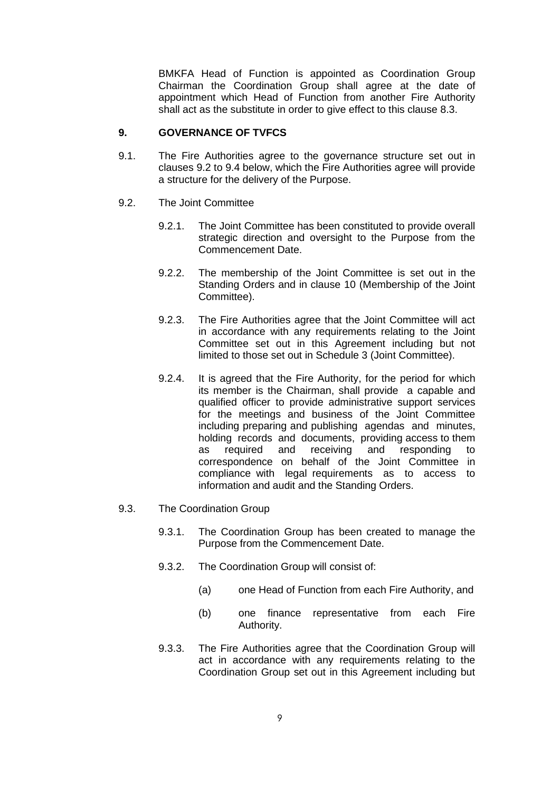BMKFA Head of Function is appointed as Coordination Group Chairman the Coordination Group shall agree at the date of appointment which Head of Function from another Fire Authority shall act as the substitute in order to give effect to this clause [8.3.](#page-10-3)

## <span id="page-11-0"></span>**9. GOVERNANCE OF TVFCS**

- 9.1. The Fire Authorities agree to the governance structure set out in clauses [9.2](#page-11-1) to [9.4](#page-12-2) below, which the Fire Authorities agree will provide a structure for the delivery of the Purpose.
- <span id="page-11-1"></span>9.2. The Joint Committee
	- 9.2.1. The Joint Committee has been constituted to provide overall strategic direction and oversight to the Purpose from the Commencement Date.
	- 9.2.2. The membership of the Joint Committee is set out in the Standing Orders and in clause [10](#page-12-0) (Membership of the Joint Committee).
	- 9.2.3. The Fire Authorities agree that the Joint Committee will act in accordance with any requirements relating to the Joint Committee set out in this Agreement including but not limited to those set out in Schedule 3 (Joint Committee).
	- 9.2.4. It is agreed that the Fire Authority, for the period for which its member is the Chairman, shall provide a capable and qualified officer to provide administrative support services for the meetings and business of the Joint Committee including preparing and publishing agendas and minutes, holding records and documents, providing access to them as required and receiving and responding to correspondence on behalf of the Joint Committee in compliance with legal requirements as to access to information and audit and the Standing Orders.
- <span id="page-11-2"></span>9.3. The Coordination Group
	- 9.3.1. The Coordination Group has been created to manage the Purpose from the Commencement Date.
	- 9.3.2. The Coordination Group will consist of:
		- (a) one Head of Function from each Fire Authority, and
		- (b) one finance representative from each Fire Authority.
	- 9.3.3. The Fire Authorities agree that the Coordination Group will act in accordance with any requirements relating to the Coordination Group set out in this Agreement including but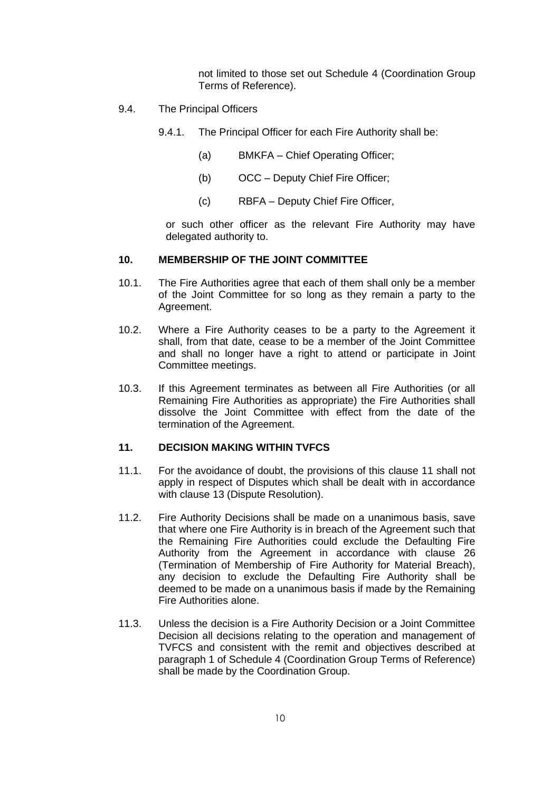not limited to those set out Schedule 4 (Coordination Group Terms of Reference).

- <span id="page-12-2"></span>9.4. The Principal Officers
	- 9.4.1. The Principal Officer for each Fire Authority shall be:
		- (a) BMKFA Chief Operating Officer;
		- (b) OCC Deputy Chief Fire Officer;
		- (c) RBFA Deputy Chief Fire Officer,

or such other officer as the relevant Fire Authority may have delegated authority to.

## <span id="page-12-0"></span>**10. MEMBERSHIP OF THE JOINT COMMITTEE**

- 10.1. The Fire Authorities agree that each of them shall only be a member of the Joint Committee for so long as they remain a party to the Agreement.
- 10.2. Where a Fire Authority ceases to be a party to the Agreement it shall, from that date, cease to be a member of the Joint Committee and shall no longer have a right to attend or participate in Joint Committee meetings.
- 10.3. If this Agreement terminates as between all Fire Authorities (or all Remaining Fire Authorities as appropriate) the Fire Authorities shall dissolve the Joint Committee with effect from the date of the termination of the Agreement.

## <span id="page-12-1"></span>**11. DECISION MAKING WITHIN TVFCS**

- 11.1. For the avoidance of doubt, the provisions of this clause 11 shall not apply in respect of Disputes which shall be dealt with in accordance with clause [13](#page-16-0) (Dispute Resolution).
- 11.2. Fire Authority Decisions shall be made on a unanimous basis, save that where one Fire Authority is in breach of the Agreement such that the Remaining Fire Authorities could exclude the Defaulting Fire Authority from the Agreement in accordance with clause [26](#page-35-0) (Termination of Membership of Fire Authority for Material Breach), any decision to exclude the Defaulting Fire Authority shall be deemed to be made on a unanimous basis if made by the Remaining Fire Authorities alone.
- 11.3. Unless the decision is a Fire Authority Decision or a Joint Committee Decision all decisions relating to the operation and management of TVFCS and consistent with the remit and objectives described at paragraph 1 of Schedule 4 (Coordination Group Terms of Reference) shall be made by the Coordination Group.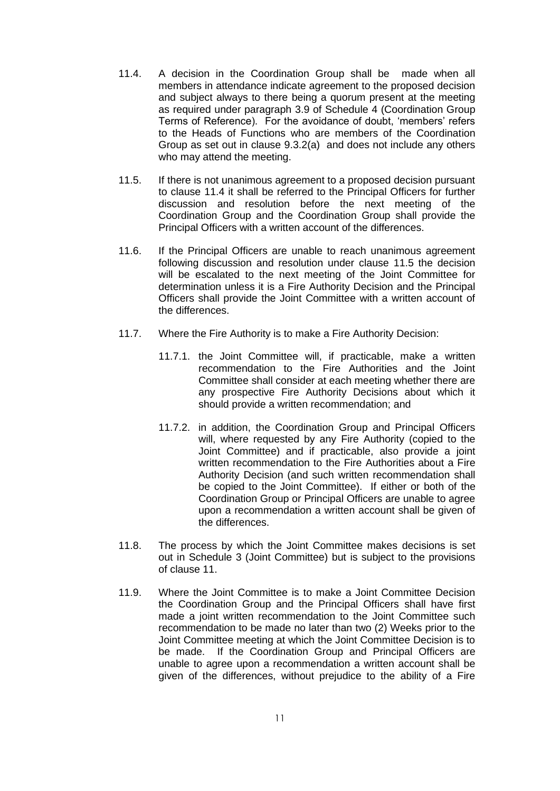- <span id="page-13-0"></span>11.4. A decision in the Coordination Group shall be made when all members in attendance indicate agreement to the proposed decision and subject always to there being a quorum present at the meeting as required under paragraph [3.9](#page-76-0) of Schedule 4 (Coordination Group Terms of Reference). For the avoidance of doubt, 'members' refers to the Heads of Functions who are members of the Coordination Group as set out in clause [9.3.2\(a\)](#page-11-2) and does not include any others who may attend the meeting.
- <span id="page-13-1"></span>11.5. If there is not unanimous agreement to a proposed decision pursuant to clause [11.4](#page-13-0) it shall be referred to the Principal Officers for further discussion and resolution before the next meeting of the Coordination Group and the Coordination Group shall provide the Principal Officers with a written account of the differences.
- <span id="page-13-2"></span>11.6. If the Principal Officers are unable to reach unanimous agreement following discussion and resolution under clause [11.5](#page-13-1) the decision will be escalated to the next meeting of the Joint Committee for determination unless it is a Fire Authority Decision and the Principal Officers shall provide the Joint Committee with a written account of the differences.
- 11.7. Where the Fire Authority is to make a Fire Authority Decision:
	- 11.7.1. the Joint Committee will, if practicable, make a written recommendation to the Fire Authorities and the Joint Committee shall consider at each meeting whether there are any prospective Fire Authority Decisions about which it should provide a written recommendation; and
	- 11.7.2. in addition, the Coordination Group and Principal Officers will, where requested by any Fire Authority (copied to the Joint Committee) and if practicable, also provide a joint written recommendation to the Fire Authorities about a Fire Authority Decision (and such written recommendation shall be copied to the Joint Committee). If either or both of the Coordination Group or Principal Officers are unable to agree upon a recommendation a written account shall be given of the differences.
- 11.8. The process by which the Joint Committee makes decisions is set out in Schedule 3 (Joint Committee) but is subject to the provisions of clause [11.](#page-12-1)
- <span id="page-13-3"></span>11.9. Where the Joint Committee is to make a Joint Committee Decision the Coordination Group and the Principal Officers shall have first made a joint written recommendation to the Joint Committee such recommendation to be made no later than two (2) Weeks prior to the Joint Committee meeting at which the Joint Committee Decision is to be made. If the Coordination Group and Principal Officers are unable to agree upon a recommendation a written account shall be given of the differences, without prejudice to the ability of a Fire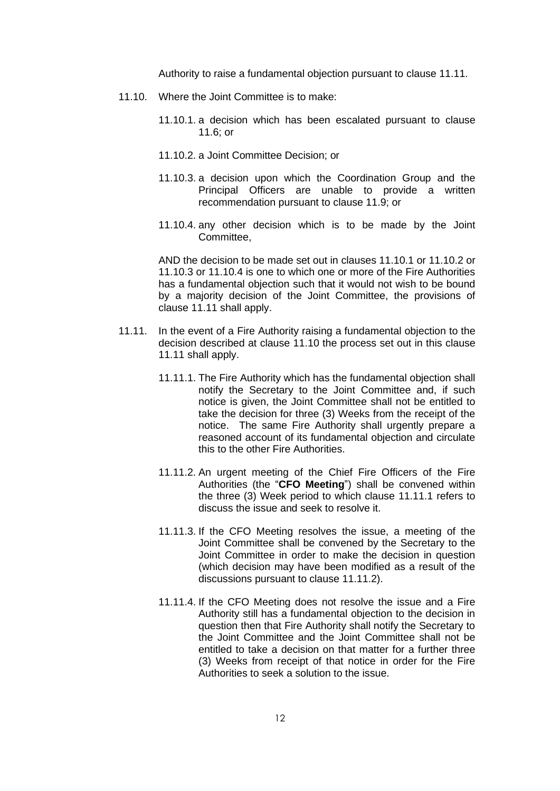Authority to raise a fundamental objection pursuant to clause [11.11.](#page-14-0)

- <span id="page-14-5"></span><span id="page-14-3"></span><span id="page-14-2"></span><span id="page-14-1"></span>11.10. Where the Joint Committee is to make:
	- 11.10.1. a decision which has been escalated pursuant to clause [11.6;](#page-13-2) or
	- 11.10.2. a Joint Committee Decision; or
	- 11.10.3. a decision upon which the Coordination Group and the Principal Officers are unable to provide a written recommendation pursuant to clause [11.9;](#page-13-3) or
	- 11.10.4. any other decision which is to be made by the Joint Committee,

<span id="page-14-4"></span>AND the decision to be made set out in clauses [11.10.1](#page-14-1) or [11.10.2](#page-14-2) or [11.10.3](#page-14-3) or [11.10.4](#page-14-4) is one to which one or more of the Fire Authorities has a fundamental objection such that it would not wish to be bound by a majority decision of the Joint Committee, the provisions of clause [11.11](#page-14-0) shall apply.

- <span id="page-14-8"></span><span id="page-14-7"></span><span id="page-14-6"></span><span id="page-14-0"></span>11.11. In the event of a Fire Authority raising a fundamental objection to the decision described at clause [11.10](#page-14-5) the process set out in this clause [11.11](#page-14-0) shall apply.
	- 11.11.1. The Fire Authority which has the fundamental objection shall notify the Secretary to the Joint Committee and, if such notice is given, the Joint Committee shall not be entitled to take the decision for three (3) Weeks from the receipt of the notice. The same Fire Authority shall urgently prepare a reasoned account of its fundamental objection and circulate this to the other Fire Authorities.
	- 11.11.2. An urgent meeting of the Chief Fire Officers of the Fire Authorities (the "**CFO Meeting**") shall be convened within the three (3) Week period to which clause [11.11.1](#page-14-6) refers to discuss the issue and seek to resolve it.
	- 11.11.3. If the CFO Meeting resolves the issue, a meeting of the Joint Committee shall be convened by the Secretary to the Joint Committee in order to make the decision in question (which decision may have been modified as a result of the discussions pursuant to clause [11.11.2\)](#page-14-7).
	- 11.11.4. If the CFO Meeting does not resolve the issue and a Fire Authority still has a fundamental objection to the decision in question then that Fire Authority shall notify the Secretary to the Joint Committee and the Joint Committee shall not be entitled to take a decision on that matter for a further three (3) Weeks from receipt of that notice in order for the Fire Authorities to seek a solution to the issue.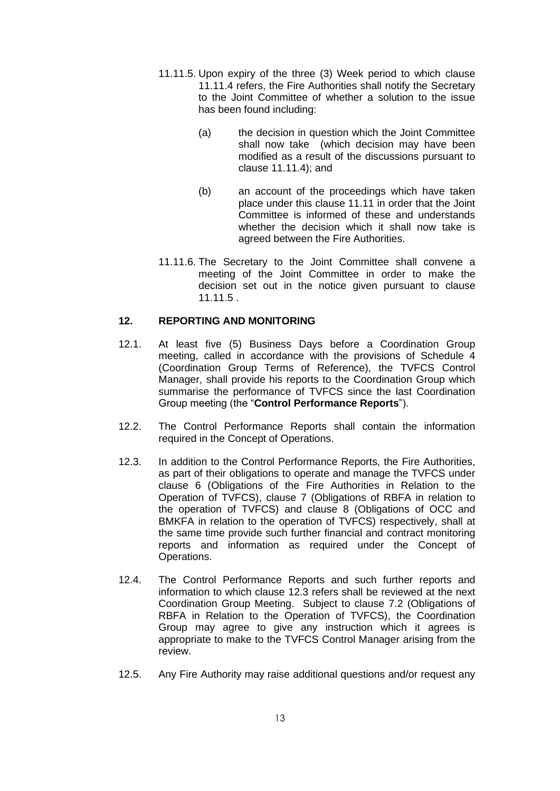- <span id="page-15-1"></span>11.11.5. Upon expiry of the three (3) Week period to which clause [11.11.4](#page-14-8) refers, the Fire Authorities shall notify the Secretary to the Joint Committee of whether a solution to the issue has been found including:
	- (a) the decision in question which the Joint Committee shall now take (which decision may have been modified as a result of the discussions pursuant to clause [11.11.4\)](#page-14-8); and
	- (b) an account of the proceedings which have taken place under this clause [11.11](#page-14-0) in order that the Joint Committee is informed of these and understands whether the decision which it shall now take is agreed between the Fire Authorities.
- 11.11.6. The Secretary to the Joint Committee shall convene a meeting of the Joint Committee in order to make the decision set out in the notice given pursuant to clause [11.11.5](#page-15-1) .

## <span id="page-15-0"></span>**12. REPORTING AND MONITORING**

- 12.1. At least five (5) Business Days before a Coordination Group meeting, called in accordance with the provisions of Schedule 4 (Coordination Group Terms of Reference), the TVFCS Control Manager, shall provide his reports to the Coordination Group which summarise the performance of TVFCS since the last Coordination Group meeting (the "**Control Performance Reports**").
- 12.2. The Control Performance Reports shall contain the information required in the Concept of Operations.
- <span id="page-15-2"></span>12.3. In addition to the Control Performance Reports, the Fire Authorities, as part of their obligations to operate and manage the TVFCS under clause [6](#page-7-1) (Obligations of the Fire Authorities in Relation to the Operation of TVFCS), clause [7](#page-8-0) (Obligations of RBFA in relation to the operation of TVFCS) and clause [8](#page-10-0) (Obligations of OCC and BMKFA in relation to the operation of TVFCS) respectively, shall at the same time provide such further financial and contract monitoring reports and information as required under the Concept of Operations.
- 12.4. The Control Performance Reports and such further reports and information to which clause [12.3](#page-15-2) refers shall be reviewed at the next Coordination Group Meeting. Subject to clause [7.2](#page-8-1) (Obligations of RBFA in Relation to the Operation of TVFCS), the Coordination Group may agree to give any instruction which it agrees is appropriate to make to the TVFCS Control Manager arising from the review.
- 12.5. Any Fire Authority may raise additional questions and/or request any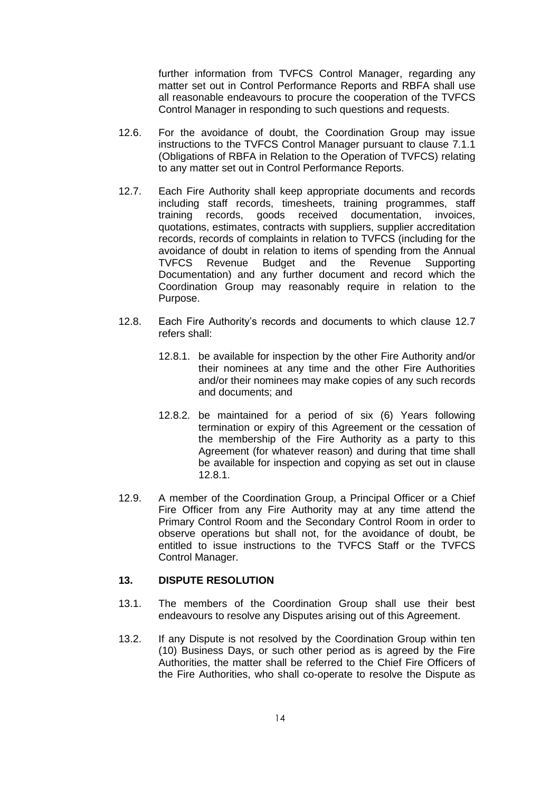further information from TVFCS Control Manager, regarding any matter set out in Control Performance Reports and RBFA shall use all reasonable endeavours to procure the cooperation of the TVFCS Control Manager in responding to such questions and requests.

- 12.6. For the avoidance of doubt, the Coordination Group may issue instructions to the TVFCS Control Manager pursuant to clause [7.1.1](#page-8-2) (Obligations of RBFA in Relation to the Operation of TVFCS) relating to any matter set out in Control Performance Reports.
- <span id="page-16-1"></span>12.7. Each Fire Authority shall keep appropriate documents and records including staff records, timesheets, training programmes, staff training records, goods received documentation, invoices, quotations, estimates, contracts with suppliers, supplier accreditation records, records of complaints in relation to TVFCS (including for the avoidance of doubt in relation to items of spending from the Annual TVFCS Revenue Budget and the Revenue Supporting Documentation) and any further document and record which the Coordination Group may reasonably require in relation to the Purpose.
- <span id="page-16-2"></span>12.8. Each Fire Authority's records and documents to which clause [12.7](#page-16-1) refers shall:
	- 12.8.1. be available for inspection by the other Fire Authority and/or their nominees at any time and the other Fire Authorities and/or their nominees may make copies of any such records and documents; and
	- 12.8.2. be maintained for a period of six (6) Years following termination or expiry of this Agreement or the cessation of the membership of the Fire Authority as a party to this Agreement (for whatever reason) and during that time shall be available for inspection and copying as set out in clause [12.8.1.](#page-16-2)
- 12.9. A member of the Coordination Group, a Principal Officer or a Chief Fire Officer from any Fire Authority may at any time attend the Primary Control Room and the Secondary Control Room in order to observe operations but shall not, for the avoidance of doubt, be entitled to issue instructions to the TVFCS Staff or the TVFCS Control Manager.

## <span id="page-16-0"></span>**13. DISPUTE RESOLUTION**

- 13.1. The members of the Coordination Group shall use their best endeavours to resolve any Disputes arising out of this Agreement.
- 13.2. If any Dispute is not resolved by the Coordination Group within ten (10) Business Days, or such other period as is agreed by the Fire Authorities, the matter shall be referred to the Chief Fire Officers of the Fire Authorities, who shall co-operate to resolve the Dispute as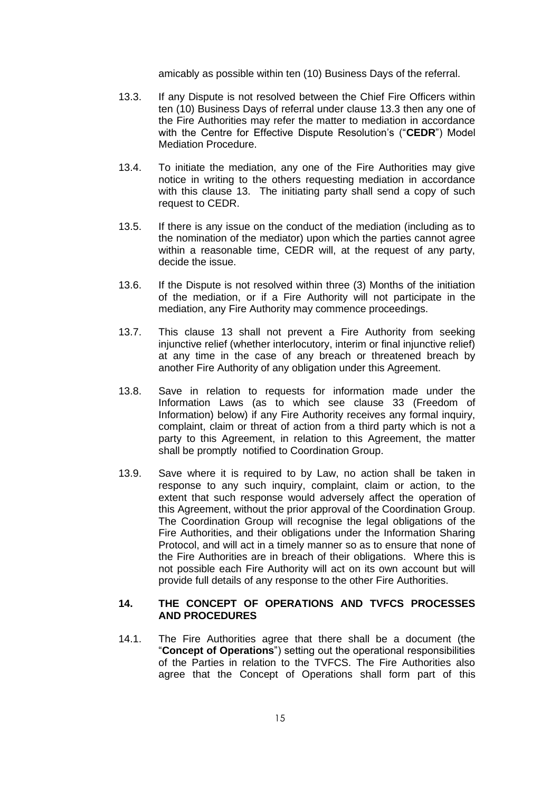amicably as possible within ten (10) Business Days of the referral.

- 13.3. If any Dispute is not resolved between the Chief Fire Officers within ten (10) Business Days of referral under clause 13.3 then any one of the Fire Authorities may refer the matter to mediation in accordance with the Centre for Effective Dispute Resolution's ("**CEDR**") Model Mediation Procedure.
- 13.4. To initiate the mediation, any one of the Fire Authorities may give notice in writing to the others requesting mediation in accordance with this clause 13. The initiating party shall send a copy of such request to CEDR.
- 13.5. If there is any issue on the conduct of the mediation (including as to the nomination of the mediator) upon which the parties cannot agree within a reasonable time, CEDR will, at the request of any party, decide the issue.
- 13.6. If the Dispute is not resolved within three (3) Months of the initiation of the mediation, or if a Fire Authority will not participate in the mediation, any Fire Authority may commence proceedings.
- 13.7. This clause 13 shall not prevent a Fire Authority from seeking injunctive relief (whether interlocutory, interim or final injunctive relief) at any time in the case of any breach or threatened breach by another Fire Authority of any obligation under this Agreement.
- 13.8. Save in relation to requests for information made under the Information Laws (as to which see clause [33](#page-44-0) (Freedom of Information) below) if any Fire Authority receives any formal inquiry, complaint, claim or threat of action from a third party which is not a party to this Agreement, in relation to this Agreement, the matter shall be promptly notified to Coordination Group.
- 13.9. Save where it is required to by Law, no action shall be taken in response to any such inquiry, complaint, claim or action, to the extent that such response would adversely affect the operation of this Agreement, without the prior approval of the Coordination Group. The Coordination Group will recognise the legal obligations of the Fire Authorities, and their obligations under the Information Sharing Protocol, and will act in a timely manner so as to ensure that none of the Fire Authorities are in breach of their obligations. Where this is not possible each Fire Authority will act on its own account but will provide full details of any response to the other Fire Authorities.

## <span id="page-17-0"></span>**14. THE CONCEPT OF OPERATIONS AND TVFCS PROCESSES AND PROCEDURES**

14.1. The Fire Authorities agree that there shall be a document (the "**Concept of Operations**") setting out the operational responsibilities of the Parties in relation to the TVFCS. The Fire Authorities also agree that the Concept of Operations shall form part of this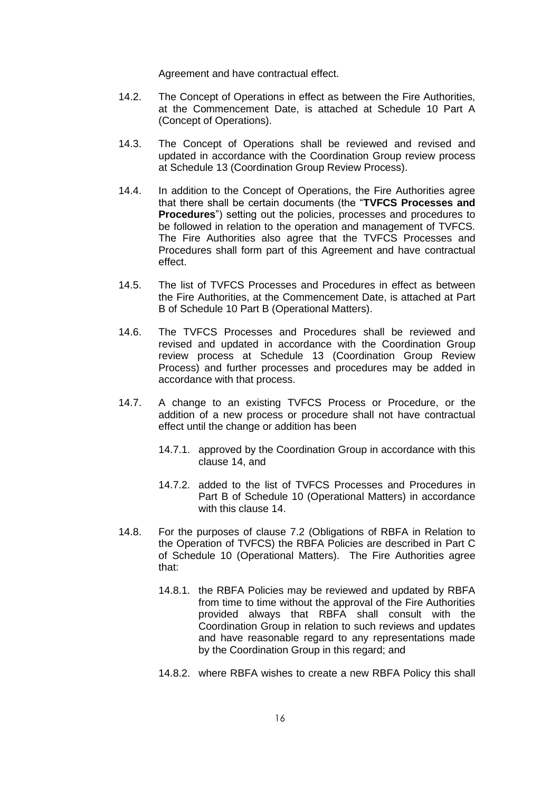Agreement and have contractual effect.

- 14.2. The Concept of Operations in effect as between the Fire Authorities, at the Commencement Date, is attached at Schedule 10 Part A (Concept of Operations).
- 14.3. The Concept of Operations shall be reviewed and revised and updated in accordance with the Coordination Group review process at Schedule 13 (Coordination Group Review Process).
- 14.4. In addition to the Concept of Operations, the Fire Authorities agree that there shall be certain documents (the "**TVFCS Processes and Procedures**") setting out the policies, processes and procedures to be followed in relation to the operation and management of TVFCS. The Fire Authorities also agree that the TVFCS Processes and Procedures shall form part of this Agreement and have contractual effect.
- 14.5. The list of TVFCS Processes and Procedures in effect as between the Fire Authorities, at the Commencement Date, is attached at Part B of Schedule 10 Part B (Operational Matters).
- 14.6. The TVFCS Processes and Procedures shall be reviewed and revised and updated in accordance with the Coordination Group review process at Schedule 13 (Coordination Group Review Process) and further processes and procedures may be added in accordance with that process.
- 14.7. A change to an existing TVFCS Process or Procedure, or the addition of a new process or procedure shall not have contractual effect until the change or addition has been
	- 14.7.1. approved by the Coordination Group in accordance with this clause [14,](#page-17-0) and
	- 14.7.2. added to the list of TVFCS Processes and Procedures in Part B of Schedule 10 (Operational Matters) in accordance with this clause [14.](#page-17-0)
- 14.8. For the purposes of clause [7.2](#page-8-1) (Obligations of RBFA in Relation to the Operation of TVFCS) the RBFA Policies are described in Part C of Schedule 10 (Operational Matters). The Fire Authorities agree that:
	- 14.8.1. the RBFA Policies may be reviewed and updated by RBFA from time to time without the approval of the Fire Authorities provided always that RBFA shall consult with the Coordination Group in relation to such reviews and updates and have reasonable regard to any representations made by the Coordination Group in this regard; and
	- 14.8.2. where RBFA wishes to create a new RBFA Policy this shall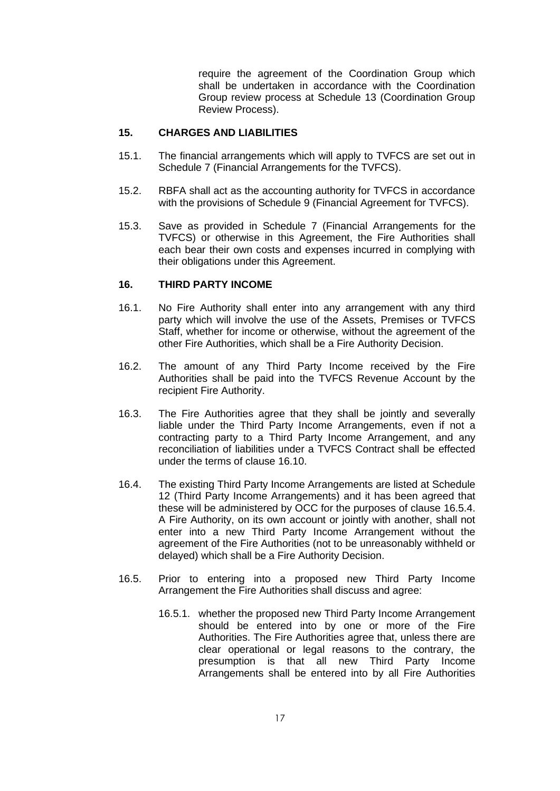require the agreement of the Coordination Group which shall be undertaken in accordance with the Coordination Group review process at Schedule 13 (Coordination Group Review Process).

## <span id="page-19-0"></span>**15. CHARGES AND LIABILITIES**

- 15.1. The financial arrangements which will apply to TVFCS are set out in Schedule 7 (Financial Arrangements for the TVFCS).
- 15.2. RBFA shall act as the accounting authority for TVFCS in accordance with the provisions of Schedule 9 (Financial Agreement for TVFCS).
- 15.3. Save as provided in Schedule 7 (Financial Arrangements for the TVFCS) or otherwise in this Agreement, the Fire Authorities shall each bear their own costs and expenses incurred in complying with their obligations under this Agreement.

## <span id="page-19-1"></span>**16. THIRD PARTY INCOME**

- 16.1. No Fire Authority shall enter into any arrangement with any third party which will involve the use of the Assets, Premises or TVFCS Staff, whether for income or otherwise, without the agreement of the other Fire Authorities, which shall be a Fire Authority Decision.
- 16.2. The amount of any Third Party Income received by the Fire Authorities shall be paid into the TVFCS Revenue Account by the recipient Fire Authority.
- 16.3. The Fire Authorities agree that they shall be jointly and severally liable under the Third Party Income Arrangements, even if not a contracting party to a Third Party Income Arrangement, and any reconciliation of liabilities under a TVFCS Contract shall be effected under the terms of clause [16.10.](#page-21-0)
- 16.4. The existing Third Party Income Arrangements are listed at Schedule 12 (Third Party Income Arrangements) and it has been agreed that these will be administered by OCC for the purposes of clause [16.5.4.](#page-20-0) A Fire Authority, on its own account or jointly with another, shall not enter into a new Third Party Income Arrangement without the agreement of the Fire Authorities (not to be unreasonably withheld or delayed) which shall be a Fire Authority Decision.
- 16.5. Prior to entering into a proposed new Third Party Income Arrangement the Fire Authorities shall discuss and agree:
	- 16.5.1. whether the proposed new Third Party Income Arrangement should be entered into by one or more of the Fire Authorities. The Fire Authorities agree that, unless there are clear operational or legal reasons to the contrary, the presumption is that all new Third Party Income Arrangements shall be entered into by all Fire Authorities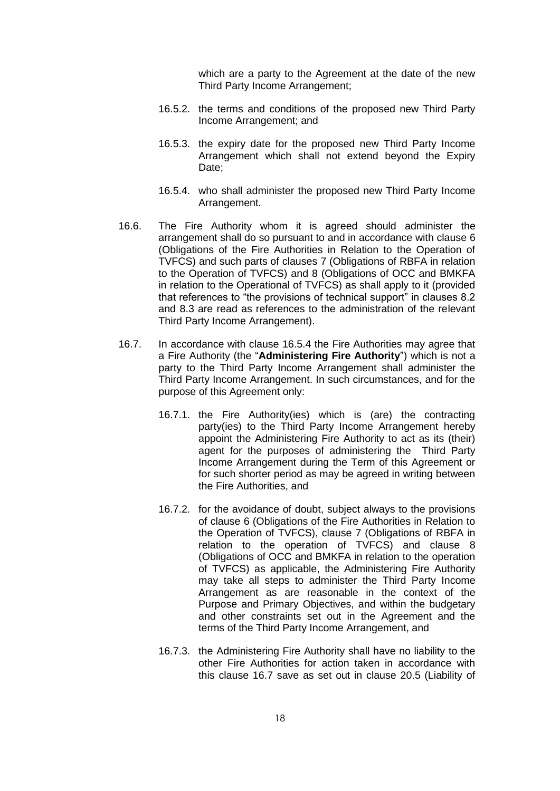which are a party to the Agreement at the date of the new Third Party Income Arrangement;

- 16.5.2. the terms and conditions of the proposed new Third Party Income Arrangement; and
- 16.5.3. the expiry date for the proposed new Third Party Income Arrangement which shall not extend beyond the Expiry Date;
- 16.5.4. who shall administer the proposed new Third Party Income Arrangement.
- <span id="page-20-0"></span>16.6. The Fire Authority whom it is agreed should administer the arrangement shall do so pursuant to and in accordance with clause [6](#page-7-1) (Obligations of the Fire Authorities in Relation to the Operation of TVFCS) and such parts of clauses [7](#page-8-0) (Obligations of RBFA in relation to the Operation of TVFCS) and [8](#page-10-0) (Obligations of OCC and BMKFA in relation to the Operational of TVFCS) as shall apply to it (provided that references to "the provisions of technical support" in clauses 8.2 and 8.3 are read as references to the administration of the relevant Third Party Income Arrangement).
- <span id="page-20-1"></span>16.7. In accordance with clause [16.5.4](#page-20-0) the Fire Authorities may agree that a Fire Authority (the "**Administering Fire Authority**") which is not a party to the Third Party Income Arrangement shall administer the Third Party Income Arrangement. In such circumstances, and for the purpose of this Agreement only:
	- 16.7.1. the Fire Authority(ies) which is (are) the contracting party(ies) to the Third Party Income Arrangement hereby appoint the Administering Fire Authority to act as its (their) agent for the purposes of administering the Third Party Income Arrangement during the Term of this Agreement or for such shorter period as may be agreed in writing between the Fire Authorities, and
	- 16.7.2. for the avoidance of doubt, subject always to the provisions of clause [6](#page-7-1) (Obligations of the Fire Authorities in Relation to the Operation of TVFCS), clause [7](#page-8-0) (Obligations of RBFA in relation to the operation of TVFCS) and clause [8](#page-10-0) (Obligations of OCC and BMKFA in relation to the operation of TVFCS) as applicable, the Administering Fire Authority may take all steps to administer the Third Party Income Arrangement as are reasonable in the context of the Purpose and Primary Objectives, and within the budgetary and other constraints set out in the Agreement and the terms of the Third Party Income Arrangement, and
	- 16.7.3. the Administering Fire Authority shall have no liability to the other Fire Authorities for action taken in accordance with this clause [16.7](#page-20-1) save as set out in clause [20.5](#page-27-1) (Liability of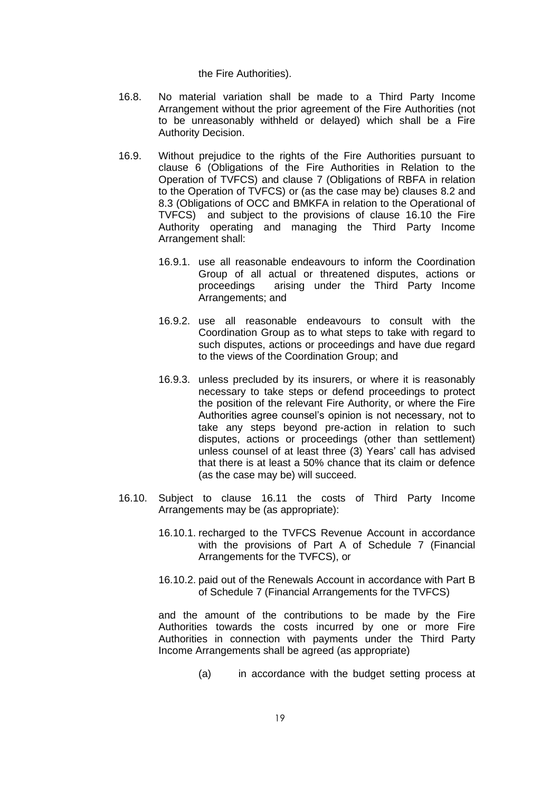the Fire Authorities).

- 16.8. No material variation shall be made to a Third Party Income Arrangement without the prior agreement of the Fire Authorities (not to be unreasonably withheld or delayed) which shall be a Fire Authority Decision.
- 16.9. Without prejudice to the rights of the Fire Authorities pursuant to clause [6](#page-7-1) (Obligations of the Fire Authorities in Relation to the Operation of TVFCS) and clause [7](#page-8-0) (Obligations of RBFA in relation to the Operation of TVFCS) or (as the case may be) clauses [8.2](#page-10-4) and [8.3](#page-10-3) (Obligations of OCC and BMKFA in relation to the Operational of TVFCS) and subject to the provisions of clause [16.10](#page-21-0) the Fire Authority operating and managing the Third Party Income Arrangement shall:
	- 16.9.1. use all reasonable endeavours to inform the Coordination Group of all actual or threatened disputes, actions or proceedings arising under the Third Party Income Arrangements; and
	- 16.9.2. use all reasonable endeavours to consult with the Coordination Group as to what steps to take with regard to such disputes, actions or proceedings and have due regard to the views of the Coordination Group; and
	- 16.9.3. unless precluded by its insurers, or where it is reasonably necessary to take steps or defend proceedings to protect the position of the relevant Fire Authority, or where the Fire Authorities agree counsel's opinion is not necessary, not to take any steps beyond pre-action in relation to such disputes, actions or proceedings (other than settlement) unless counsel of at least three (3) Years' call has advised that there is at least a 50% chance that its claim or defence (as the case may be) will succeed.
- <span id="page-21-0"></span>16.10. Subject to clause [16.11](#page-22-1) the costs of Third Party Income Arrangements may be (as appropriate):
	- 16.10.1. recharged to the TVFCS Revenue Account in accordance with the provisions of Part A of Schedule 7 (Financial Arrangements for the TVFCS), or
	- 16.10.2. paid out of the Renewals Account in accordance with Part B of Schedule 7 (Financial Arrangements for the TVFCS)

and the amount of the contributions to be made by the Fire Authorities towards the costs incurred by one or more Fire Authorities in connection with payments under the Third Party Income Arrangements shall be agreed (as appropriate)

(a) in accordance with the budget setting process at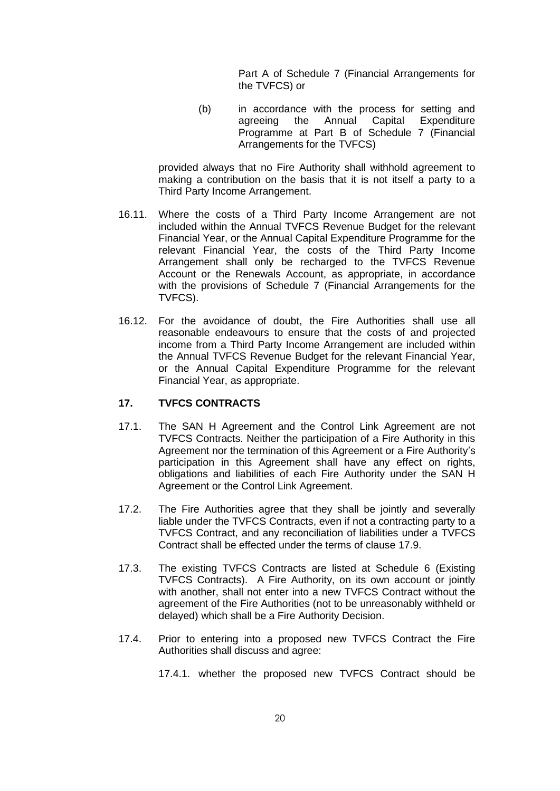Part A of Schedule 7 (Financial Arrangements for the TVFCS) or

(b) in accordance with the process for setting and agreeing the Annual Capital Expenditure Programme at Part B of Schedule 7 (Financial Arrangements for the TVFCS)

provided always that no Fire Authority shall withhold agreement to making a contribution on the basis that it is not itself a party to a Third Party Income Arrangement.

- <span id="page-22-1"></span>16.11. Where the costs of a Third Party Income Arrangement are not included within the Annual TVFCS Revenue Budget for the relevant Financial Year, or the Annual Capital Expenditure Programme for the relevant Financial Year, the costs of the Third Party Income Arrangement shall only be recharged to the TVFCS Revenue Account or the Renewals Account, as appropriate, in accordance with the provisions of Schedule 7 (Financial Arrangements for the TVFCS).
- 16.12. For the avoidance of doubt, the Fire Authorities shall use all reasonable endeavours to ensure that the costs of and projected income from a Third Party Income Arrangement are included within the Annual TVFCS Revenue Budget for the relevant Financial Year, or the Annual Capital Expenditure Programme for the relevant Financial Year, as appropriate.

#### <span id="page-22-0"></span>**17. TVFCS CONTRACTS**

- 17.1. The SAN H Agreement and the Control Link Agreement are not TVFCS Contracts. Neither the participation of a Fire Authority in this Agreement nor the termination of this Agreement or a Fire Authority's participation in this Agreement shall have any effect on rights, obligations and liabilities of each Fire Authority under the SAN H Agreement or the Control Link Agreement.
- 17.2. The Fire Authorities agree that they shall be jointly and severally liable under the TVFCS Contracts, even if not a contracting party to a TVFCS Contract, and any reconciliation of liabilities under a TVFCS Contract shall be effected under the terms of clause [17.9.](#page-24-0)
- 17.3. The existing TVFCS Contracts are listed at Schedule 6 (Existing TVFCS Contracts). A Fire Authority, on its own account or jointly with another, shall not enter into a new TVFCS Contract without the agreement of the Fire Authorities (not to be unreasonably withheld or delayed) which shall be a Fire Authority Decision.
- 17.4. Prior to entering into a proposed new TVFCS Contract the Fire Authorities shall discuss and agree:

17.4.1. whether the proposed new TVFCS Contract should be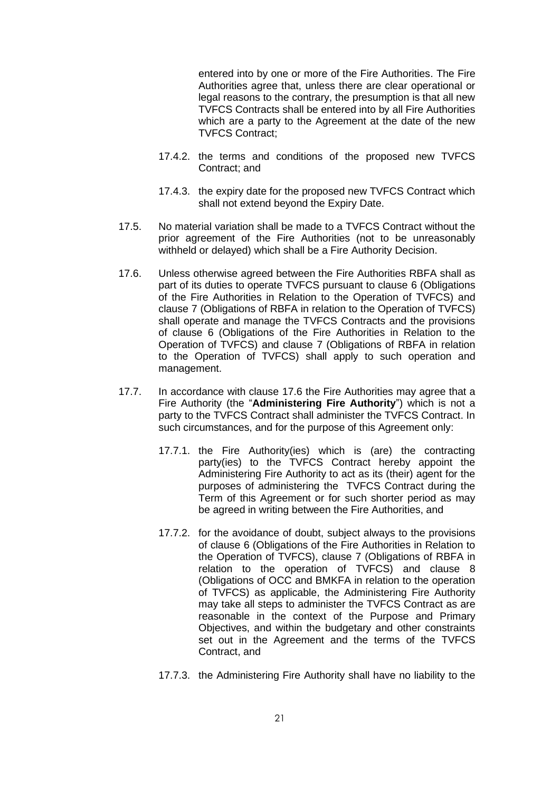entered into by one or more of the Fire Authorities. The Fire Authorities agree that, unless there are clear operational or legal reasons to the contrary, the presumption is that all new TVFCS Contracts shall be entered into by all Fire Authorities which are a party to the Agreement at the date of the new TVFCS Contract;

- 17.4.2. the terms and conditions of the proposed new TVFCS Contract; and
- 17.4.3. the expiry date for the proposed new TVFCS Contract which shall not extend beyond the Expiry Date.
- 17.5. No material variation shall be made to a TVFCS Contract without the prior agreement of the Fire Authorities (not to be unreasonably withheld or delayed) which shall be a Fire Authority Decision.
- <span id="page-23-0"></span>17.6. Unless otherwise agreed between the Fire Authorities RBFA shall as part of its duties to operate TVFCS pursuant to clause [6](#page-7-1) (Obligations of the Fire Authorities in Relation to the Operation of TVFCS) and clause [7](#page-8-0) (Obligations of RBFA in relation to the Operation of TVFCS) shall operate and manage the TVFCS Contracts and the provisions of clause [6](#page-7-1) (Obligations of the Fire Authorities in Relation to the Operation of TVFCS) and clause [7](#page-8-0) (Obligations of RBFA in relation to the Operation of TVFCS) shall apply to such operation and management.
- <span id="page-23-1"></span>17.7. In accordance with clause [17.6](#page-23-0) the Fire Authorities may agree that a Fire Authority (the "**Administering Fire Authority**") which is not a party to the TVFCS Contract shall administer the TVFCS Contract. In such circumstances, and for the purpose of this Agreement only:
	- 17.7.1. the Fire Authority(ies) which is (are) the contracting party(ies) to the TVFCS Contract hereby appoint the Administering Fire Authority to act as its (their) agent for the purposes of administering the TVFCS Contract during the Term of this Agreement or for such shorter period as may be agreed in writing between the Fire Authorities, and
	- 17.7.2. for the avoidance of doubt, subject always to the provisions of clause [6](#page-7-1) (Obligations of the Fire Authorities in Relation to the Operation of TVFCS), clause [7](#page-8-0) (Obligations of RBFA in relation to the operation of TVFCS) and clause [8](#page-10-0) (Obligations of OCC and BMKFA in relation to the operation of TVFCS) as applicable, the Administering Fire Authority may take all steps to administer the TVFCS Contract as are reasonable in the context of the Purpose and Primary Objectives, and within the budgetary and other constraints set out in the Agreement and the terms of the TVFCS Contract, and
	- 17.7.3. the Administering Fire Authority shall have no liability to the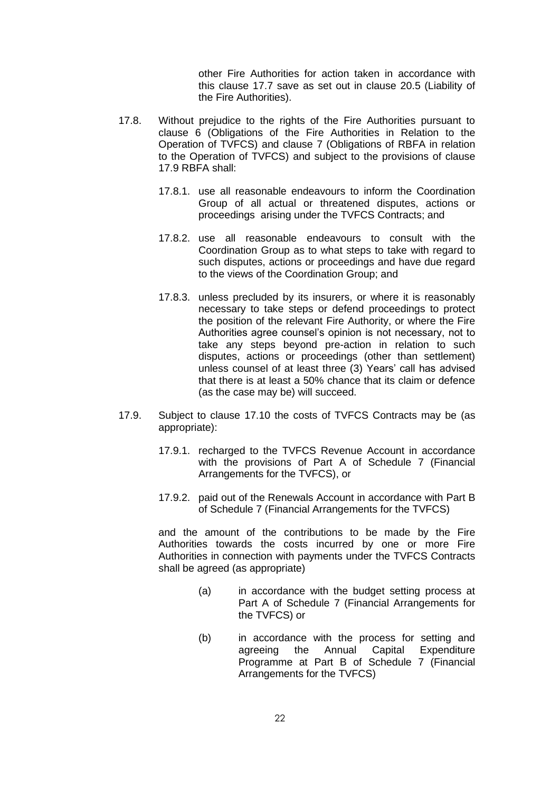other Fire Authorities for action taken in accordance with this clause [17.7](#page-23-1) save as set out in clause [20.5](#page-27-1) (Liability of the Fire Authorities).

- 17.8. Without prejudice to the rights of the Fire Authorities pursuant to clause [6](#page-7-1) (Obligations of the Fire Authorities in Relation to the Operation of TVFCS) and clause [7](#page-8-0) (Obligations of RBFA in relation to the Operation of TVFCS) and subject to the provisions of clause [17.9](#page-24-0) RBFA shall:
	- 17.8.1. use all reasonable endeavours to inform the Coordination Group of all actual or threatened disputes, actions or proceedings arising under the TVFCS Contracts; and
	- 17.8.2. use all reasonable endeavours to consult with the Coordination Group as to what steps to take with regard to such disputes, actions or proceedings and have due regard to the views of the Coordination Group; and
	- 17.8.3. unless precluded by its insurers, or where it is reasonably necessary to take steps or defend proceedings to protect the position of the relevant Fire Authority, or where the Fire Authorities agree counsel's opinion is not necessary, not to take any steps beyond pre-action in relation to such disputes, actions or proceedings (other than settlement) unless counsel of at least three (3) Years' call has advised that there is at least a 50% chance that its claim or defence (as the case may be) will succeed.
- <span id="page-24-0"></span>17.9. Subject to clause [17.10](#page-25-2) the costs of TVFCS Contracts may be (as appropriate):
	- 17.9.1. recharged to the TVFCS Revenue Account in accordance with the provisions of Part A of Schedule 7 (Financial Arrangements for the TVFCS), or
	- 17.9.2. paid out of the Renewals Account in accordance with Part B of Schedule 7 (Financial Arrangements for the TVFCS)

and the amount of the contributions to be made by the Fire Authorities towards the costs incurred by one or more Fire Authorities in connection with payments under the TVFCS Contracts shall be agreed (as appropriate)

- (a) in accordance with the budget setting process at Part A of Schedule 7 (Financial Arrangements for the TVFCS) or
- (b) in accordance with the process for setting and agreeing the Annual Capital Expenditure Programme at Part B of Schedule 7 (Financial Arrangements for the TVFCS)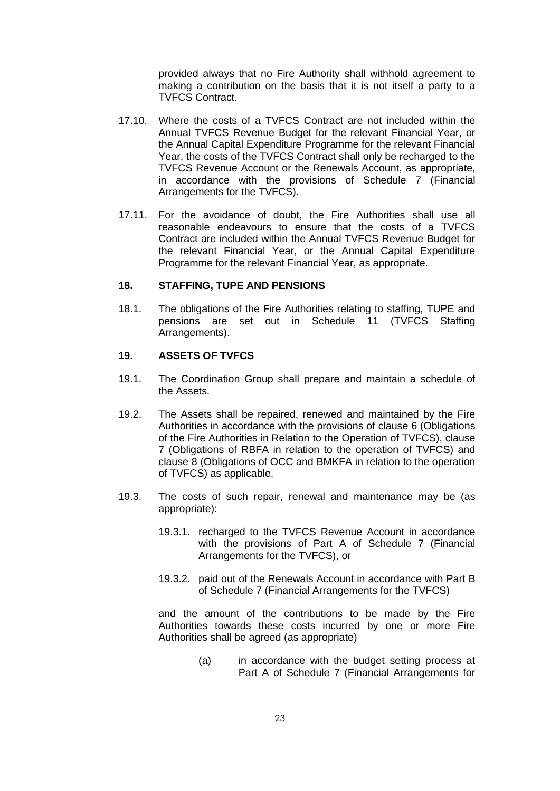provided always that no Fire Authority shall withhold agreement to making a contribution on the basis that it is not itself a party to a TVFCS Contract.

- <span id="page-25-2"></span>17.10. Where the costs of a TVFCS Contract are not included within the Annual TVFCS Revenue Budget for the relevant Financial Year, or the Annual Capital Expenditure Programme for the relevant Financial Year, the costs of the TVFCS Contract shall only be recharged to the TVFCS Revenue Account or the Renewals Account, as appropriate, in accordance with the provisions of Schedule 7 (Financial Arrangements for the TVFCS).
- 17.11. For the avoidance of doubt, the Fire Authorities shall use all reasonable endeavours to ensure that the costs of a TVFCS Contract are included within the Annual TVFCS Revenue Budget for the relevant Financial Year, or the Annual Capital Expenditure Programme for the relevant Financial Year, as appropriate.

#### <span id="page-25-0"></span>**18. STAFFING, TUPE AND PENSIONS**

18.1. The obligations of the Fire Authorities relating to staffing, TUPE and pensions are set out in Schedule 11 (TVFCS Staffing Arrangements).

#### <span id="page-25-1"></span>**19. ASSETS OF TVFCS**

- 19.1. The Coordination Group shall prepare and maintain a schedule of the Assets.
- 19.2. The Assets shall be repaired, renewed and maintained by the Fire Authorities in accordance with the provisions of clause [6](#page-7-1) (Obligations of the Fire Authorities in Relation to the Operation of TVFCS), clause [7](#page-8-0) (Obligations of RBFA in relation to the operation of TVFCS) and clause [8](#page-10-0) (Obligations of OCC and BMKFA in relation to the operation of TVFCS) as applicable.
- 19.3. The costs of such repair, renewal and maintenance may be (as appropriate):
	- 19.3.1. recharged to the TVFCS Revenue Account in accordance with the provisions of Part A of Schedule 7 (Financial Arrangements for the TVFCS), or
	- 19.3.2. paid out of the Renewals Account in accordance with Part B of Schedule 7 (Financial Arrangements for the TVFCS)

and the amount of the contributions to be made by the Fire Authorities towards these costs incurred by one or more Fire Authorities shall be agreed (as appropriate)

> (a) in accordance with the budget setting process at Part A of Schedule 7 (Financial Arrangements for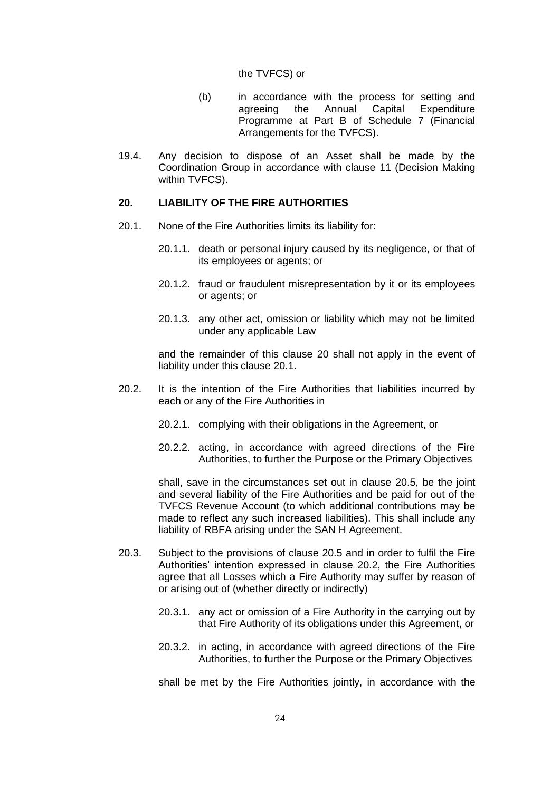#### the TVFCS) or

- (b) in accordance with the process for setting and agreeing the Annual Capital Expenditure Programme at Part B of Schedule 7 (Financial Arrangements for the TVFCS).
- 19.4. Any decision to dispose of an Asset shall be made by the Coordination Group in accordance with clause [11](#page-12-1) (Decision Making within TVFCS).

## <span id="page-26-0"></span>**20. LIABILITY OF THE FIRE AUTHORITIES**

- <span id="page-26-1"></span>20.1. None of the Fire Authorities limits its liability for:
	- 20.1.1. death or personal injury caused by its negligence, or that of its employees or agents; or
	- 20.1.2. fraud or fraudulent misrepresentation by it or its employees or agents; or
	- 20.1.3. any other act, omission or liability which may not be limited under any applicable Law

and the remainder of this clause [20](#page-26-0) shall not apply in the event of liability under this clause [20.1.](#page-26-1)

- <span id="page-26-2"></span>20.2. It is the intention of the Fire Authorities that liabilities incurred by each or any of the Fire Authorities in
	- 20.2.1. complying with their obligations in the Agreement, or
	- 20.2.2. acting, in accordance with agreed directions of the Fire Authorities, to further the Purpose or the Primary Objectives

shall, save in the circumstances set out in clause [20.5,](#page-27-1) be the joint and several liability of the Fire Authorities and be paid for out of the TVFCS Revenue Account (to which additional contributions may be made to reflect any such increased liabilities). This shall include any liability of RBFA arising under the SAN H Agreement.

- <span id="page-26-3"></span>20.3. Subject to the provisions of clause [20.5](#page-27-1) and in order to fulfil the Fire Authorities' intention expressed in clause [20.2,](#page-26-2) the Fire Authorities agree that all Losses which a Fire Authority may suffer by reason of or arising out of (whether directly or indirectly)
	- 20.3.1. any act or omission of a Fire Authority in the carrying out by that Fire Authority of its obligations under this Agreement, or
	- 20.3.2. in acting, in accordance with agreed directions of the Fire Authorities, to further the Purpose or the Primary Objectives

shall be met by the Fire Authorities jointly, in accordance with the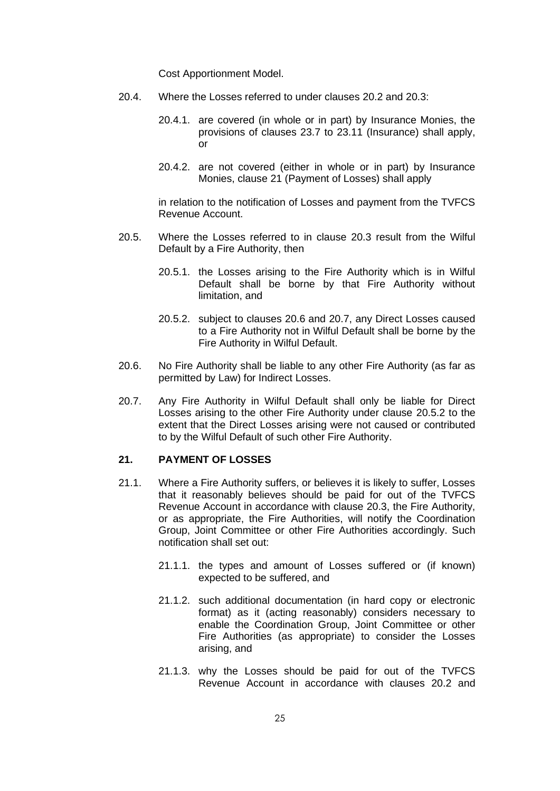Cost Apportionment Model.

- 20.4. Where the Losses referred to under clauses [20.2](#page-26-2) and [20.3:](#page-26-3)
	- 20.4.1. are covered (in whole or in part) by Insurance Monies, the provisions of clauses [23.7](#page-32-0) to [23.11](#page-33-1) (Insurance) shall apply, or
	- 20.4.2. are not covered (either in whole or in part) by Insurance Monies, clause [21](#page-27-0) (Payment of Losses) shall apply

in relation to the notification of Losses and payment from the TVFCS Revenue Account.

- <span id="page-27-1"></span>20.5. Where the Losses referred to in clause [20.3](#page-26-3) result from the Wilful Default by a Fire Authority, then
	- 20.5.1. the Losses arising to the Fire Authority which is in Wilful Default shall be borne by that Fire Authority without limitation, and
	- 20.5.2. subject to clauses [20.6](#page-27-2) and [20.7,](#page-27-3) any Direct Losses caused to a Fire Authority not in Wilful Default shall be borne by the Fire Authority in Wilful Default.
- <span id="page-27-4"></span><span id="page-27-2"></span>20.6. No Fire Authority shall be liable to any other Fire Authority (as far as permitted by Law) for Indirect Losses.
- <span id="page-27-3"></span>20.7. Any Fire Authority in Wilful Default shall only be liable for Direct Losses arising to the other Fire Authority under clause [20.5.2](#page-27-4) to the extent that the Direct Losses arising were not caused or contributed to by the Wilful Default of such other Fire Authority.

## <span id="page-27-0"></span>**21. PAYMENT OF LOSSES**

- 21.1. Where a Fire Authority suffers, or believes it is likely to suffer, Losses that it reasonably believes should be paid for out of the TVFCS Revenue Account in accordance with clause [20.3,](#page-26-3) the Fire Authority, or as appropriate, the Fire Authorities, will notify the Coordination Group, Joint Committee or other Fire Authorities accordingly. Such notification shall set out:
	- 21.1.1. the types and amount of Losses suffered or (if known) expected to be suffered, and
	- 21.1.2. such additional documentation (in hard copy or electronic format) as it (acting reasonably) considers necessary to enable the Coordination Group, Joint Committee or other Fire Authorities (as appropriate) to consider the Losses arising, and
	- 21.1.3. why the Losses should be paid for out of the TVFCS Revenue Account in accordance with clauses [20.2](#page-26-2) and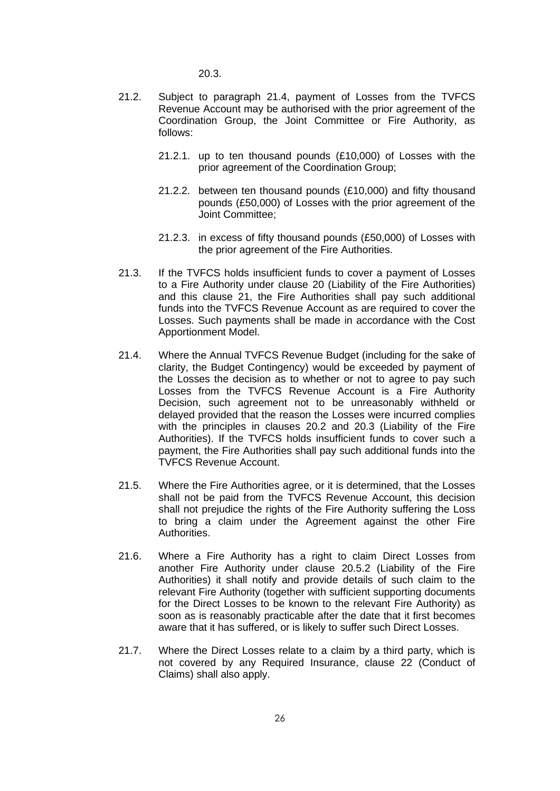[20.3.](#page-26-3)

- 21.2. Subject to paragraph [21.4,](#page-28-0) payment of Losses from the TVFCS Revenue Account may be authorised with the prior agreement of the Coordination Group, the Joint Committee or Fire Authority, as follows:
	- 21.2.1. up to ten thousand pounds (£10,000) of Losses with the prior agreement of the Coordination Group;
	- 21.2.2. between ten thousand pounds (£10,000) and fifty thousand pounds (£50,000) of Losses with the prior agreement of the Joint Committee;
	- 21.2.3. in excess of fifty thousand pounds (£50,000) of Losses with the prior agreement of the Fire Authorities.
- 21.3. If the TVFCS holds insufficient funds to cover a payment of Losses to a Fire Authority under clause [20](#page-26-0) (Liability of the Fire Authorities) and this clause [21,](#page-27-0) the Fire Authorities shall pay such additional funds into the TVFCS Revenue Account as are required to cover the Losses. Such payments shall be made in accordance with the Cost Apportionment Model.
- <span id="page-28-0"></span>21.4. Where the Annual TVFCS Revenue Budget (including for the sake of clarity, the Budget Contingency) would be exceeded by payment of the Losses the decision as to whether or not to agree to pay such Losses from the TVFCS Revenue Account is a Fire Authority Decision, such agreement not to be unreasonably withheld or delayed provided that the reason the Losses were incurred complies with the principles in clauses [20.2](#page-26-2) and [20.3](#page-26-3) (Liability of the Fire Authorities). If the TVFCS holds insufficient funds to cover such a payment, the Fire Authorities shall pay such additional funds into the TVFCS Revenue Account.
- 21.5. Where the Fire Authorities agree, or it is determined, that the Losses shall not be paid from the TVFCS Revenue Account, this decision shall not prejudice the rights of the Fire Authority suffering the Loss to bring a claim under the Agreement against the other Fire Authorities.
- 21.6. Where a Fire Authority has a right to claim Direct Losses from another Fire Authority under clause [20.5.2](#page-27-4) (Liability of the Fire Authorities) it shall notify and provide details of such claim to the relevant Fire Authority (together with sufficient supporting documents for the Direct Losses to be known to the relevant Fire Authority) as soon as is reasonably practicable after the date that it first becomes aware that it has suffered, or is likely to suffer such Direct Losses.
- 21.7. Where the Direct Losses relate to a claim by a third party, which is not covered by any Required Insurance, clause [22](#page-29-0) (Conduct of Claims) shall also apply.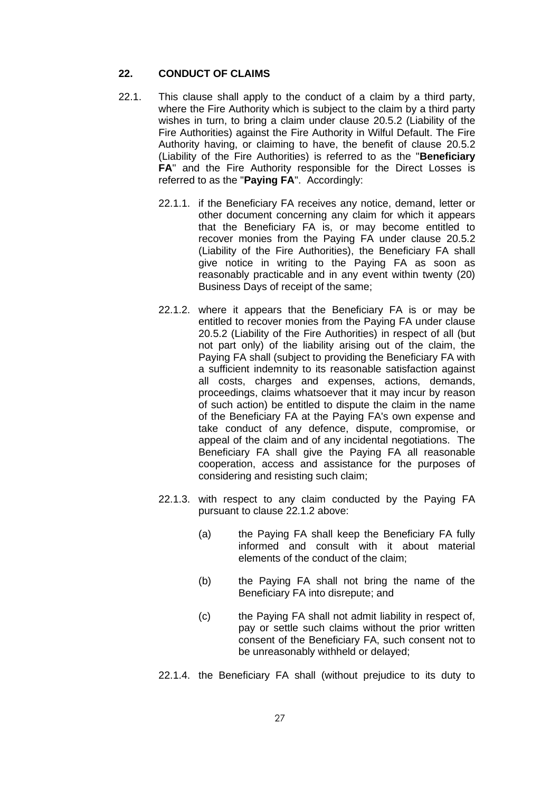### <span id="page-29-0"></span>**22. CONDUCT OF CLAIMS**

- <span id="page-29-3"></span><span id="page-29-2"></span><span id="page-29-1"></span>22.1. This clause shall apply to the conduct of a claim by a third party, where the Fire Authority which is subject to the claim by a third party wishes in turn, to bring a claim under clause [20.5.2](#page-27-4) (Liability of the Fire Authorities) against the Fire Authority in Wilful Default. The Fire Authority having, or claiming to have, the benefit of clause [20.5.2](#page-27-4) (Liability of the Fire Authorities) is referred to as the "**Beneficiary FA**" and the Fire Authority responsible for the Direct Losses is referred to as the "**Paying FA**". Accordingly:
	- 22.1.1. if the Beneficiary FA receives any notice, demand, letter or other document concerning any claim for which it appears that the Beneficiary FA is, or may become entitled to recover monies from the Paying FA under clause [20.5.2](#page-27-4) (Liability of the Fire Authorities), the Beneficiary FA shall give notice in writing to the Paying FA as soon as reasonably practicable and in any event within twenty (20) Business Days of receipt of the same;
	- 22.1.2. where it appears that the Beneficiary FA is or may be entitled to recover monies from the Paying FA under clause [20.5.2](#page-27-4) (Liability of the Fire Authorities) in respect of all (but not part only) of the liability arising out of the claim, the Paying FA shall (subject to providing the Beneficiary FA with a sufficient indemnity to its reasonable satisfaction against all costs, charges and expenses, actions, demands, proceedings, claims whatsoever that it may incur by reason of such action) be entitled to dispute the claim in the name of the Beneficiary FA at the Paying FA's own expense and take conduct of any defence, dispute, compromise, or appeal of the claim and of any incidental negotiations. The Beneficiary FA shall give the Paying FA all reasonable cooperation, access and assistance for the purposes of considering and resisting such claim;
	- 22.1.3. with respect to any claim conducted by the Paying FA pursuant to clause [22.1.2](#page-29-1) above:
		- (a) the Paying FA shall keep the Beneficiary FA fully informed and consult with it about material elements of the conduct of the claim;
		- (b) the Paying FA shall not bring the name of the Beneficiary FA into disrepute; and
		- (c) the Paying FA shall not admit liability in respect of, pay or settle such claims without the prior written consent of the Beneficiary FA, such consent not to be unreasonably withheld or delayed;
	- 22.1.4. the Beneficiary FA shall (without prejudice to its duty to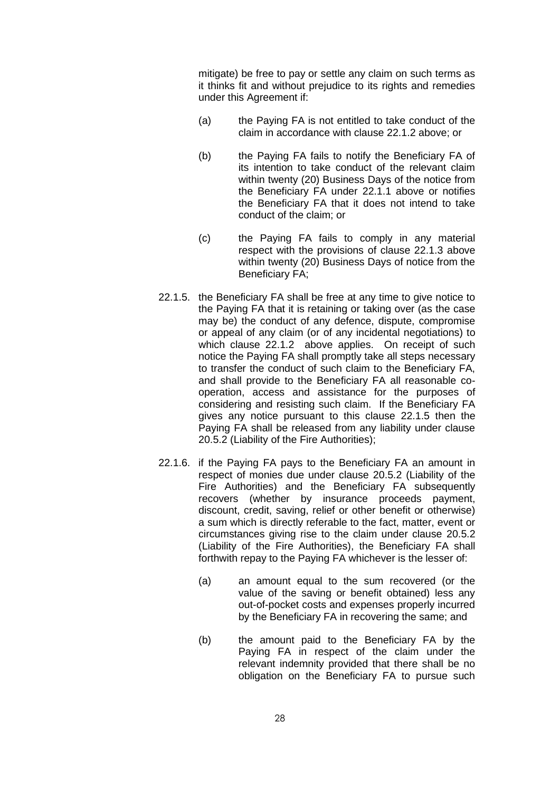mitigate) be free to pay or settle any claim on such terms as it thinks fit and without prejudice to its rights and remedies under this Agreement if:

- (a) the Paying FA is not entitled to take conduct of the claim in accordance with clause [22.1.2](#page-29-1) above; or
- (b) the Paying FA fails to notify the Beneficiary FA of its intention to take conduct of the relevant claim within twenty (20) Business Days of the notice from the Beneficiary FA under [22.1.1](#page-29-2) above or notifies the Beneficiary FA that it does not intend to take conduct of the claim; or
- (c) the Paying FA fails to comply in any material respect with the provisions of clause [22.1.3](#page-29-3) above within twenty (20) Business Days of notice from the Beneficiary FA;
- <span id="page-30-0"></span>22.1.5. the Beneficiary FA shall be free at any time to give notice to the Paying FA that it is retaining or taking over (as the case may be) the conduct of any defence, dispute, compromise or appeal of any claim (or of any incidental negotiations) to which clause [22.1.2](#page-29-1) above applies. On receipt of such notice the Paying FA shall promptly take all steps necessary to transfer the conduct of such claim to the Beneficiary FA, and shall provide to the Beneficiary FA all reasonable cooperation, access and assistance for the purposes of considering and resisting such claim. If the Beneficiary FA gives any notice pursuant to this clause [22.1.5](#page-30-0) then the Paying FA shall be released from any liability under clause [20.5.2](#page-27-4) (Liability of the Fire Authorities);
- 22.1.6. if the Paying FA pays to the Beneficiary FA an amount in respect of monies due under clause [20.5.2](#page-27-4) (Liability of the Fire Authorities) and the Beneficiary FA subsequently recovers (whether by insurance proceeds payment, discount, credit, saving, relief or other benefit or otherwise) a sum which is directly referable to the fact, matter, event or circumstances giving rise to the claim under clause [20.5.2](#page-27-4) (Liability of the Fire Authorities), the Beneficiary FA shall forthwith repay to the Paying FA whichever is the lesser of:
	- (a) an amount equal to the sum recovered (or the value of the saving or benefit obtained) less any out-of-pocket costs and expenses properly incurred by the Beneficiary FA in recovering the same; and
	- (b) the amount paid to the Beneficiary FA by the Paying FA in respect of the claim under the relevant indemnity provided that there shall be no obligation on the Beneficiary FA to pursue such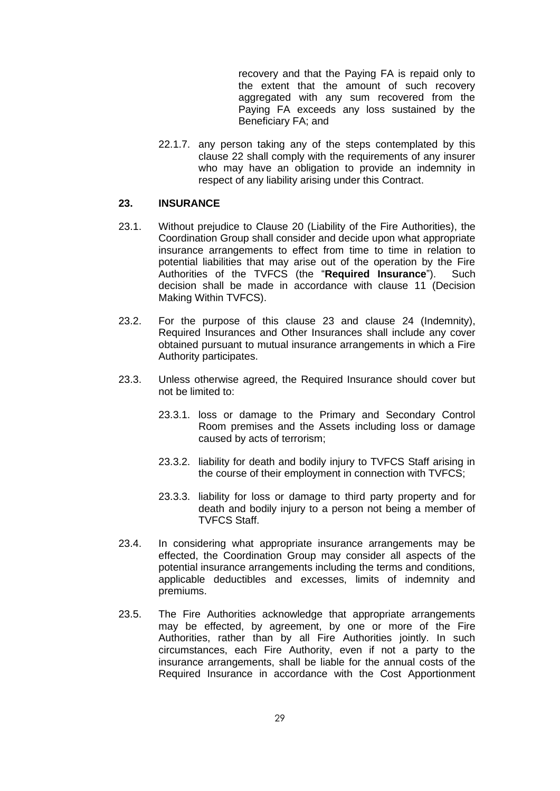recovery and that the Paying FA is repaid only to the extent that the amount of such recovery aggregated with any sum recovered from the Paying FA exceeds any loss sustained by the Beneficiary FA; and

22.1.7. any person taking any of the steps contemplated by this clause [22](#page-29-0) shall comply with the requirements of any insurer who may have an obligation to provide an indemnity in respect of any liability arising under this Contract.

#### <span id="page-31-0"></span>**23. INSURANCE**

- 23.1. Without prejudice to Clause [20](#page-26-0) (Liability of the Fire Authorities), the Coordination Group shall consider and decide upon what appropriate insurance arrangements to effect from time to time in relation to potential liabilities that may arise out of the operation by the Fire Authorities of the TVFCS (the "**Required Insurance**"). Such decision shall be made in accordance with clause [11](#page-12-1) (Decision Making Within TVFCS).
- 23.2. For the purpose of this clause [23](#page-31-0) and clause [24](#page-33-0) (Indemnity), Required Insurances and Other Insurances shall include any cover obtained pursuant to mutual insurance arrangements in which a Fire Authority participates.
- 23.3. Unless otherwise agreed, the Required Insurance should cover but not be limited to:
	- 23.3.1. loss or damage to the Primary and Secondary Control Room premises and the Assets including loss or damage caused by acts of terrorism;
	- 23.3.2. liability for death and bodily injury to TVFCS Staff arising in the course of their employment in connection with TVFCS;
	- 23.3.3. liability for loss or damage to third party property and for death and bodily injury to a person not being a member of TVFCS Staff.
- <span id="page-31-1"></span>23.4. In considering what appropriate insurance arrangements may be effected, the Coordination Group may consider all aspects of the potential insurance arrangements including the terms and conditions, applicable deductibles and excesses, limits of indemnity and premiums.
- 23.5. The Fire Authorities acknowledge that appropriate arrangements may be effected, by agreement, by one or more of the Fire Authorities, rather than by all Fire Authorities jointly. In such circumstances, each Fire Authority, even if not a party to the insurance arrangements, shall be liable for the annual costs of the Required Insurance in accordance with the Cost Apportionment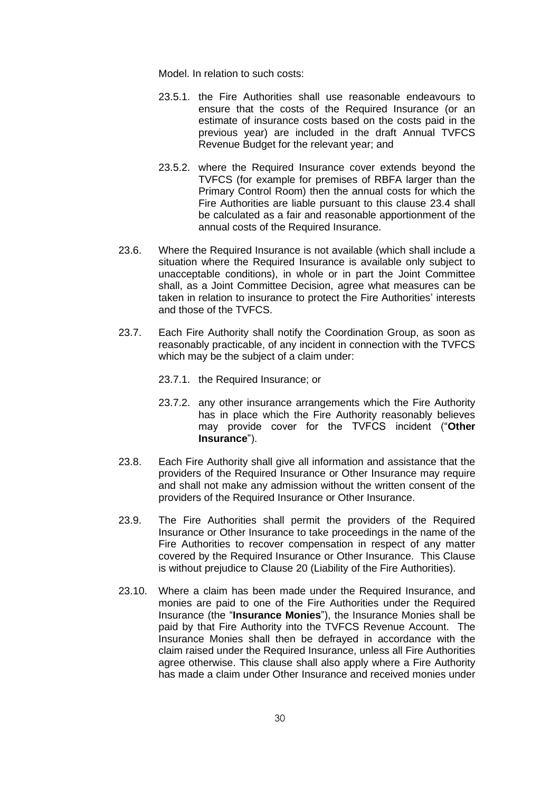Model. In relation to such costs:

- 23.5.1. the Fire Authorities shall use reasonable endeavours to ensure that the costs of the Required Insurance (or an estimate of insurance costs based on the costs paid in the previous year) are included in the draft Annual TVFCS Revenue Budget for the relevant year; and
- 23.5.2. where the Required Insurance cover extends beyond the TVFCS (for example for premises of RBFA larger than the Primary Control Room) then the annual costs for which the Fire Authorities are liable pursuant to this clause [23.4](#page-31-1) shall be calculated as a fair and reasonable apportionment of the annual costs of the Required Insurance.
- 23.6. Where the Required Insurance is not available (which shall include a situation where the Required Insurance is available only subject to unacceptable conditions), in whole or in part the Joint Committee shall, as a Joint Committee Decision, agree what measures can be taken in relation to insurance to protect the Fire Authorities' interests and those of the TVFCS.
- <span id="page-32-0"></span>23.7. Each Fire Authority shall notify the Coordination Group, as soon as reasonably practicable, of any incident in connection with the TVFCS which may be the subject of a claim under:

23.7.1. the Required Insurance; or

- 23.7.2. any other insurance arrangements which the Fire Authority has in place which the Fire Authority reasonably believes may provide cover for the TVFCS incident ("**Other Insurance**").
- 23.8. Each Fire Authority shall give all information and assistance that the providers of the Required Insurance or Other Insurance may require and shall not make any admission without the written consent of the providers of the Required Insurance or Other Insurance.
- 23.9. The Fire Authorities shall permit the providers of the Required Insurance or Other Insurance to take proceedings in the name of the Fire Authorities to recover compensation in respect of any matter covered by the Required Insurance or Other Insurance. This Clause is without prejudice to Clause [20](#page-26-0) (Liability of the Fire Authorities).
- 23.10. Where a claim has been made under the Required Insurance, and monies are paid to one of the Fire Authorities under the Required Insurance (the "**Insurance Monies**"), the Insurance Monies shall be paid by that Fire Authority into the TVFCS Revenue Account. The Insurance Monies shall then be defrayed in accordance with the claim raised under the Required Insurance, unless all Fire Authorities agree otherwise. This clause shall also apply where a Fire Authority has made a claim under Other Insurance and received monies under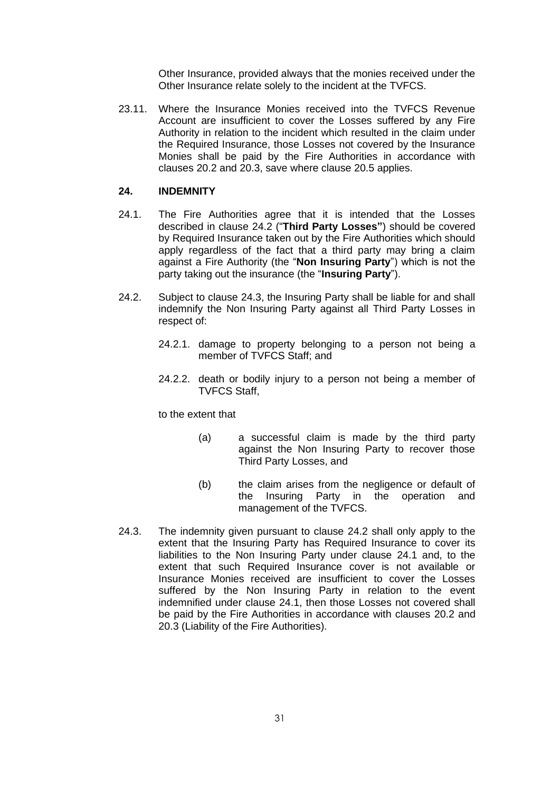Other Insurance, provided always that the monies received under the Other Insurance relate solely to the incident at the TVFCS.

<span id="page-33-1"></span>23.11. Where the Insurance Monies received into the TVFCS Revenue Account are insufficient to cover the Losses suffered by any Fire Authority in relation to the incident which resulted in the claim under the Required Insurance, those Losses not covered by the Insurance Monies shall be paid by the Fire Authorities in accordance with clauses [20.2](#page-26-2) and [20.3,](#page-26-3) save where clause [20.5](#page-27-1) applies.

## <span id="page-33-0"></span>**24. INDEMNITY**

- <span id="page-33-4"></span>24.1. The Fire Authorities agree that it is intended that the Losses described in clause [24.2](#page-33-2) ("**Third Party Losses"**) should be covered by Required Insurance taken out by the Fire Authorities which should apply regardless of the fact that a third party may bring a claim against a Fire Authority (the "**Non Insuring Party**") which is not the party taking out the insurance (the "**Insuring Party**").
- <span id="page-33-2"></span>24.2. Subject to clause [24.3,](#page-33-3) the Insuring Party shall be liable for and shall indemnify the Non Insuring Party against all Third Party Losses in respect of:
	- 24.2.1. damage to property belonging to a person not being a member of TVFCS Staff; and
	- 24.2.2. death or bodily injury to a person not being a member of TVFCS Staff,

to the extent that

- (a) a successful claim is made by the third party against the Non Insuring Party to recover those Third Party Losses, and
- (b) the claim arises from the negligence or default of the Insuring Party in the operation and management of the TVFCS.
- <span id="page-33-3"></span>24.3. The indemnity given pursuant to clause [24.2](#page-33-2) shall only apply to the extent that the Insuring Party has Required Insurance to cover its liabilities to the Non Insuring Party under clause [24.1](#page-33-4) and, to the extent that such Required Insurance cover is not available or Insurance Monies received are insufficient to cover the Losses suffered by the Non Insuring Party in relation to the event indemnified under clause [24.1,](#page-33-4) then those Losses not covered shall be paid by the Fire Authorities in accordance with clauses [20.2](#page-26-2) and [20.3](#page-26-3) (Liability of the Fire Authorities).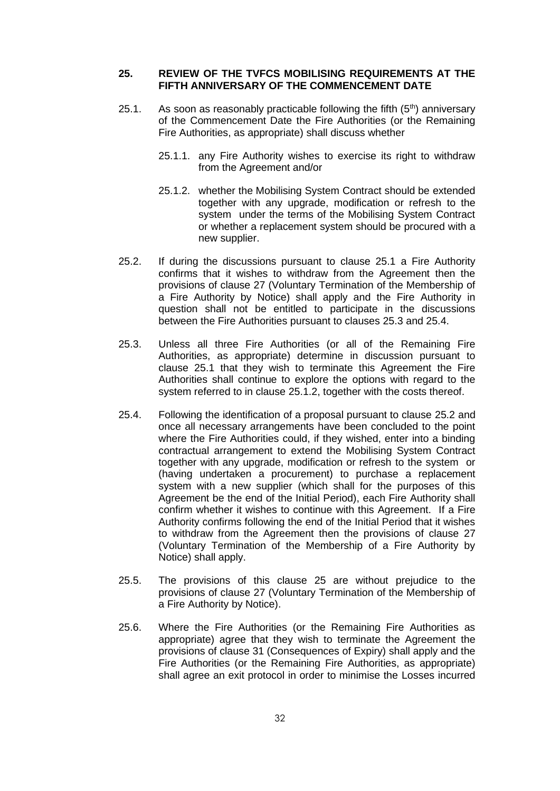#### <span id="page-34-0"></span>**25. REVIEW OF THE TVFCS MOBILISING REQUIREMENTS AT THE FIFTH ANNIVERSARY OF THE COMMENCEMENT DATE**

- <span id="page-34-1"></span>25.1. As soon as reasonably practicable following the fifth  $(5<sup>th</sup>)$  anniversary of the Commencement Date the Fire Authorities (or the Remaining Fire Authorities, as appropriate) shall discuss whether
	- 25.1.1. any Fire Authority wishes to exercise its right to withdraw from the Agreement and/or
	- 25.1.2. whether the Mobilising System Contract should be extended together with any upgrade, modification or refresh to the system under the terms of the Mobilising System Contract or whether a replacement system should be procured with a new supplier.
- <span id="page-34-5"></span><span id="page-34-4"></span>25.2. If during the discussions pursuant to clause [25.1](#page-34-1) a Fire Authority confirms that it wishes to withdraw from the Agreement then the provisions of clause [27](#page-38-0) (Voluntary Termination of the Membership of a Fire Authority by Notice) shall apply and the Fire Authority in question shall not be entitled to participate in the discussions between the Fire Authorities pursuant to clauses [25.3](#page-34-2) and [25.4.](#page-34-3)
- <span id="page-34-2"></span>25.3. Unless all three Fire Authorities (or all of the Remaining Fire Authorities, as appropriate) determine in discussion pursuant to clause [25.1](#page-34-1) that they wish to terminate this Agreement the Fire Authorities shall continue to explore the options with regard to the system referred to in clause [25.1.2,](#page-34-4) together with the costs thereof.
- <span id="page-34-3"></span>25.4. Following the identification of a proposal pursuant to clause [25.2](#page-34-5) and once all necessary arrangements have been concluded to the point where the Fire Authorities could, if they wished, enter into a binding contractual arrangement to extend the Mobilising System Contract together with any upgrade, modification or refresh to the system or (having undertaken a procurement) to purchase a replacement system with a new supplier (which shall for the purposes of this Agreement be the end of the Initial Period), each Fire Authority shall confirm whether it wishes to continue with this Agreement. If a Fire Authority confirms following the end of the Initial Period that it wishes to withdraw from the Agreement then the provisions of clause [27](#page-38-0) (Voluntary Termination of the Membership of a Fire Authority by Notice) shall apply.
- 25.5. The provisions of this clause [25](#page-34-0) are without prejudice to the provisions of clause [27](#page-38-0) (Voluntary Termination of the Membership of a Fire Authority by Notice).
- 25.6. Where the Fire Authorities (or the Remaining Fire Authorities as appropriate) agree that they wish to terminate the Agreement the provisions of clause [31](#page-41-1) (Consequences of Expiry) shall apply and the Fire Authorities (or the Remaining Fire Authorities, as appropriate) shall agree an exit protocol in order to minimise the Losses incurred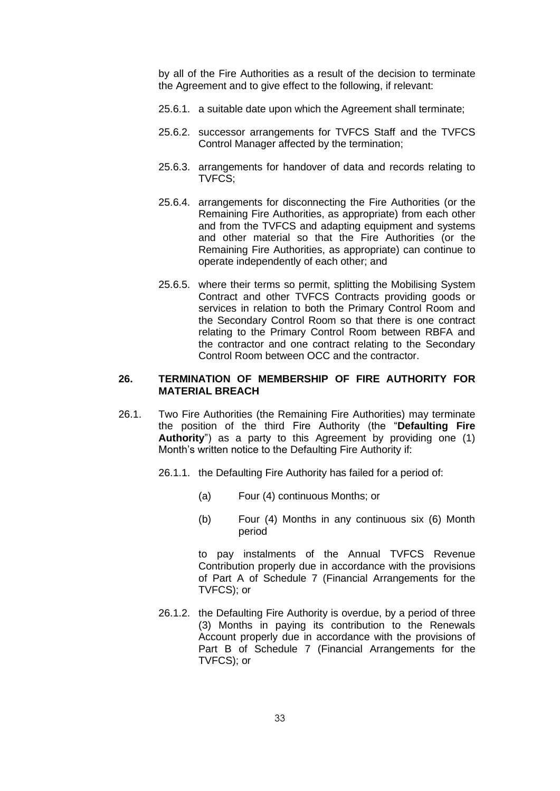by all of the Fire Authorities as a result of the decision to terminate the Agreement and to give effect to the following, if relevant:

- 25.6.1. a suitable date upon which the Agreement shall terminate;
- 25.6.2. successor arrangements for TVFCS Staff and the TVFCS Control Manager affected by the termination;
- 25.6.3. arrangements for handover of data and records relating to TVFCS;
- 25.6.4. arrangements for disconnecting the Fire Authorities (or the Remaining Fire Authorities, as appropriate) from each other and from the TVFCS and adapting equipment and systems and other material so that the Fire Authorities (or the Remaining Fire Authorities, as appropriate) can continue to operate independently of each other; and
- 25.6.5. where their terms so permit, splitting the Mobilising System Contract and other TVFCS Contracts providing goods or services in relation to both the Primary Control Room and the Secondary Control Room so that there is one contract relating to the Primary Control Room between RBFA and the contractor and one contract relating to the Secondary Control Room between OCC and the contractor.

#### <span id="page-35-0"></span>**26. TERMINATION OF MEMBERSHIP OF FIRE AUTHORITY FOR MATERIAL BREACH**

- 26.1. Two Fire Authorities (the Remaining Fire Authorities) may terminate the position of the third Fire Authority (the "**Defaulting Fire Authority**") as a party to this Agreement by providing one (1) Month's written notice to the Defaulting Fire Authority if:
	- 26.1.1. the Defaulting Fire Authority has failed for a period of:
		- (a) Four (4) continuous Months; or
		- (b) Four (4) Months in any continuous six (6) Month period

to pay instalments of the Annual TVFCS Revenue Contribution properly due in accordance with the provisions of Part A of Schedule 7 (Financial Arrangements for the TVFCS); or

26.1.2. the Defaulting Fire Authority is overdue, by a period of three (3) Months in paying its contribution to the Renewals Account properly due in accordance with the provisions of Part B of Schedule 7 (Financial Arrangements for the TVFCS); or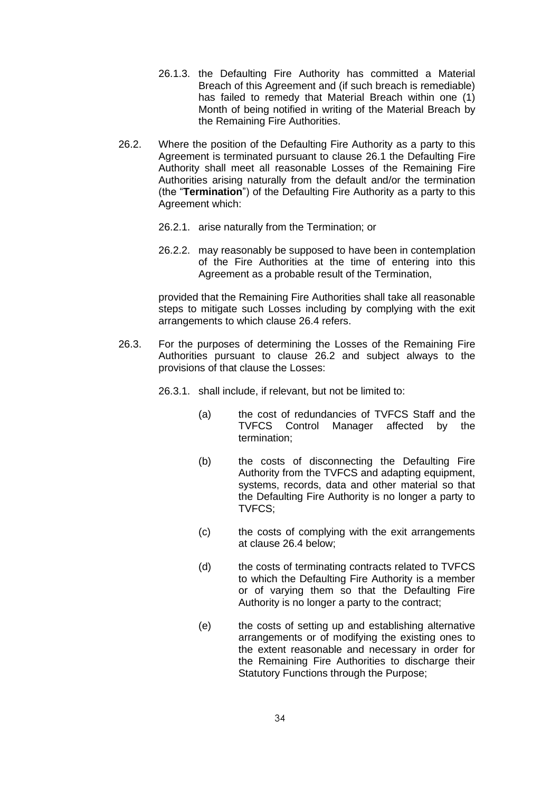- 26.1.3. the Defaulting Fire Authority has committed a Material Breach of this Agreement and (if such breach is remediable) has failed to remedy that Material Breach within one (1) Month of being notified in writing of the Material Breach by the Remaining Fire Authorities.
- <span id="page-36-0"></span>26.2. Where the position of the Defaulting Fire Authority as a party to this Agreement is terminated pursuant to clause [26.1](#page-35-0) the Defaulting Fire Authority shall meet all reasonable Losses of the Remaining Fire Authorities arising naturally from the default and/or the termination (the "**Termination**") of the Defaulting Fire Authority as a party to this Agreement which:
	- 26.2.1. arise naturally from the Termination; or
	- 26.2.2. may reasonably be supposed to have been in contemplation of the Fire Authorities at the time of entering into this Agreement as a probable result of the Termination,

provided that the Remaining Fire Authorities shall take all reasonable steps to mitigate such Losses including by complying with the exit arrangements to which clause [26.4](#page-37-0) refers.

<span id="page-36-2"></span>26.3. For the purposes of determining the Losses of the Remaining Fire Authorities pursuant to clause [26.2](#page-36-0) and subject always to the provisions of that clause the Losses:

26.3.1. shall include, if relevant, but not be limited to:

- (a) the cost of redundancies of TVFCS Staff and the TVFCS Control Manager affected by the termination;
- (b) the costs of disconnecting the Defaulting Fire Authority from the TVFCS and adapting equipment, systems, records, data and other material so that the Defaulting Fire Authority is no longer a party to TVFCS;
- (c) the costs of complying with the exit arrangements at clause [26.4](#page-37-0) below;
- <span id="page-36-3"></span>(d) the costs of terminating contracts related to TVFCS to which the Defaulting Fire Authority is a member or of varying them so that the Defaulting Fire Authority is no longer a party to the contract;
- <span id="page-36-1"></span>(e) the costs of setting up and establishing alternative arrangements or of modifying the existing ones to the extent reasonable and necessary in order for the Remaining Fire Authorities to discharge their Statutory Functions through the Purpose;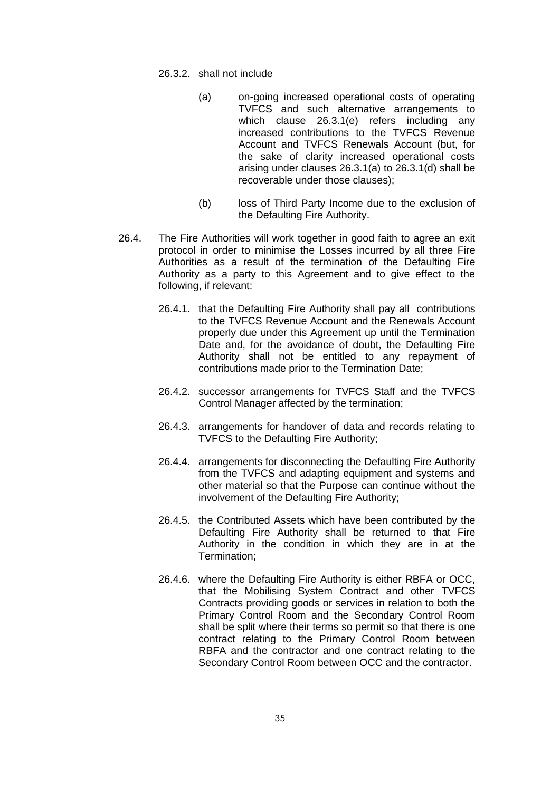- 26.3.2. shall not include
	- (a) on-going increased operational costs of operating TVFCS and such alternative arrangements to which clause [26.3.1\(e\)](#page-36-1) refers including any increased contributions to the TVFCS Revenue Account and TVFCS Renewals Account (but, for the sake of clarity increased operational costs arising under clauses [26.3.1\(a\)](#page-36-2) to [26.3.1\(d\)](#page-36-3) shall be recoverable under those clauses);
	- (b) loss of Third Party Income due to the exclusion of the Defaulting Fire Authority.
- <span id="page-37-0"></span>26.4. The Fire Authorities will work together in good faith to agree an exit protocol in order to minimise the Losses incurred by all three Fire Authorities as a result of the termination of the Defaulting Fire Authority as a party to this Agreement and to give effect to the following, if relevant:
	- 26.4.1. that the Defaulting Fire Authority shall pay all contributions to the TVFCS Revenue Account and the Renewals Account properly due under this Agreement up until the Termination Date and, for the avoidance of doubt, the Defaulting Fire Authority shall not be entitled to any repayment of contributions made prior to the Termination Date;
	- 26.4.2. successor arrangements for TVFCS Staff and the TVFCS Control Manager affected by the termination;
	- 26.4.3. arrangements for handover of data and records relating to TVFCS to the Defaulting Fire Authority;
	- 26.4.4. arrangements for disconnecting the Defaulting Fire Authority from the TVFCS and adapting equipment and systems and other material so that the Purpose can continue without the involvement of the Defaulting Fire Authority;
	- 26.4.5. the Contributed Assets which have been contributed by the Defaulting Fire Authority shall be returned to that Fire Authority in the condition in which they are in at the Termination;
	- 26.4.6. where the Defaulting Fire Authority is either RBFA or OCC, that the Mobilising System Contract and other TVFCS Contracts providing goods or services in relation to both the Primary Control Room and the Secondary Control Room shall be split where their terms so permit so that there is one contract relating to the Primary Control Room between RBFA and the contractor and one contract relating to the Secondary Control Room between OCC and the contractor.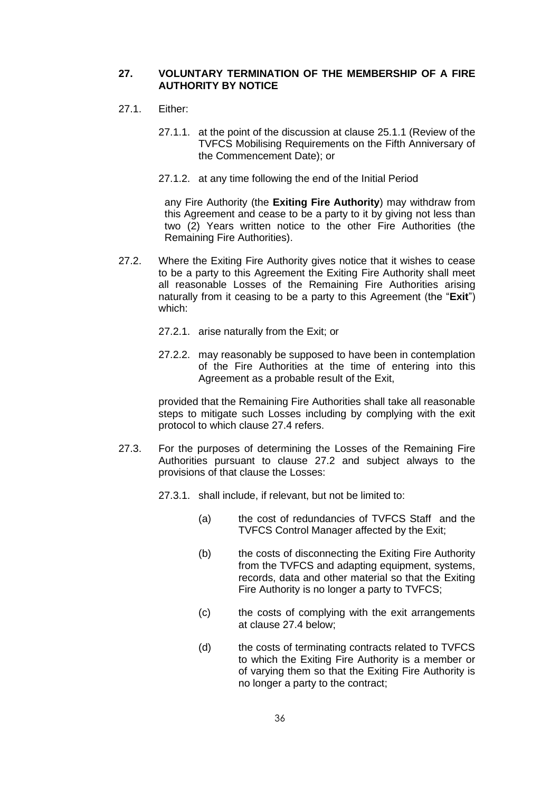### <span id="page-38-4"></span>**27. VOLUNTARY TERMINATION OF THE MEMBERSHIP OF A FIRE AUTHORITY BY NOTICE**

- <span id="page-38-5"></span>27.1. Either:
	- 27.1.1. at the point of the discussion at clause [25.1.1](#page-34-0) (Review of the TVFCS Mobilising Requirements on the Fifth Anniversary of the Commencement Date); or
	- 27.1.2. at any time following the end of the Initial Period

any Fire Authority (the **Exiting Fire Authority**) may withdraw from this Agreement and cease to be a party to it by giving not less than two (2) Years written notice to the other Fire Authorities (the Remaining Fire Authorities).

- <span id="page-38-0"></span>27.2. Where the Exiting Fire Authority gives notice that it wishes to cease to be a party to this Agreement the Exiting Fire Authority shall meet all reasonable Losses of the Remaining Fire Authorities arising naturally from it ceasing to be a party to this Agreement (the "**Exit**") which:
	- 27.2.1. arise naturally from the Exit; or
	- 27.2.2. may reasonably be supposed to have been in contemplation of the Fire Authorities at the time of entering into this Agreement as a probable result of the Exit,

provided that the Remaining Fire Authorities shall take all reasonable steps to mitigate such Losses including by complying with the exit protocol to which clause [27.4](#page-39-0) refers.

<span id="page-38-3"></span><span id="page-38-1"></span>27.3. For the purposes of determining the Losses of the Remaining Fire Authorities pursuant to clause [27.2](#page-38-0) and subject always to the provisions of that clause the Losses:

27.3.1. shall include, if relevant, but not be limited to:

- (a) the cost of redundancies of TVFCS Staff and the TVFCS Control Manager affected by the Exit;
- (b) the costs of disconnecting the Exiting Fire Authority from the TVFCS and adapting equipment, systems, records, data and other material so that the Exiting Fire Authority is no longer a party to TVFCS;
- (c) the costs of complying with the exit arrangements at clause [27.4](#page-39-0) below;
- <span id="page-38-2"></span>(d) the costs of terminating contracts related to TVFCS to which the Exiting Fire Authority is a member or of varying them so that the Exiting Fire Authority is no longer a party to the contract;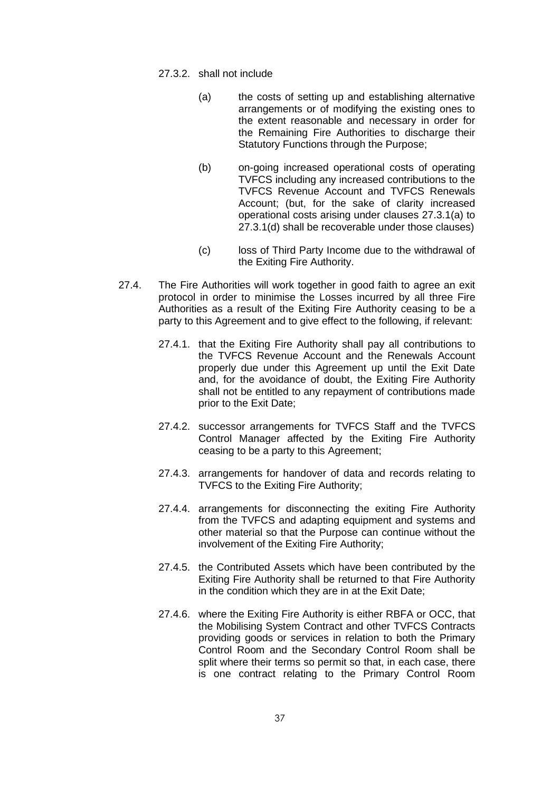- 27.3.2. shall not include
	- (a) the costs of setting up and establishing alternative arrangements or of modifying the existing ones to the extent reasonable and necessary in order for the Remaining Fire Authorities to discharge their Statutory Functions through the Purpose;
	- (b) on-going increased operational costs of operating TVFCS including any increased contributions to the TVFCS Revenue Account and TVFCS Renewals Account; (but, for the sake of clarity increased operational costs arising under clauses [27.3.1\(a\)](#page-38-1) to [27.3.1\(d\)](#page-38-2) shall be recoverable under those clauses)
	- (c) loss of Third Party Income due to the withdrawal of the Exiting Fire Authority.
- <span id="page-39-0"></span>27.4. The Fire Authorities will work together in good faith to agree an exit protocol in order to minimise the Losses incurred by all three Fire Authorities as a result of the Exiting Fire Authority ceasing to be a party to this Agreement and to give effect to the following, if relevant:
	- 27.4.1. that the Exiting Fire Authority shall pay all contributions to the TVFCS Revenue Account and the Renewals Account properly due under this Agreement up until the Exit Date and, for the avoidance of doubt, the Exiting Fire Authority shall not be entitled to any repayment of contributions made prior to the Exit Date;
	- 27.4.2. successor arrangements for TVFCS Staff and the TVFCS Control Manager affected by the Exiting Fire Authority ceasing to be a party to this Agreement;
	- 27.4.3. arrangements for handover of data and records relating to TVFCS to the Exiting Fire Authority;
	- 27.4.4. arrangements for disconnecting the exiting Fire Authority from the TVFCS and adapting equipment and systems and other material so that the Purpose can continue without the involvement of the Exiting Fire Authority;
	- 27.4.5. the Contributed Assets which have been contributed by the Exiting Fire Authority shall be returned to that Fire Authority in the condition which they are in at the Exit Date;
	- 27.4.6. where the Exiting Fire Authority is either RBFA or OCC, that the Mobilising System Contract and other TVFCS Contracts providing goods or services in relation to both the Primary Control Room and the Secondary Control Room shall be split where their terms so permit so that, in each case, there is one contract relating to the Primary Control Room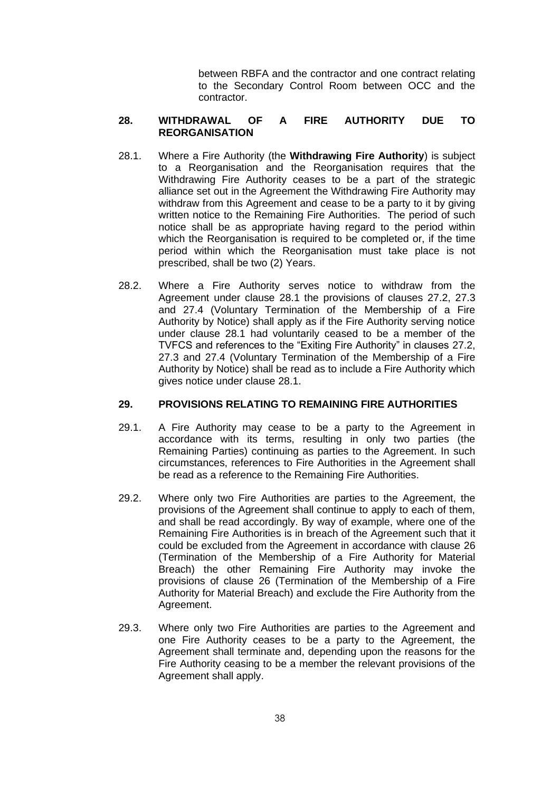between RBFA and the contractor and one contract relating to the Secondary Control Room between OCC and the contractor.

# <span id="page-40-1"></span>**28. WITHDRAWAL OF A FIRE AUTHORITY DUE TO REORGANISATION**

- <span id="page-40-0"></span>28.1. Where a Fire Authority (the **Withdrawing Fire Authority**) is subject to a Reorganisation and the Reorganisation requires that the Withdrawing Fire Authority ceases to be a part of the strategic alliance set out in the Agreement the Withdrawing Fire Authority may withdraw from this Agreement and cease to be a party to it by giving written notice to the Remaining Fire Authorities. The period of such notice shall be as appropriate having regard to the period within which the Reorganisation is required to be completed or, if the time period within which the Reorganisation must take place is not prescribed, shall be two (2) Years.
- 28.2. Where a Fire Authority serves notice to withdraw from the Agreement under clause [28.1](#page-40-0) the provisions of clauses [27.2,](#page-38-0) [27.3](#page-38-3) and [27.4](#page-39-0) (Voluntary Termination of the Membership of a Fire Authority by Notice) shall apply as if the Fire Authority serving notice under clause [28.1](#page-40-0) had voluntarily ceased to be a member of the TVFCS and references to the "Exiting Fire Authority" in clauses [27.2,](#page-38-0) [27.3](#page-38-3) and [27.4](#page-39-0) (Voluntary Termination of the Membership of a Fire Authority by Notice) shall be read as to include a Fire Authority which gives notice under clause [28.1.](#page-40-0)

### <span id="page-40-2"></span>**29. PROVISIONS RELATING TO REMAINING FIRE AUTHORITIES**

- 29.1. A Fire Authority may cease to be a party to the Agreement in accordance with its terms, resulting in only two parties (the Remaining Parties) continuing as parties to the Agreement. In such circumstances, references to Fire Authorities in the Agreement shall be read as a reference to the Remaining Fire Authorities.
- 29.2. Where only two Fire Authorities are parties to the Agreement, the provisions of the Agreement shall continue to apply to each of them, and shall be read accordingly. By way of example, where one of the Remaining Fire Authorities is in breach of the Agreement such that it could be excluded from the Agreement in accordance with clause [26](#page-35-1) (Termination of the Membership of a Fire Authority for Material Breach) the other Remaining Fire Authority may invoke the provisions of clause [26](#page-35-1) (Termination of the Membership of a Fire Authority for Material Breach) and exclude the Fire Authority from the Agreement.
- 29.3. Where only two Fire Authorities are parties to the Agreement and one Fire Authority ceases to be a party to the Agreement, the Agreement shall terminate and, depending upon the reasons for the Fire Authority ceasing to be a member the relevant provisions of the Agreement shall apply.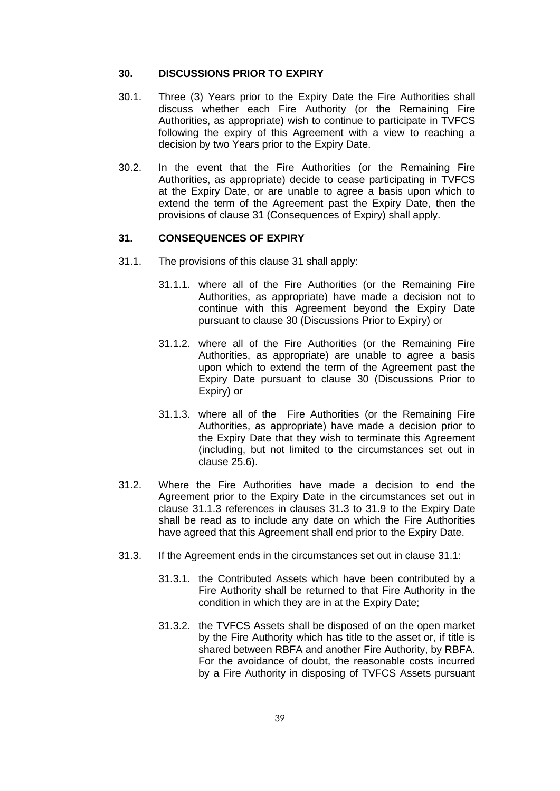#### <span id="page-41-1"></span>**30. DISCUSSIONS PRIOR TO EXPIRY**

- 30.1. Three (3) Years prior to the Expiry Date the Fire Authorities shall discuss whether each Fire Authority (or the Remaining Fire Authorities, as appropriate) wish to continue to participate in TVFCS following the expiry of this Agreement with a view to reaching a decision by two Years prior to the Expiry Date.
- 30.2. In the event that the Fire Authorities (or the Remaining Fire Authorities, as appropriate) decide to cease participating in TVFCS at the Expiry Date, or are unable to agree a basis upon which to extend the term of the Agreement past the Expiry Date, then the provisions of clause 31 (Consequences of Expiry) shall apply.

#### <span id="page-41-0"></span>**31. CONSEQUENCES OF EXPIRY**

- <span id="page-41-4"></span>31.1. The provisions of this clause [31](#page-41-0) shall apply:
	- 31.1.1. where all of the Fire Authorities (or the Remaining Fire Authorities, as appropriate) have made a decision not to continue with this Agreement beyond the Expiry Date pursuant to clause [30](#page-41-1) (Discussions Prior to Expiry) or
	- 31.1.2. where all of the Fire Authorities (or the Remaining Fire Authorities, as appropriate) are unable to agree a basis upon which to extend the term of the Agreement past the Expiry Date pursuant to clause [30](#page-41-1) (Discussions Prior to Expiry) or
	- 31.1.3. where all of the Fire Authorities (or the Remaining Fire Authorities, as appropriate) have made a decision prior to the Expiry Date that they wish to terminate this Agreement (including, but not limited to the circumstances set out in clause [25.6\)](#page-34-1).
- <span id="page-41-2"></span>31.2. Where the Fire Authorities have made a decision to end the Agreement prior to the Expiry Date in the circumstances set out in clause [31.1.3](#page-41-2) references in clauses [31.3](#page-41-3) to [31.9](#page-43-0) to the Expiry Date shall be read as to include any date on which the Fire Authorities have agreed that this Agreement shall end prior to the Expiry Date.
- <span id="page-41-5"></span><span id="page-41-3"></span>31.3. If the Agreement ends in the circumstances set out in clause [31.1:](#page-41-4)
	- 31.3.1. the Contributed Assets which have been contributed by a Fire Authority shall be returned to that Fire Authority in the condition in which they are in at the Expiry Date;
	- 31.3.2. the TVFCS Assets shall be disposed of on the open market by the Fire Authority which has title to the asset or, if title is shared between RBFA and another Fire Authority, by RBFA. For the avoidance of doubt, the reasonable costs incurred by a Fire Authority in disposing of TVFCS Assets pursuant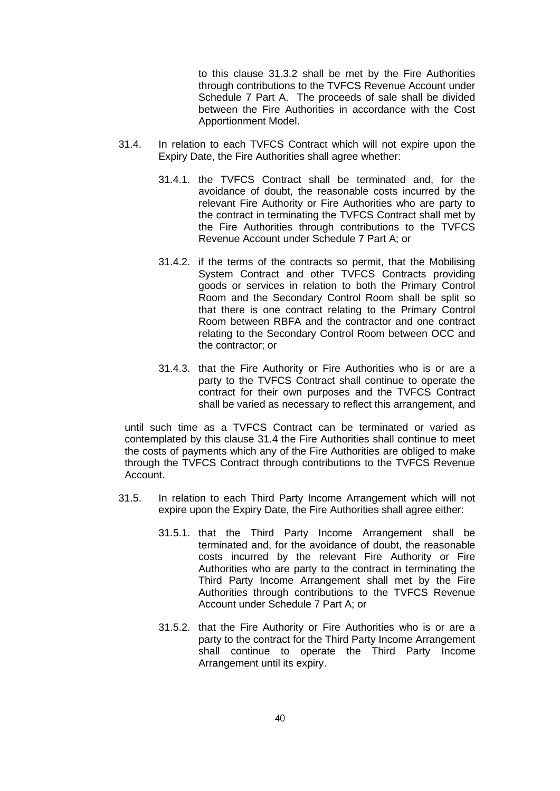to this clause [31.3.2](#page-41-5) shall be met by the Fire Authorities through contributions to the TVFCS Revenue Account under Schedule 7 Part A. The proceeds of sale shall be divided between the Fire Authorities in accordance with the Cost Apportionment Model.

- <span id="page-42-0"></span>31.4. In relation to each TVFCS Contract which will not expire upon the Expiry Date, the Fire Authorities shall agree whether:
	- 31.4.1. the TVFCS Contract shall be terminated and, for the avoidance of doubt, the reasonable costs incurred by the relevant Fire Authority or Fire Authorities who are party to the contract in terminating the TVFCS Contract shall met by the Fire Authorities through contributions to the TVFCS Revenue Account under Schedule 7 Part A; or
	- 31.4.2. if the terms of the contracts so permit, that the Mobilising System Contract and other TVFCS Contracts providing goods or services in relation to both the Primary Control Room and the Secondary Control Room shall be split so that there is one contract relating to the Primary Control Room between RBFA and the contractor and one contract relating to the Secondary Control Room between OCC and the contractor; or
	- 31.4.3. that the Fire Authority or Fire Authorities who is or are a party to the TVFCS Contract shall continue to operate the contract for their own purposes and the TVFCS Contract shall be varied as necessary to reflect this arrangement, and

until such time as a TVFCS Contract can be terminated or varied as contemplated by this clause [31.4](#page-42-0) the Fire Authorities shall continue to meet the costs of payments which any of the Fire Authorities are obliged to make through the TVFCS Contract through contributions to the TVFCS Revenue Account.

- 31.5. In relation to each Third Party Income Arrangement which will not expire upon the Expiry Date, the Fire Authorities shall agree either:
	- 31.5.1. that the Third Party Income Arrangement shall be terminated and, for the avoidance of doubt, the reasonable costs incurred by the relevant Fire Authority or Fire Authorities who are party to the contract in terminating the Third Party Income Arrangement shall met by the Fire Authorities through contributions to the TVFCS Revenue Account under Schedule 7 Part A; or
	- 31.5.2. that the Fire Authority or Fire Authorities who is or are a party to the contract for the Third Party Income Arrangement shall continue to operate the Third Party Income Arrangement until its expiry.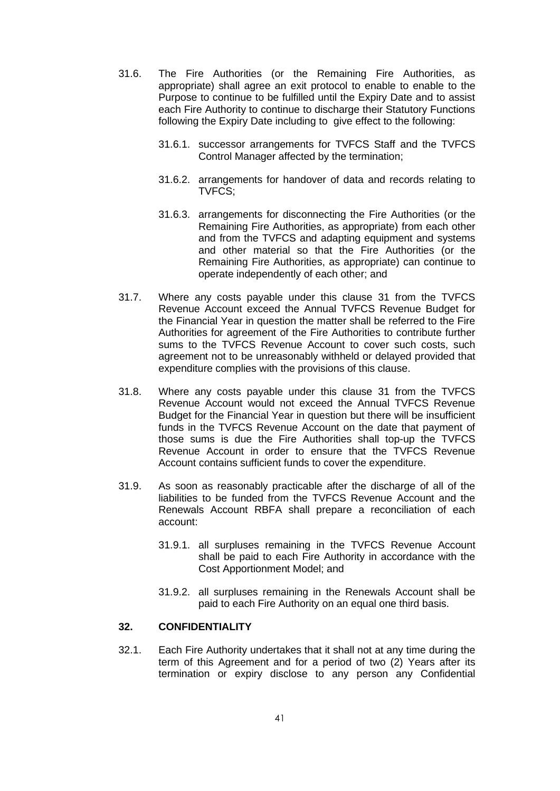- 31.6. The Fire Authorities (or the Remaining Fire Authorities, as appropriate) shall agree an exit protocol to enable to enable to the Purpose to continue to be fulfilled until the Expiry Date and to assist each Fire Authority to continue to discharge their Statutory Functions following the Expiry Date including to give effect to the following:
	- 31.6.1. successor arrangements for TVFCS Staff and the TVFCS Control Manager affected by the termination;
	- 31.6.2. arrangements for handover of data and records relating to TVFCS;
	- 31.6.3. arrangements for disconnecting the Fire Authorities (or the Remaining Fire Authorities, as appropriate) from each other and from the TVFCS and adapting equipment and systems and other material so that the Fire Authorities (or the Remaining Fire Authorities, as appropriate) can continue to operate independently of each other; and
- 31.7. Where any costs payable under this clause [31](#page-41-0) from the TVFCS Revenue Account exceed the Annual TVFCS Revenue Budget for the Financial Year in question the matter shall be referred to the Fire Authorities for agreement of the Fire Authorities to contribute further sums to the TVFCS Revenue Account to cover such costs, such agreement not to be unreasonably withheld or delayed provided that expenditure complies with the provisions of this clause.
- 31.8. Where any costs payable under this clause [31](#page-41-0) from the TVFCS Revenue Account would not exceed the Annual TVFCS Revenue Budget for the Financial Year in question but there will be insufficient funds in the TVFCS Revenue Account on the date that payment of those sums is due the Fire Authorities shall top-up the TVFCS Revenue Account in order to ensure that the TVFCS Revenue Account contains sufficient funds to cover the expenditure.
- <span id="page-43-0"></span>31.9. As soon as reasonably practicable after the discharge of all of the liabilities to be funded from the TVFCS Revenue Account and the Renewals Account RBFA shall prepare a reconciliation of each account:
	- 31.9.1. all surpluses remaining in the TVFCS Revenue Account shall be paid to each Fire Authority in accordance with the Cost Apportionment Model; and
	- 31.9.2. all surpluses remaining in the Renewals Account shall be paid to each Fire Authority on an equal one third basis.

# <span id="page-43-1"></span>**32. CONFIDENTIALITY**

32.1. Each Fire Authority undertakes that it shall not at any time during the term of this Agreement and for a period of two (2) Years after its termination or expiry disclose to any person any Confidential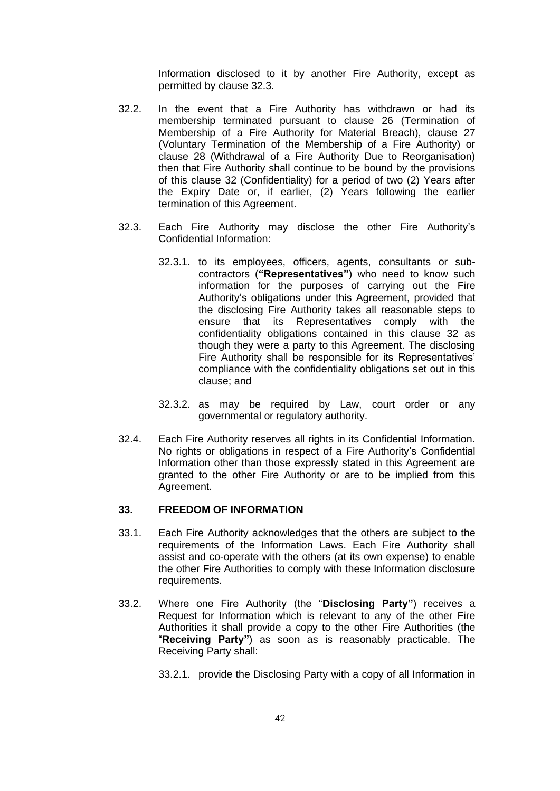Information disclosed to it by another Fire Authority, except as permitted by clause [32.3.](#page-44-0)

- 32.2. In the event that a Fire Authority has withdrawn or had its membership terminated pursuant to clause [26](#page-35-1) (Termination of Membership of a Fire Authority for Material Breach), clause [27](#page-38-4) (Voluntary Termination of the Membership of a Fire Authority) or clause [28](#page-40-1) (Withdrawal of a Fire Authority Due to Reorganisation) then that Fire Authority shall continue to be bound by the provisions of this clause [32](#page-43-1) (Confidentiality) for a period of two (2) Years after the Expiry Date or, if earlier, (2) Years following the earlier termination of this Agreement.
- <span id="page-44-0"></span>32.3. Each Fire Authority may disclose the other Fire Authority's Confidential Information:
	- 32.3.1. to its employees, officers, agents, consultants or subcontractors (**"Representatives"**) who need to know such information for the purposes of carrying out the Fire Authority's obligations under this Agreement, provided that the disclosing Fire Authority takes all reasonable steps to ensure that its Representatives comply with the confidentiality obligations contained in this clause [32](#page-43-1) as though they were a party to this Agreement. The disclosing Fire Authority shall be responsible for its Representatives' compliance with the confidentiality obligations set out in this clause; and
	- 32.3.2. as may be required by Law, court order or any governmental or regulatory authority.
- 32.4. Each Fire Authority reserves all rights in its Confidential Information. No rights or obligations in respect of a Fire Authority's Confidential Information other than those expressly stated in this Agreement are granted to the other Fire Authority or are to be implied from this Agreement.

# <span id="page-44-1"></span>**33. FREEDOM OF INFORMATION**

- 33.1. Each Fire Authority acknowledges that the others are subject to the requirements of the Information Laws. Each Fire Authority shall assist and co-operate with the others (at its own expense) to enable the other Fire Authorities to comply with these Information disclosure requirements.
- <span id="page-44-2"></span>33.2. Where one Fire Authority (the "**Disclosing Party"**) receives a Request for Information which is relevant to any of the other Fire Authorities it shall provide a copy to the other Fire Authorities (the "**Receiving Party"**) as soon as is reasonably practicable. The Receiving Party shall:

33.2.1. provide the Disclosing Party with a copy of all Information in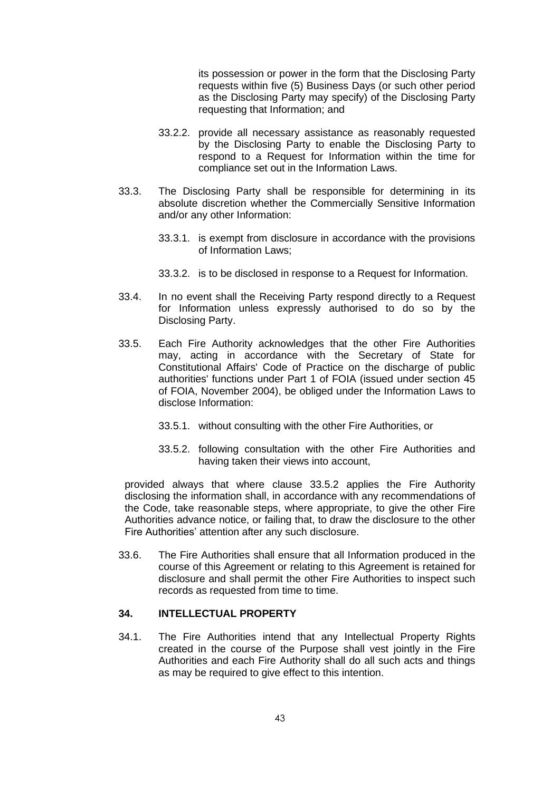its possession or power in the form that the Disclosing Party requests within five (5) Business Days (or such other period as the Disclosing Party may specify) of the Disclosing Party requesting that Information; and

- 33.2.2. provide all necessary assistance as reasonably requested by the Disclosing Party to enable the Disclosing Party to respond to a Request for Information within the time for compliance set out in the Information Laws.
- 33.3. The Disclosing Party shall be responsible for determining in its absolute discretion whether the Commercially Sensitive Information and/or any other Information:
	- 33.3.1. is exempt from disclosure in accordance with the provisions of Information Laws;
	- 33.3.2. is to be disclosed in response to a Request for Information.
- 33.4. In no event shall the Receiving Party respond directly to a Request for Information unless expressly authorised to do so by the Disclosing Party.
- 33.5. Each Fire Authority acknowledges that the other Fire Authorities may, acting in accordance with the Secretary of State for Constitutional Affairs' Code of Practice on the discharge of public authorities' functions under Part 1 of FOIA (issued under section 45 of FOIA, November 2004), be obliged under the Information Laws to disclose Information:
	- 33.5.1. without consulting with the other Fire Authorities, or
	- 33.5.2. following consultation with the other Fire Authorities and having taken their views into account,

<span id="page-45-0"></span>provided always that where clause [33.5.2](#page-45-0) applies the Fire Authority disclosing the information shall, in accordance with any recommendations of the Code, take reasonable steps, where appropriate, to give the other Fire Authorities advance notice, or failing that, to draw the disclosure to the other Fire Authorities' attention after any such disclosure.

33.6. The Fire Authorities shall ensure that all Information produced in the course of this Agreement or relating to this Agreement is retained for disclosure and shall permit the other Fire Authorities to inspect such records as requested from time to time.

# **34. INTELLECTUAL PROPERTY**

<span id="page-45-1"></span>34.1. The Fire Authorities intend that any Intellectual Property Rights created in the course of the Purpose shall vest jointly in the Fire Authorities and each Fire Authority shall do all such acts and things as may be required to give effect to this intention.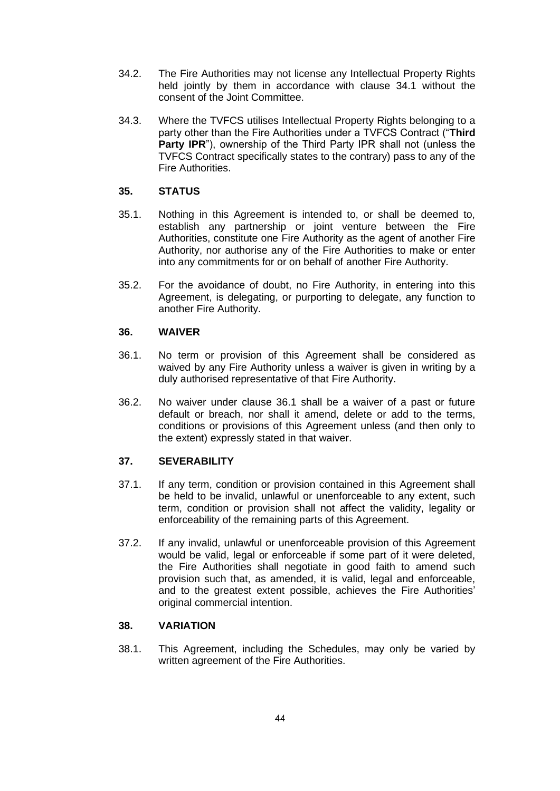- 34.2. The Fire Authorities may not license any Intellectual Property Rights held jointly by them in accordance with clause [34.1](#page-45-1) without the consent of the Joint Committee.
- 34.3. Where the TVFCS utilises Intellectual Property Rights belonging to a party other than the Fire Authorities under a TVFCS Contract ("**Third Party IPR**"), ownership of the Third Party IPR shall not (unless the TVFCS Contract specifically states to the contrary) pass to any of the Fire Authorities.

# **35. STATUS**

- 35.1. Nothing in this Agreement is intended to, or shall be deemed to, establish any partnership or joint venture between the Fire Authorities, constitute one Fire Authority as the agent of another Fire Authority, nor authorise any of the Fire Authorities to make or enter into any commitments for or on behalf of another Fire Authority.
- 35.2. For the avoidance of doubt, no Fire Authority, in entering into this Agreement, is delegating, or purporting to delegate, any function to another Fire Authority.

### **36. WAIVER**

- <span id="page-46-0"></span>36.1. No term or provision of this Agreement shall be considered as waived by any Fire Authority unless a waiver is given in writing by a duly authorised representative of that Fire Authority.
- 36.2. No waiver under clause [36.1](#page-46-0) shall be a waiver of a past or future default or breach, nor shall it amend, delete or add to the terms, conditions or provisions of this Agreement unless (and then only to the extent) expressly stated in that waiver.

### **37. SEVERABILITY**

- 37.1. If any term, condition or provision contained in this Agreement shall be held to be invalid, unlawful or unenforceable to any extent, such term, condition or provision shall not affect the validity, legality or enforceability of the remaining parts of this Agreement.
- 37.2. If any invalid, unlawful or unenforceable provision of this Agreement would be valid, legal or enforceable if some part of it were deleted, the Fire Authorities shall negotiate in good faith to amend such provision such that, as amended, it is valid, legal and enforceable, and to the greatest extent possible, achieves the Fire Authorities' original commercial intention.

## **38. VARIATION**

38.1. This Agreement, including the Schedules, may only be varied by written agreement of the Fire Authorities.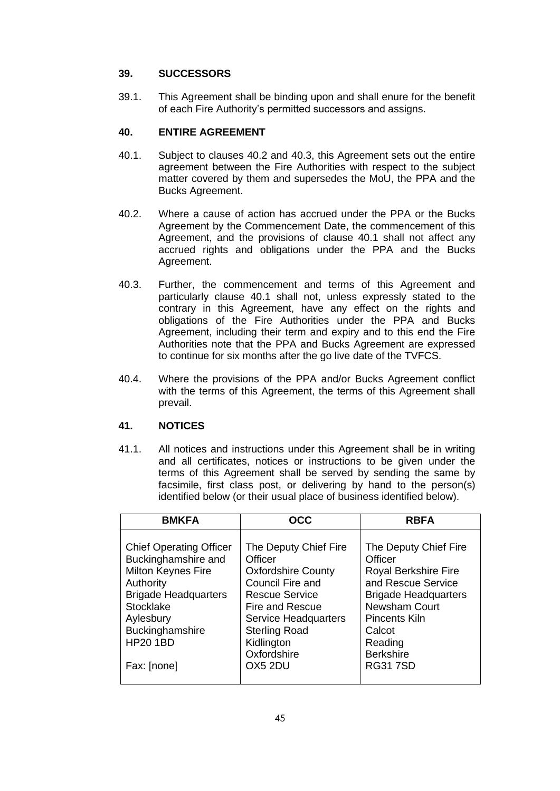# **39. SUCCESSORS**

39.1. This Agreement shall be binding upon and shall enure for the benefit of each Fire Authority's permitted successors and assigns.

# **40. ENTIRE AGREEMENT**

- <span id="page-47-2"></span>40.1. Subject to clauses [40.2](#page-47-0) and [40.3,](#page-47-1) this Agreement sets out the entire agreement between the Fire Authorities with respect to the subject matter covered by them and supersedes the MoU, the PPA and the Bucks Agreement.
- <span id="page-47-0"></span>40.2. Where a cause of action has accrued under the PPA or the Bucks Agreement by the Commencement Date, the commencement of this Agreement, and the provisions of clause [40.1](#page-47-2) shall not affect any accrued rights and obligations under the PPA and the Bucks Agreement.
- <span id="page-47-1"></span>40.3. Further, the commencement and terms of this Agreement and particularly clause [40.1](#page-47-2) shall not, unless expressly stated to the contrary in this Agreement, have any effect on the rights and obligations of the Fire Authorities under the PPA and Bucks Agreement, including their term and expiry and to this end the Fire Authorities note that the PPA and Bucks Agreement are expressed to continue for six months after the go live date of the TVFCS.
- 40.4. Where the provisions of the PPA and/or Bucks Agreement conflict with the terms of this Agreement, the terms of this Agreement shall prevail.

# <span id="page-47-3"></span>**41. NOTICES**

41.1. All notices and instructions under this Agreement shall be in writing and all certificates, notices or instructions to be given under the terms of this Agreement shall be served by sending the same by facsimile, first class post, or delivering by hand to the person(s) identified below (or their usual place of business identified below).

| <b>BMKFA</b>                                                                                                                                                    | OCC                                                                                                                                                                        | <b>RBFA</b>                                                                                                                                                   |
|-----------------------------------------------------------------------------------------------------------------------------------------------------------------|----------------------------------------------------------------------------------------------------------------------------------------------------------------------------|---------------------------------------------------------------------------------------------------------------------------------------------------------------|
| <b>Chief Operating Officer</b><br>Buckinghamshire and<br><b>Milton Keynes Fire</b><br>Authority<br><b>Brigade Headquarters</b><br><b>Stocklake</b><br>Aylesbury | The Deputy Chief Fire<br>Officer<br><b>Oxfordshire County</b><br><b>Council Fire and</b><br><b>Rescue Service</b><br><b>Fire and Rescue</b><br><b>Service Headquarters</b> | The Deputy Chief Fire<br>Officer<br><b>Royal Berkshire Fire</b><br>and Rescue Service<br><b>Brigade Headquarters</b><br><b>Newsham Court</b><br>Pincents Kiln |
| Buckinghamshire<br><b>HP20 1BD</b><br>Fax: [none]                                                                                                               | <b>Sterling Road</b><br>Kidlington<br>Oxfordshire<br>OX5 2DU                                                                                                               | Calcot<br>Reading<br><b>Berkshire</b><br><b>RG317SD</b>                                                                                                       |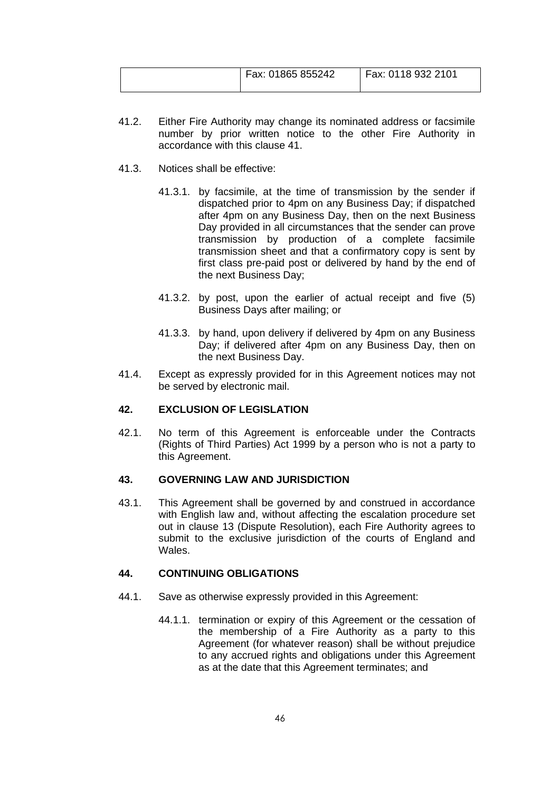| Fax: 01865 855242 | Fax: 0118 932 2101 |
|-------------------|--------------------|
|                   |                    |

- 41.2. Either Fire Authority may change its nominated address or facsimile number by prior written notice to the other Fire Authority in accordance with this clause [41.](#page-47-3)
- 41.3. Notices shall be effective:
	- 41.3.1. by facsimile, at the time of transmission by the sender if dispatched prior to 4pm on any Business Day; if dispatched after 4pm on any Business Day, then on the next Business Day provided in all circumstances that the sender can prove transmission by production of a complete facsimile transmission sheet and that a confirmatory copy is sent by first class pre-paid post or delivered by hand by the end of the next Business Day;
	- 41.3.2. by post, upon the earlier of actual receipt and five (5) Business Days after mailing; or
	- 41.3.3. by hand, upon delivery if delivered by 4pm on any Business Day; if delivered after 4pm on any Business Day, then on the next Business Day.
- 41.4. Except as expressly provided for in this Agreement notices may not be served by electronic mail.

# **42. EXCLUSION OF LEGISLATION**

42.1. No term of this Agreement is enforceable under the Contracts (Rights of Third Parties) Act 1999 by a person who is not a party to this Agreement.

### **43. GOVERNING LAW AND JURISDICTION**

43.1. This Agreement shall be governed by and construed in accordance with English law and, without affecting the escalation procedure set out in clause [13](#page-16-0) (Dispute Resolution), each Fire Authority agrees to submit to the exclusive jurisdiction of the courts of England and Wales.

### <span id="page-48-0"></span>**44. CONTINUING OBLIGATIONS**

- 44.1. Save as otherwise expressly provided in this Agreement:
	- 44.1.1. termination or expiry of this Agreement or the cessation of the membership of a Fire Authority as a party to this Agreement (for whatever reason) shall be without prejudice to any accrued rights and obligations under this Agreement as at the date that this Agreement terminates; and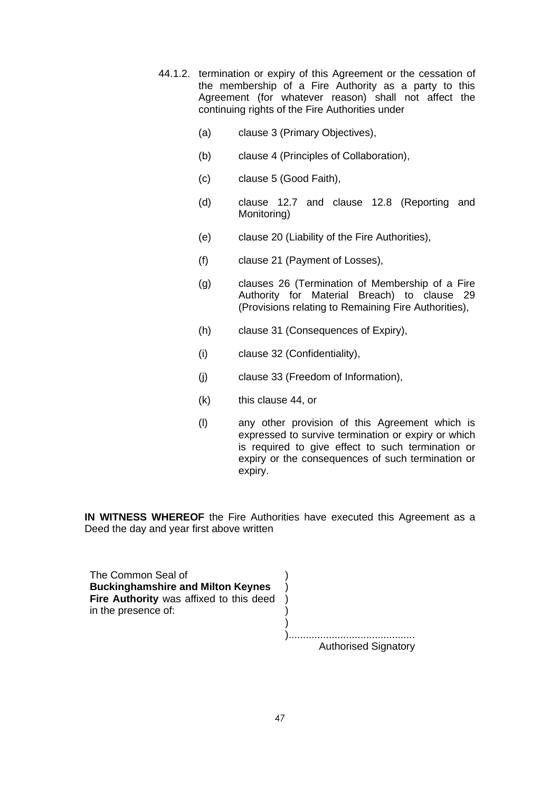- 44.1.2. termination or expiry of this Agreement or the cessation of the membership of a Fire Authority as a party to this Agreement (for whatever reason) shall not affect the continuing rights of the Fire Authorities under
	- (a) clause [3](#page-6-0) (Primary Objectives),
	- (b) clause [4](#page-6-1) (Principles of Collaboration),
	- (c) clause [5](#page-7-0) (Good Faith),
	- (d) clause [12.7](#page-16-1) and clause [12.8](#page-16-2) (Reporting and Monitoring)
	- (e) clause [20](#page-26-0) (Liability of the Fire Authorities),
	- (f) clause [21](#page-27-0) (Payment of Losses),
	- (g) clauses [26](#page-35-1) (Termination of Membership of a Fire Authority for Material Breach) to clause [29](#page-40-2) (Provisions relating to Remaining Fire Authorities),
	- (h) clause [31](#page-41-0) (Consequences of Expiry),
	- (i) clause [32](#page-43-1) (Confidentiality),
	- (j) clause [33](#page-44-1) (Freedom of Information),
	- (k) this clause [44,](#page-48-0) or
	- (l) any other provision of this Agreement which is expressed to survive termination or expiry or which is required to give effect to such termination or expiry or the consequences of such termination or expiry.

**IN WITNESS WHEREOF** the Fire Authorities have executed this Agreement as a Deed the day and year first above written

The Common Seal of *Algebra* (*Algebra*) **Buckinghamshire and Milton Keynes** ) **Fire Authority** was affixed to this deed in the presence of:

| <b>Authorised Signatory</b> |
|-----------------------------|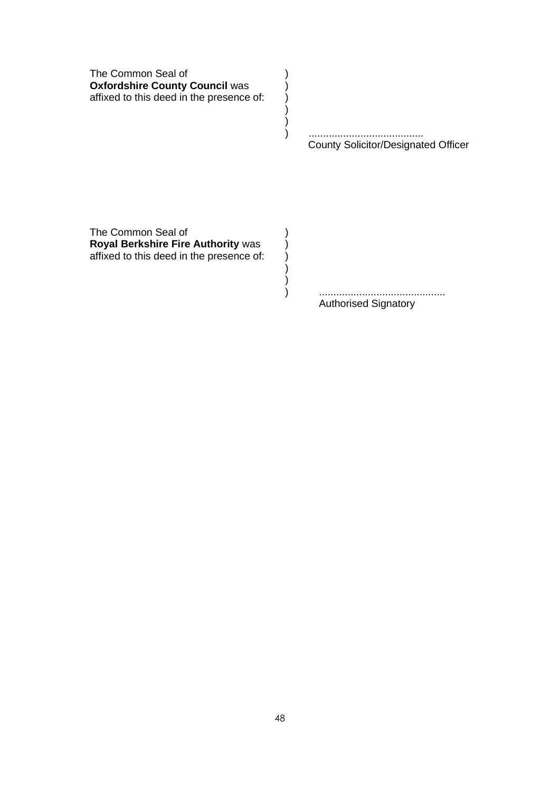The Common Seal of (1) **Oxfordshire County Council was (b)** affixed to this deed in the presence of: )

> ) ........................................ County Solicitor/Designated Officer

) )

) )

The Common Seal of (1) **Royal Berkshire Fire Authority was (b)** affixed to this deed in the presence of: )

> ) ............................................ Authorised Signatory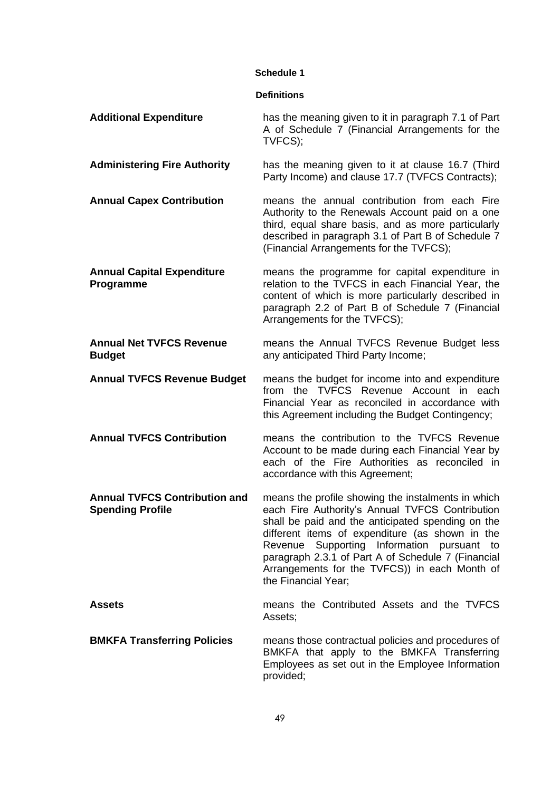### **Schedule 1**

### **Definitions**

| <b>Additional Expenditure</b>                                   | has the meaning given to it in paragraph 7.1 of Part<br>A of Schedule 7 (Financial Arrangements for the<br>TVFCS);                                                                                                                                                                                                                                                                              |
|-----------------------------------------------------------------|-------------------------------------------------------------------------------------------------------------------------------------------------------------------------------------------------------------------------------------------------------------------------------------------------------------------------------------------------------------------------------------------------|
| <b>Administering Fire Authority</b>                             | has the meaning given to it at clause 16.7 (Third<br>Party Income) and clause 17.7 (TVFCS Contracts);                                                                                                                                                                                                                                                                                           |
| <b>Annual Capex Contribution</b>                                | means the annual contribution from each Fire<br>Authority to the Renewals Account paid on a one<br>third, equal share basis, and as more particularly<br>described in paragraph 3.1 of Part B of Schedule 7<br>(Financial Arrangements for the TVFCS);                                                                                                                                          |
| <b>Annual Capital Expenditure</b><br>Programme                  | means the programme for capital expenditure in<br>relation to the TVFCS in each Financial Year, the<br>content of which is more particularly described in<br>paragraph 2.2 of Part B of Schedule 7 (Financial<br>Arrangements for the TVFCS);                                                                                                                                                   |
| <b>Annual Net TVFCS Revenue</b><br><b>Budget</b>                | means the Annual TVFCS Revenue Budget less<br>any anticipated Third Party Income;                                                                                                                                                                                                                                                                                                               |
| <b>Annual TVFCS Revenue Budget</b>                              | means the budget for income into and expenditure<br>from the TVFCS Revenue Account in each<br>Financial Year as reconciled in accordance with<br>this Agreement including the Budget Contingency;                                                                                                                                                                                               |
| <b>Annual TVFCS Contribution</b>                                | means the contribution to the TVFCS Revenue<br>Account to be made during each Financial Year by<br>each of the Fire Authorities as reconciled in<br>accordance with this Agreement;                                                                                                                                                                                                             |
| <b>Annual TVFCS Contribution and</b><br><b>Spending Profile</b> | means the profile showing the instalments in which<br>each Fire Authority's Annual TVFCS Contribution<br>shall be paid and the anticipated spending on the<br>different items of expenditure (as shown in the<br>Supporting Information pursuant<br>Revenue<br>to<br>paragraph 2.3.1 of Part A of Schedule 7 (Financial<br>Arrangements for the TVFCS)) in each Month of<br>the Financial Year; |
| <b>Assets</b>                                                   | means the Contributed Assets and the TVFCS<br>Assets;                                                                                                                                                                                                                                                                                                                                           |
| <b>BMKFA Transferring Policies</b>                              | means those contractual policies and procedures of<br>BMKFA that apply to the BMKFA Transferring<br>Employees as set out in the Employee Information<br>provided;                                                                                                                                                                                                                               |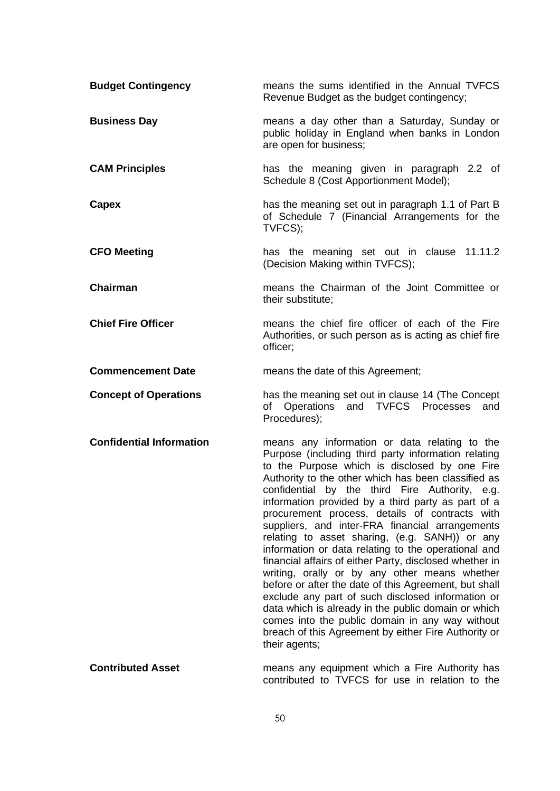| <b>Budget Contingency</b>       | means the sums identified in the Annual TVFCS<br>Revenue Budget as the budget contingency;                                                                                                                                                                                                                                                                                                                                                                                                                                                                                                                                                                                                                                                                                                                                                                                                                                                      |
|---------------------------------|-------------------------------------------------------------------------------------------------------------------------------------------------------------------------------------------------------------------------------------------------------------------------------------------------------------------------------------------------------------------------------------------------------------------------------------------------------------------------------------------------------------------------------------------------------------------------------------------------------------------------------------------------------------------------------------------------------------------------------------------------------------------------------------------------------------------------------------------------------------------------------------------------------------------------------------------------|
| <b>Business Day</b>             | means a day other than a Saturday, Sunday or<br>public holiday in England when banks in London<br>are open for business;                                                                                                                                                                                                                                                                                                                                                                                                                                                                                                                                                                                                                                                                                                                                                                                                                        |
| <b>CAM Principles</b>           | has the meaning given in paragraph 2.2 of<br>Schedule 8 (Cost Apportionment Model);                                                                                                                                                                                                                                                                                                                                                                                                                                                                                                                                                                                                                                                                                                                                                                                                                                                             |
| Capex                           | has the meaning set out in paragraph 1.1 of Part B<br>of Schedule 7 (Financial Arrangements for the<br>TVFCS);                                                                                                                                                                                                                                                                                                                                                                                                                                                                                                                                                                                                                                                                                                                                                                                                                                  |
| <b>CFO Meeting</b>              | has the meaning set out in clause 11.11.2<br>(Decision Making within TVFCS);                                                                                                                                                                                                                                                                                                                                                                                                                                                                                                                                                                                                                                                                                                                                                                                                                                                                    |
| <b>Chairman</b>                 | means the Chairman of the Joint Committee or<br>their substitute;                                                                                                                                                                                                                                                                                                                                                                                                                                                                                                                                                                                                                                                                                                                                                                                                                                                                               |
| <b>Chief Fire Officer</b>       | means the chief fire officer of each of the Fire<br>Authorities, or such person as is acting as chief fire<br>officer;                                                                                                                                                                                                                                                                                                                                                                                                                                                                                                                                                                                                                                                                                                                                                                                                                          |
| <b>Commencement Date</b>        | means the date of this Agreement;                                                                                                                                                                                                                                                                                                                                                                                                                                                                                                                                                                                                                                                                                                                                                                                                                                                                                                               |
| <b>Concept of Operations</b>    | has the meaning set out in clause 14 (The Concept<br>of Operations and TVFCS Processes<br>and<br>Procedures);                                                                                                                                                                                                                                                                                                                                                                                                                                                                                                                                                                                                                                                                                                                                                                                                                                   |
| <b>Confidential Information</b> | means any information or data relating to the<br>Purpose (including third party information relating<br>to the Purpose which is disclosed by one Fire<br>Authority to the other which has been classified as<br>confidential by the third Fire Authority, e.g.<br>information provided by a third party as part of a<br>procurement process, details of contracts with<br>suppliers, and inter-FRA financial arrangements<br>relating to asset sharing, (e.g. SANH)) or any<br>information or data relating to the operational and<br>financial affairs of either Party, disclosed whether in<br>writing, orally or by any other means whether<br>before or after the date of this Agreement, but shall<br>exclude any part of such disclosed information or<br>data which is already in the public domain or which<br>comes into the public domain in any way without<br>breach of this Agreement by either Fire Authority or<br>their agents; |
| <b>Contributed Asset</b>        | means any equipment which a Fire Authority has<br>contributed to TVFCS for use in relation to the                                                                                                                                                                                                                                                                                                                                                                                                                                                                                                                                                                                                                                                                                                                                                                                                                                               |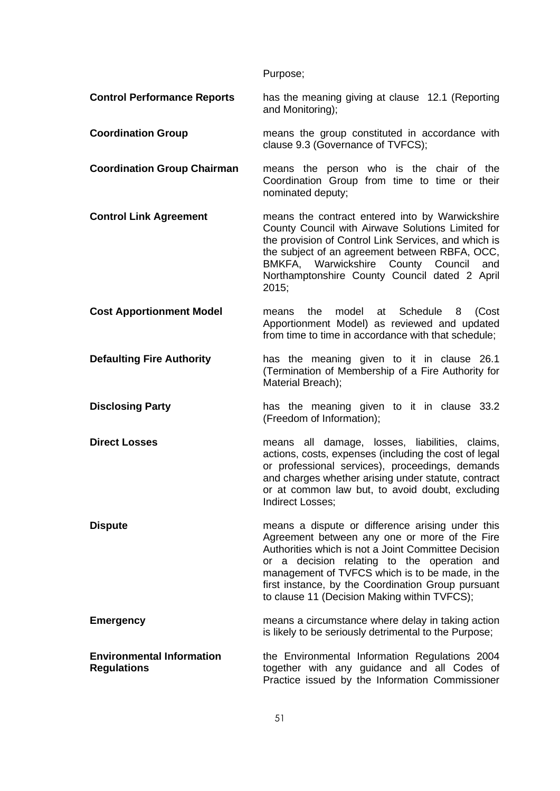Purpose;

**Control Performance Reports** has the meaning giving at clause [12.1](#page-15-0) (Reporting and Monitoring);

**Coordination Group** means the group constituted in accordance with clause [9.3](#page-11-0) (Governance of TVFCS);

**Coordination Group Chairman** means the person who is the chair of the Coordination Group from time to time or their nominated deputy;

**Control Link Agreement** means the contract entered into by Warwickshire County Council with Airwave Solutions Limited for the provision of Control Link Services, and which is the subject of an agreement between RBFA, OCC, BMKFA, Warwickshire County Council and Northamptonshire County Council dated 2 April 2015;

**Cost Apportionment Model** means the model at Schedule 8 (Cost Apportionment Model) as reviewed and updated from time to time in accordance with that schedule;

**Defaulting Fire Authority** has the meaning given to it in clause [26.1](#page-35-0) (Termination of Membership of a Fire Authority for Material Breach);

**Disclosing Party has the meaning given to it in clause [33.2](#page-44-2)** (Freedom of Information);

**Direct Losses** means all damage, losses, liabilities, claims, actions, costs, expenses (including the cost of legal or professional services), proceedings, demands and charges whether arising under statute, contract or at common law but, to avoid doubt, excluding Indirect Losses;

**Dispute Dispute means** a dispute or difference arising under this Agreement between any one or more of the Fire Authorities which is not a Joint Committee Decision or a decision relating to the operation and management of TVFCS which is to be made, in the first instance, by the Coordination Group pursuant to clause [11](#page-12-0) (Decision Making within TVFCS);

**Emergency Emergency Emergency Emergency Emergency Emergency Emergency EMEX EMEX EMEX EMEX EMEX EMEX EMEX EMEX EMEX EMEX EMEX EMEX EMEX EMEX EMEX EMEX EMEX EMEX EMEX EMEX** is likely to be seriously detrimental to the Purpose;

**Environmental Information Regulations** the Environmental Information Regulations 2004 together with any guidance and all Codes of Practice issued by the Information Commissioner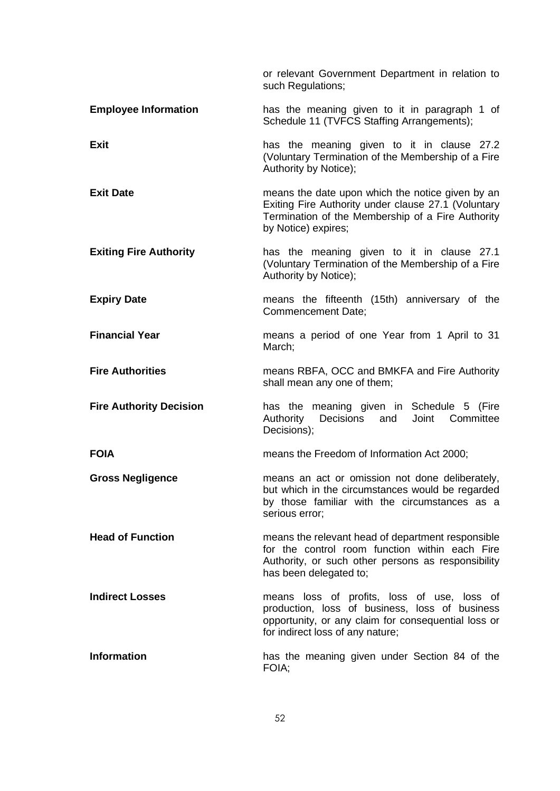|                                | or relevant Government Department in relation to<br>such Regulations;                                                                                                                    |
|--------------------------------|------------------------------------------------------------------------------------------------------------------------------------------------------------------------------------------|
| <b>Employee Information</b>    | has the meaning given to it in paragraph 1 of<br>Schedule 11 (TVFCS Staffing Arrangements);                                                                                              |
| <b>Exit</b>                    | has the meaning given to it in clause 27.2<br>(Voluntary Termination of the Membership of a Fire<br>Authority by Notice);                                                                |
| <b>Exit Date</b>               | means the date upon which the notice given by an<br>Exiting Fire Authority under clause 27.1 (Voluntary<br>Termination of the Membership of a Fire Authority<br>by Notice) expires;      |
| <b>Exiting Fire Authority</b>  | has the meaning given to it in clause 27.1<br>(Voluntary Termination of the Membership of a Fire<br>Authority by Notice);                                                                |
| <b>Expiry Date</b>             | means the fifteenth (15th) anniversary of the<br>Commencement Date;                                                                                                                      |
| <b>Financial Year</b>          | means a period of one Year from 1 April to 31<br>March;                                                                                                                                  |
| <b>Fire Authorities</b>        | means RBFA, OCC and BMKFA and Fire Authority<br>shall mean any one of them;                                                                                                              |
| <b>Fire Authority Decision</b> | has the meaning given in Schedule 5 (Fire<br>Authority Decisions and Joint Committee<br>Decisions);                                                                                      |
| <b>FOIA</b>                    | means the Freedom of Information Act 2000;                                                                                                                                               |
| <b>Gross Negligence</b>        | means an act or omission not done deliberately,<br>but which in the circumstances would be regarded<br>by those familiar with the circumstances as a<br>serious error;                   |
| <b>Head of Function</b>        | means the relevant head of department responsible<br>for the control room function within each Fire<br>Authority, or such other persons as responsibility<br>has been delegated to;      |
| <b>Indirect Losses</b>         | means loss of profits, loss of use, loss of<br>production, loss of business, loss of business<br>opportunity, or any claim for consequential loss or<br>for indirect loss of any nature; |
| <b>Information</b>             | has the meaning given under Section 84 of the<br>FOIA;                                                                                                                                   |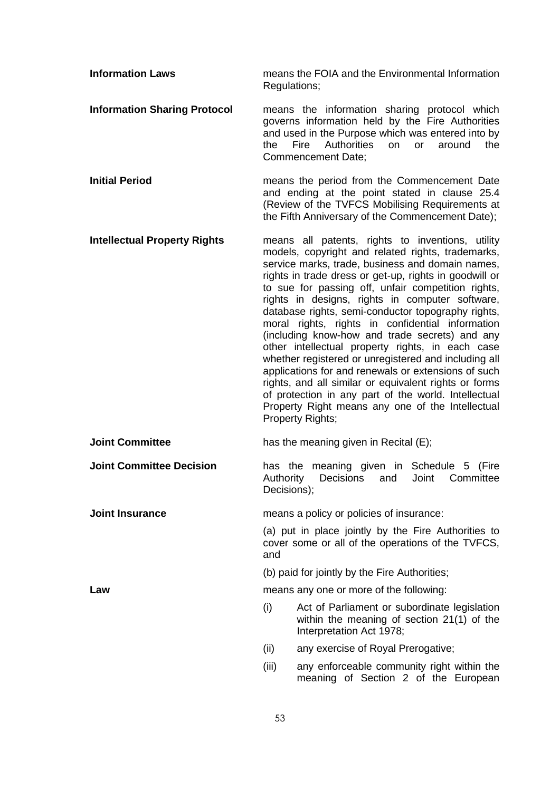| <b>Information Laws</b>             | Regulations;             | means the FOIA and the Environmental Information                                                                                                                                                                                                                                                                                                                                                                                                                                                                                                                                                                                                                                                                                                                                                                                                            |
|-------------------------------------|--------------------------|-------------------------------------------------------------------------------------------------------------------------------------------------------------------------------------------------------------------------------------------------------------------------------------------------------------------------------------------------------------------------------------------------------------------------------------------------------------------------------------------------------------------------------------------------------------------------------------------------------------------------------------------------------------------------------------------------------------------------------------------------------------------------------------------------------------------------------------------------------------|
| <b>Information Sharing Protocol</b> | the                      | means the information sharing protocol which<br>governs information held by the Fire Authorities<br>and used in the Purpose which was entered into by<br>Fire<br><b>Authorities</b><br>on<br>around<br>the<br><b>or</b><br>Commencement Date;                                                                                                                                                                                                                                                                                                                                                                                                                                                                                                                                                                                                               |
| <b>Initial Period</b>               |                          | means the period from the Commencement Date<br>and ending at the point stated in clause 25.4<br>(Review of the TVFCS Mobilising Requirements at<br>the Fifth Anniversary of the Commencement Date);                                                                                                                                                                                                                                                                                                                                                                                                                                                                                                                                                                                                                                                         |
| <b>Intellectual Property Rights</b> |                          | means all patents, rights to inventions, utility<br>models, copyright and related rights, trademarks,<br>service marks, trade, business and domain names,<br>rights in trade dress or get-up, rights in goodwill or<br>to sue for passing off, unfair competition rights,<br>rights in designs, rights in computer software,<br>database rights, semi-conductor topography rights,<br>moral rights, rights in confidential information<br>(including know-how and trade secrets) and any<br>other intellectual property rights, in each case<br>whether registered or unregistered and including all<br>applications for and renewals or extensions of such<br>rights, and all similar or equivalent rights or forms<br>of protection in any part of the world. Intellectual<br>Property Right means any one of the Intellectual<br><b>Property Rights;</b> |
| <b>Joint Committee</b>              |                          | has the meaning given in Recital (E);                                                                                                                                                                                                                                                                                                                                                                                                                                                                                                                                                                                                                                                                                                                                                                                                                       |
| <b>Joint Committee Decision</b>     | Authority<br>Decisions); | has the meaning given in Schedule 5 (Fire<br><b>Decisions</b><br>Joint<br>Committee<br>and                                                                                                                                                                                                                                                                                                                                                                                                                                                                                                                                                                                                                                                                                                                                                                  |
| <b>Joint Insurance</b>              |                          | means a policy or policies of insurance:                                                                                                                                                                                                                                                                                                                                                                                                                                                                                                                                                                                                                                                                                                                                                                                                                    |
|                                     | and                      | (a) put in place jointly by the Fire Authorities to<br>cover some or all of the operations of the TVFCS,                                                                                                                                                                                                                                                                                                                                                                                                                                                                                                                                                                                                                                                                                                                                                    |
|                                     |                          | (b) paid for jointly by the Fire Authorities;                                                                                                                                                                                                                                                                                                                                                                                                                                                                                                                                                                                                                                                                                                                                                                                                               |
| Law                                 |                          | means any one or more of the following:                                                                                                                                                                                                                                                                                                                                                                                                                                                                                                                                                                                                                                                                                                                                                                                                                     |
|                                     | (i)                      | Act of Parliament or subordinate legislation<br>within the meaning of section 21(1) of the<br>Interpretation Act 1978;                                                                                                                                                                                                                                                                                                                                                                                                                                                                                                                                                                                                                                                                                                                                      |
|                                     | (ii)                     | any exercise of Royal Prerogative;                                                                                                                                                                                                                                                                                                                                                                                                                                                                                                                                                                                                                                                                                                                                                                                                                          |
|                                     | (iii)                    | any enforceable community right within the<br>meaning of Section 2 of the European                                                                                                                                                                                                                                                                                                                                                                                                                                                                                                                                                                                                                                                                                                                                                                          |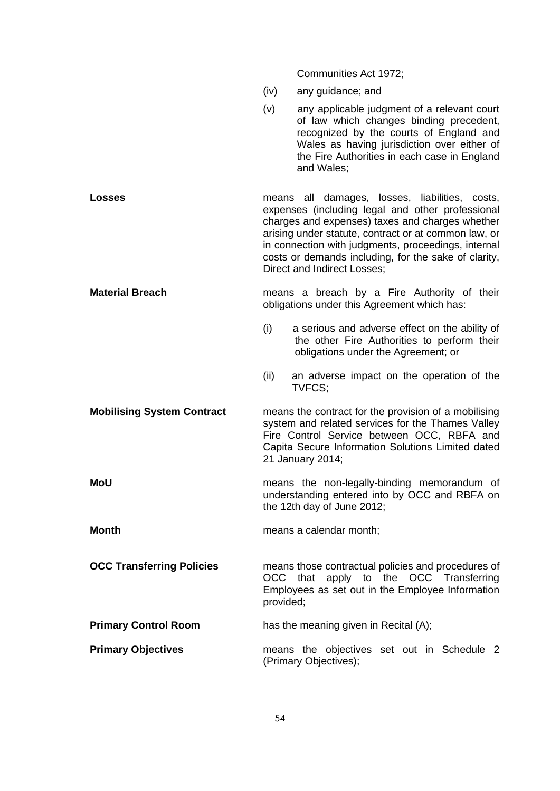Communities Act 1972; (iv) any guidance; and (v) any applicable judgment of a relevant court of law which changes binding precedent, recognized by the courts of England and Wales as having jurisdiction over either of the Fire Authorities in each case in England and Wales; **Losses Example 3** means all damages, losses, liabilities, costs, expenses (including legal and other professional charges and expenses) taxes and charges whether arising under statute, contract or at common law, or in connection with judgments, proceedings, internal costs or demands including, for the sake of clarity, Direct and Indirect Losses; **Material Breach** means a breach by a Fire Authority of their obligations under this Agreement which has: (i) a serious and adverse effect on the ability of the other Fire Authorities to perform their obligations under the Agreement; or (ii) an adverse impact on the operation of the TVFCS; **Mobilising System Contract** means the contract for the provision of a mobilising system and related services for the Thames Valley Fire Control Service between OCC, RBFA and Capita Secure Information Solutions Limited dated 21 January 2014; **MoU** means the non-legally-binding memorandum of understanding entered into by OCC and RBFA on the 12th day of June 2012; **Month Month means a calendar month: OCC Transferring Policies** means those contractual policies and procedures of OCC that apply to the OCC Transferring Employees as set out in the Employee Information provided; **Primary Control Room** has the meaning given in Recital (A); **Primary Objectives means** the objectives set out in Schedule 2 (Primary Objectives);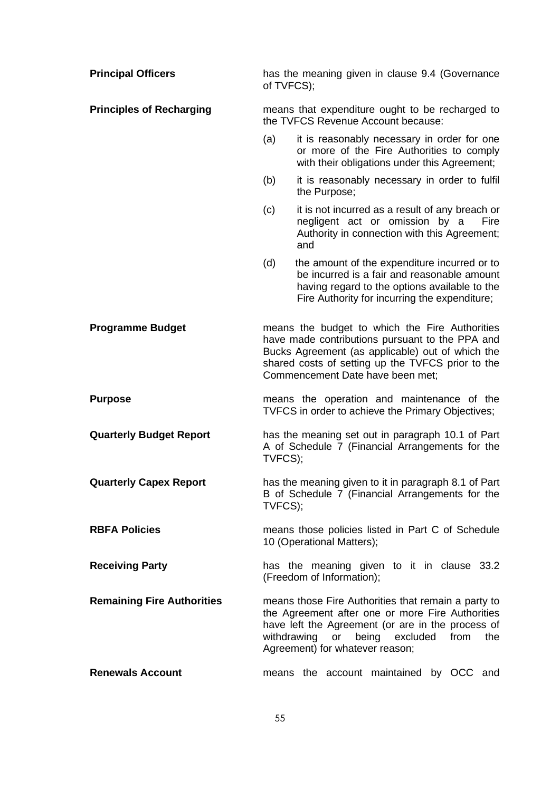| <b>Principal Officers</b>         | has the meaning given in clause 9.4 (Governance<br>of TVFCS);                         |                                                                                                                                                                                                                                                |
|-----------------------------------|---------------------------------------------------------------------------------------|------------------------------------------------------------------------------------------------------------------------------------------------------------------------------------------------------------------------------------------------|
| <b>Principles of Recharging</b>   | means that expenditure ought to be recharged to<br>the TVFCS Revenue Account because: |                                                                                                                                                                                                                                                |
|                                   | (a)                                                                                   | it is reasonably necessary in order for one<br>or more of the Fire Authorities to comply<br>with their obligations under this Agreement;                                                                                                       |
|                                   | (b)                                                                                   | it is reasonably necessary in order to fulfil<br>the Purpose;                                                                                                                                                                                  |
|                                   | (c)                                                                                   | it is not incurred as a result of any breach or<br>negligent act or omission by a<br>Fire<br>Authority in connection with this Agreement;<br>and                                                                                               |
|                                   | (d)                                                                                   | the amount of the expenditure incurred or to<br>be incurred is a fair and reasonable amount<br>having regard to the options available to the<br>Fire Authority for incurring the expenditure;                                                  |
| <b>Programme Budget</b>           |                                                                                       | means the budget to which the Fire Authorities<br>have made contributions pursuant to the PPA and<br>Bucks Agreement (as applicable) out of which the<br>shared costs of setting up the TVFCS prior to the<br>Commencement Date have been met; |
| <b>Purpose</b>                    |                                                                                       | means the operation and maintenance of the<br>TVFCS in order to achieve the Primary Objectives;                                                                                                                                                |
| <b>Quarterly Budget Report</b>    | TVFCS);                                                                               | has the meaning set out in paragraph 10.1 of Part<br>A of Schedule 7 (Financial Arrangements for the                                                                                                                                           |
| <b>Quarterly Capex Report</b>     | TVFCS);                                                                               | has the meaning given to it in paragraph 8.1 of Part<br>B of Schedule 7 (Financial Arrangements for the                                                                                                                                        |
| <b>RBFA Policies</b>              |                                                                                       | means those policies listed in Part C of Schedule<br>10 (Operational Matters);                                                                                                                                                                 |
| <b>Receiving Party</b>            |                                                                                       | has the meaning given to it in clause 33.2<br>(Freedom of Information);                                                                                                                                                                        |
| <b>Remaining Fire Authorities</b> |                                                                                       | means those Fire Authorities that remain a party to<br>the Agreement after one or more Fire Authorities<br>have left the Agreement (or are in the process of<br>withdrawing or being excluded from<br>the<br>Agreement) for whatever reason;   |
| <b>Renewals Account</b>           |                                                                                       | means the account maintained by OCC and                                                                                                                                                                                                        |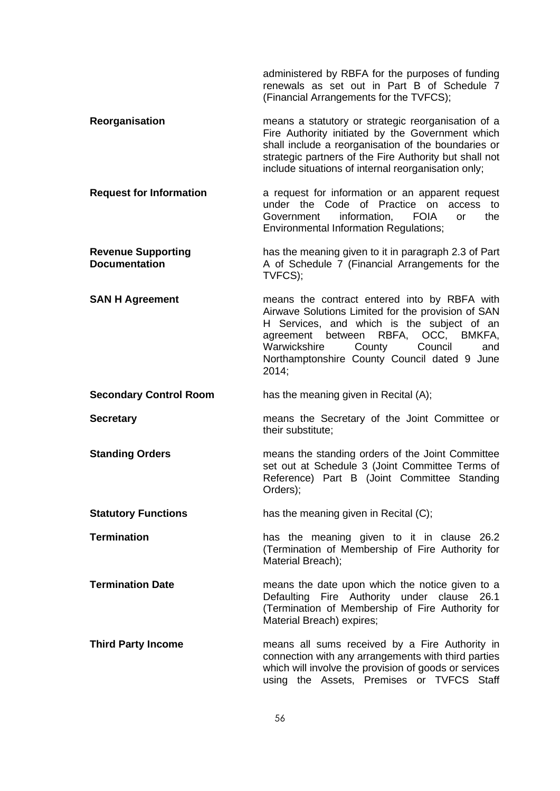administered by RBFA for the purposes of funding renewals as set out in Part B of Schedule 7 (Financial Arrangements for the TVFCS); **Reorganisation means a statutory or strategic reorganisation of a** Fire Authority initiated by the Government which shall include a reorganisation of the boundaries or strategic partners of the Fire Authority but shall not include situations of internal reorganisation only; **Request for Information** a request for information or an apparent request under the Code of Practice on access to Government information, FOIA or the Environmental Information Regulations; **Revenue Supporting Documentation**  has the meaning given to it in paragraph [2.3](#page-82-1) of Part A of Schedule 7 (Financial Arrangements for the TVFCS); **SAN H Agreement neans** the contract entered into by RBFA with Airwave Solutions Limited for the provision of SAN H Services, and which is the subject of an agreement between RBFA, OCC, BMKFA, Warwickshire County Council and Northamptonshire County Council dated 9 June 2014; **Secondary Control Room** has the meaning given in Recital (A); **Secretary** means the Secretary of the Joint Committee or their substitute; **Standing Orders means the standing orders of the Joint Committee** set out at Schedule 3 (Joint Committee Terms of Reference) Part B (Joint Committee Standing Orders); **Statutory Functions** has the meaning given in Recital (C); **Termination has the meaning given to it in clause [26.2](#page-36-0)** (Termination of Membership of Fire Authority for Material Breach); **Termination Date number** means the date upon which the notice given to a Defaulting Fire Authority under clause [26.1](#page-35-0) (Termination of Membership of Fire Authority for Material Breach) expires; **Third Party Income** means all sums received by a Fire Authority in connection with any arrangements with third parties which will involve the provision of goods or services using the Assets, Premises or TVFCS Staff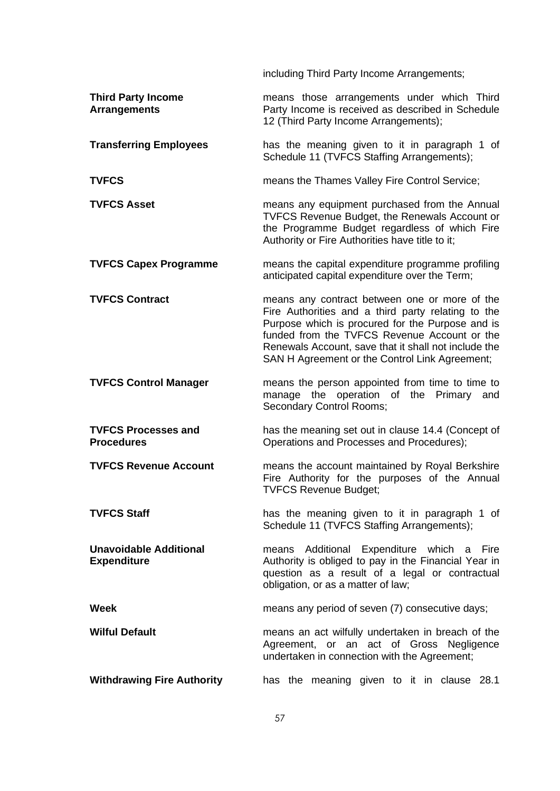including Third Party Income Arrangements; **Third Party Income Arrangements** means those arrangements under which Third Party Income is received as described in Schedule 12 (Third Party Income Arrangements); **Transferring Employees** has the meaning given to it in paragraph 1 of Schedule 11 (TVFCS Staffing Arrangements); **TVFCS** means the Thames Valley Fire Control Service; **TVFCS Asset EXECT** means any equipment purchased from the Annual TVFCS Revenue Budget, the Renewals Account or the Programme Budget regardless of which Fire Authority or Fire Authorities have title to it; **TVFCS Capex Programme** means the capital expenditure programme profiling anticipated capital expenditure over the Term; **TVFCS Contract** means any contract between one or more of the Fire Authorities and a third party relating to the Purpose which is procured for the Purpose and is funded from the TVFCS Revenue Account or the Renewals Account, save that it shall not include the SAN H Agreement or the Control Link Agreement; **TVFCS Control Manager** means the person appointed from time to time to manage the operation of the Primary and Secondary Control Rooms; **TVFCS Processes and Procedures** has the meaning set out in clause [14.4](#page-18-0) (Concept of Operations and Processes and Procedures); **TVFCS Revenue Account** means the account maintained by Royal Berkshire Fire Authority for the purposes of the Annual TVFCS Revenue Budget; **TVFCS Staff has the meaning given to it in paragraph 1 of** Schedule 11 (TVFCS Staffing Arrangements); **Unavoidable Additional Expenditure** means Additional Expenditure which a Fire Authority is obliged to pay in the Financial Year in question as a result of a legal or contractual obligation, or as a matter of law; **Week means any period of seven (7) consecutive days; Wilful Default Multimer and Multimers** an act wilfully undertaken in breach of the Agreement, or an act of Gross Negligence undertaken in connection with the Agreement; **Withdrawing Fire Authority** has the meaning given to it in clause [28.1](#page-40-0)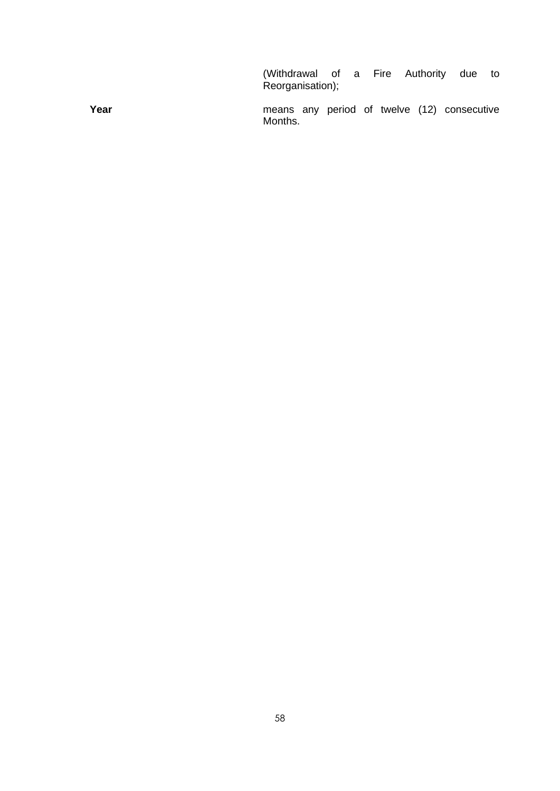(Withdrawal of a Fire Authority due to Reorganisation);

**Year Year Manufacturist MEA** means any period of twelve (12) consecutive Months.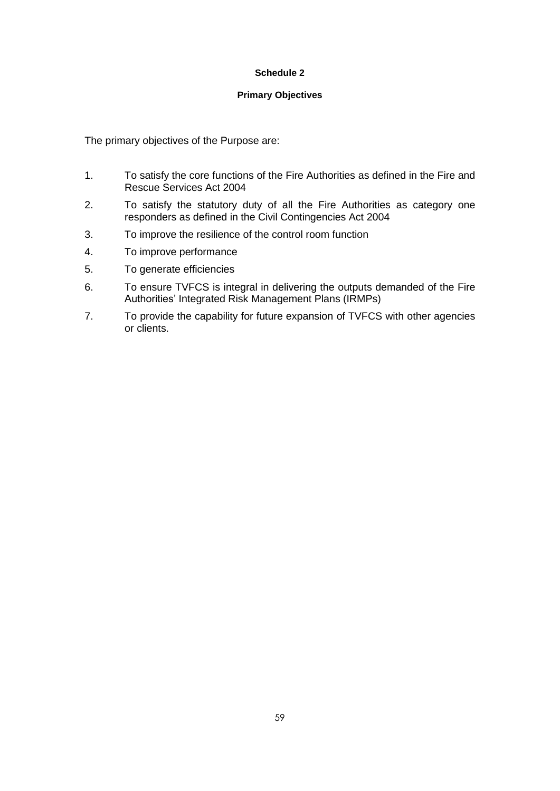### **Schedule 2**

#### **Primary Objectives**

The primary objectives of the Purpose are:

- 1. To satisfy the core functions of the Fire Authorities as defined in the Fire and Rescue Services Act 2004
- 2. To satisfy the statutory duty of all the Fire Authorities as category one responders as defined in the Civil Contingencies Act 2004
- 3. To improve the resilience of the control room function
- 4. To improve performance
- 5. To generate efficiencies
- 6. To ensure TVFCS is integral in delivering the outputs demanded of the Fire Authorities' Integrated Risk Management Plans (IRMPs)
- 7. To provide the capability for future expansion of TVFCS with other agencies or clients.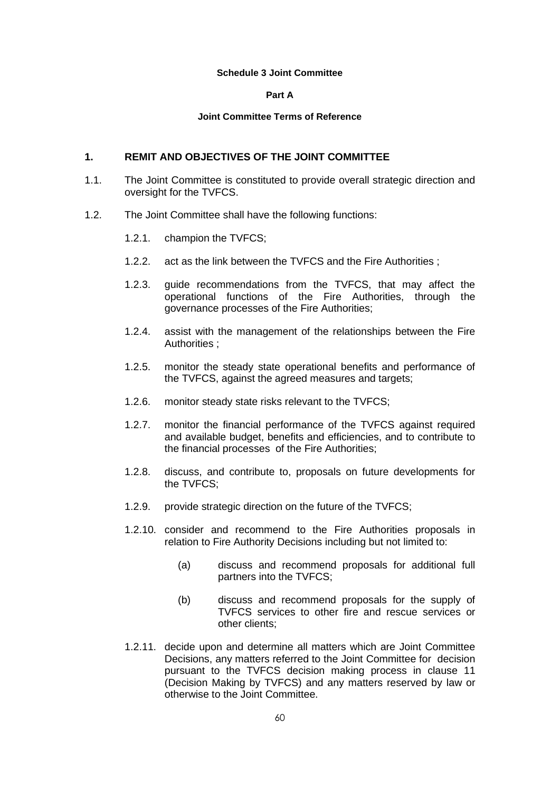#### **Schedule 3 Joint Committee**

#### **Part A**

#### **Joint Committee Terms of Reference**

### **1. REMIT AND OBJECTIVES OF THE JOINT COMMITTEE**

- 1.1. The Joint Committee is constituted to provide overall strategic direction and oversight for the TVFCS.
- 1.2. The Joint Committee shall have the following functions:
	- 1.2.1. champion the TVFCS;
	- 1.2.2. act as the link between the TVFCS and the Fire Authorities ;
	- 1.2.3. guide recommendations from the TVFCS, that may affect the operational functions of the Fire Authorities, through the governance processes of the Fire Authorities;
	- 1.2.4. assist with the management of the relationships between the Fire Authorities ;
	- 1.2.5. monitor the steady state operational benefits and performance of the TVFCS, against the agreed measures and targets;
	- 1.2.6. monitor steady state risks relevant to the TVFCS;
	- 1.2.7. monitor the financial performance of the TVFCS against required and available budget, benefits and efficiencies, and to contribute to the financial processes of the Fire Authorities;
	- 1.2.8. discuss, and contribute to, proposals on future developments for the TVFCS;
	- 1.2.9. provide strategic direction on the future of the TVFCS;
	- 1.2.10. consider and recommend to the Fire Authorities proposals in relation to Fire Authority Decisions including but not limited to:
		- (a) discuss and recommend proposals for additional full partners into the TVFCS;
		- (b) discuss and recommend proposals for the supply of TVFCS services to other fire and rescue services or other clients;
	- 1.2.11. decide upon and determine all matters which are Joint Committee Decisions, any matters referred to the Joint Committee for decision pursuant to the TVFCS decision making process in clause [11](#page-12-2) (Decision Making by TVFCS) and any matters reserved by law or otherwise to the Joint Committee.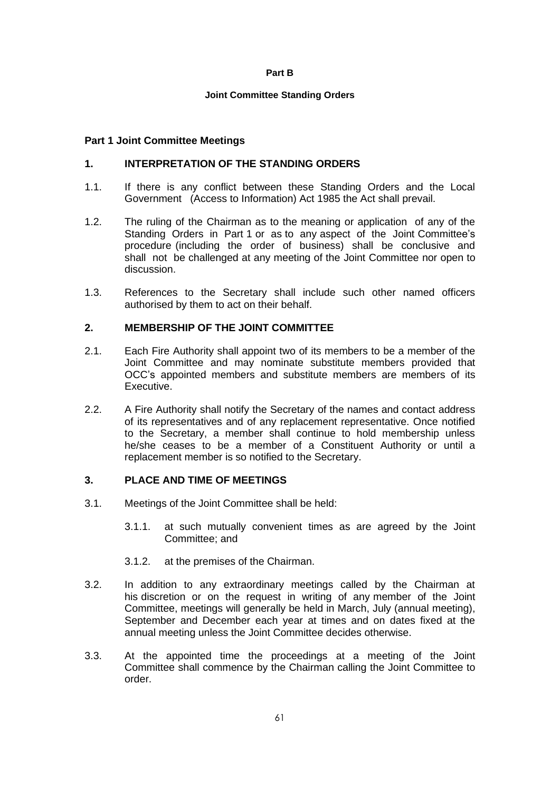#### **Part B**

#### **Joint Committee Standing Orders**

### **Part 1 Joint Committee Meetings**

## **1. INTERPRETATION OF THE STANDING ORDERS**

- 1.1. If there is any conflict between these Standing Orders and the Local Government (Access to Information) Act 1985 the Act shall prevail.
- 1.2. The ruling of the Chairman as to the meaning or application of any of the Standing Orders in Part 1 or as to any aspect of the Joint Committee's procedure (including the order of business) shall be conclusive and shall not be challenged at any meeting of the Joint Committee nor open to discussion.
- 1.3. References to the Secretary shall include such other named officers authorised by them to act on their behalf.

### **2. MEMBERSHIP OF THE JOINT COMMITTEE**

- 2.1. Each Fire Authority shall appoint two of its members to be a member of the Joint Committee and may nominate substitute members provided that OCC's appointed members and substitute members are members of its Executive.
- 2.2. A Fire Authority shall notify the Secretary of the names and contact address of its representatives and of any replacement representative. Once notified to the Secretary, a member shall continue to hold membership unless he/she ceases to be a member of a Constituent Authority or until a replacement member is so notified to the Secretary.

### **3. PLACE AND TIME OF MEETINGS**

- 3.1. Meetings of the Joint Committee shall be held:
	- 3.1.1. at such mutually convenient times as are agreed by the Joint Committee; and
	- 3.1.2. at the premises of the Chairman.
- 3.2. In addition to any extraordinary meetings called by the Chairman at his discretion or on the request in writing of any member of the Joint Committee, meetings will generally be held in March, July (annual meeting), September and December each year at times and on dates fixed at the annual meeting unless the Joint Committee decides otherwise.
- 3.3. At the appointed time the proceedings at a meeting of the Joint Committee shall commence by the Chairman calling the Joint Committee to order.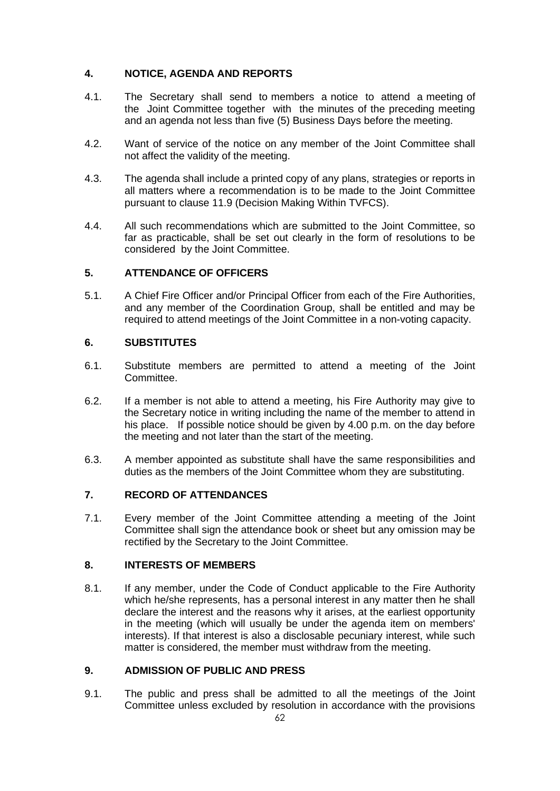# **4. NOTICE, AGENDA AND REPORTS**

- 4.1. The Secretary shall send to members a notice to attend a meeting of the Joint Committee together with the minutes of the preceding meeting and an agenda not less than five (5) Business Days before the meeting.
- 4.2. Want of service of the notice on any member of the Joint Committee shall not affect the validity of the meeting.
- 4.3. The agenda shall include a printed copy of any plans, strategies or reports in all matters where a recommendation is to be made to the Joint Committee pursuant to clause [11.9](#page-13-0) (Decision Making Within TVFCS).
- 4.4. All such recommendations which are submitted to the Joint Committee, so far as practicable, shall be set out clearly in the form of resolutions to be considered by the Joint Committee.

# **5. ATTENDANCE OF OFFICERS**

5.1. A Chief Fire Officer and/or Principal Officer from each of the Fire Authorities, and any member of the Coordination Group, shall be entitled and may be required to attend meetings of the Joint Committee in a non-voting capacity.

# **6. SUBSTITUTES**

- 6.1. Substitute members are permitted to attend a meeting of the Joint Committee.
- 6.2. If a member is not able to attend a meeting, his Fire Authority may give to the Secretary notice in writing including the name of the member to attend in his place. If possible notice should be given by 4.00 p.m. on the day before the meeting and not later than the start of the meeting.
- 6.3. A member appointed as substitute shall have the same responsibilities and duties as the members of the Joint Committee whom they are substituting.

# **7. RECORD OF ATTENDANCES**

7.1. Every member of the Joint Committee attending a meeting of the Joint Committee shall sign the attendance book or sheet but any omission may be rectified by the Secretary to the Joint Committee.

# **8. INTERESTS OF MEMBERS**

8.1. If any member, under the Code of Conduct applicable to the Fire Authority which he/she represents, has a personal interest in any matter then he shall declare the interest and the reasons why it arises, at the earliest opportunity in the meeting (which will usually be under the agenda item on members' interests). If that interest is also a disclosable pecuniary interest, while such matter is considered, the member must withdraw from the meeting.

# **9. ADMISSION OF PUBLIC AND PRESS**

<span id="page-64-0"></span>9.1. The public and press shall be admitted to all the meetings of the Joint Committee unless excluded by resolution in accordance with the provisions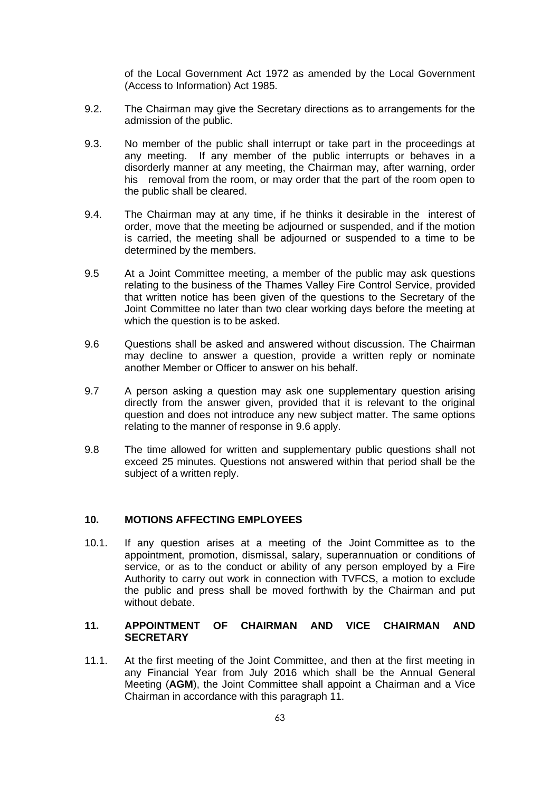of the Local Government Act 1972 as amended by the Local Government (Access to Information) Act 1985.

- 9.2. The Chairman may give the Secretary directions as to arrangements for the admission of the public.
- 9.3. No member of the public shall interrupt or take part in the proceedings at any meeting. If any member of the public interrupts or behaves in a disorderly manner at any meeting, the Chairman may, after warning, order his removal from the room, or may order that the part of the room open to the public shall be cleared.
- 9.4. The Chairman may at any time, if he thinks it desirable in the interest of order, move that the meeting be adjourned or suspended, and if the motion is carried, the meeting shall be adjourned or suspended to a time to be determined by the members.
- 9.5 At a Joint Committee meeting, a member of the public may ask questions relating to the business of the Thames Valley Fire Control Service, provided that written notice has been given of the questions to the Secretary of the Joint Committee no later than two clear working days before the meeting at which the question is to be asked.
- 9.6 Questions shall be asked and answered without discussion. The Chairman may decline to answer a question, provide a written reply or nominate another Member or Officer to answer on his behalf.
- 9.7 A person asking a question may ask one supplementary question arising directly from the answer given, provided that it is relevant to the original question and does not introduce any new subject matter. The same options relating to the manner of response in 9.6 apply.
- 9.8 The time allowed for written and supplementary public questions shall not exceed 25 minutes. Questions not answered within that period shall be the subject of a written reply.

### **10. MOTIONS AFFECTING EMPLOYEES**

10.1. If any question arises at a meeting of the Joint Committee as to the appointment, promotion, dismissal, salary, superannuation or conditions of service, or as to the conduct or ability of any person employed by a Fire Authority to carry out work in connection with TVFCS, a motion to exclude the public and press shall be moved forthwith by the Chairman and put without debate.

## <span id="page-65-0"></span>**11. APPOINTMENT OF CHAIRMAN AND VICE CHAIRMAN AND SECRETARY**

11.1. At the first meeting of the Joint Committee, and then at the first meeting in any Financial Year from July 2016 which shall be the Annual General Meeting (**AGM**), the Joint Committee shall appoint a Chairman and a Vice Chairman in accordance with this paragraph [11.](#page-65-0)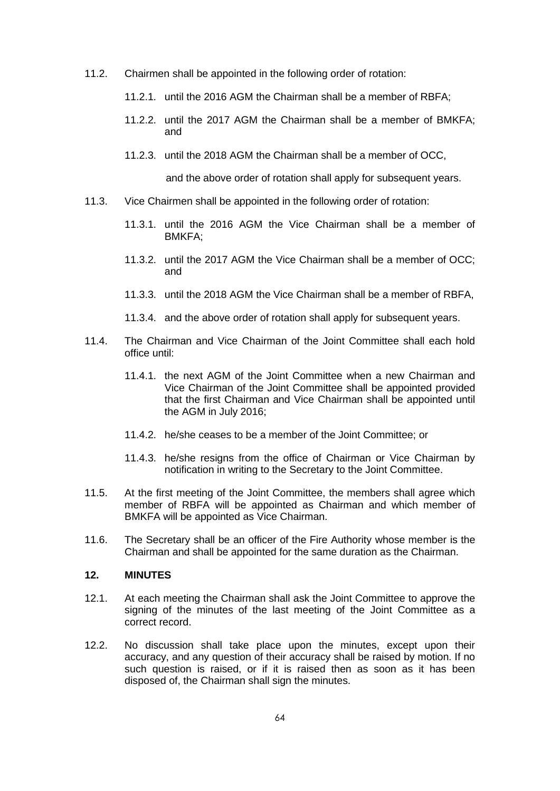- 11.2. Chairmen shall be appointed in the following order of rotation:
	- 11.2.1. until the 2016 AGM the Chairman shall be a member of RBFA;
	- 11.2.2. until the 2017 AGM the Chairman shall be a member of BMKFA; and
	- 11.2.3. until the 2018 AGM the Chairman shall be a member of OCC,

and the above order of rotation shall apply for subsequent years.

- 11.3. Vice Chairmen shall be appointed in the following order of rotation:
	- 11.3.1. until the 2016 AGM the Vice Chairman shall be a member of BMKFA;
	- 11.3.2. until the 2017 AGM the Vice Chairman shall be a member of OCC; and
	- 11.3.3. until the 2018 AGM the Vice Chairman shall be a member of RBFA,
	- 11.3.4. and the above order of rotation shall apply for subsequent years.
- 11.4. The Chairman and Vice Chairman of the Joint Committee shall each hold office until:
	- 11.4.1. the next AGM of the Joint Committee when a new Chairman and Vice Chairman of the Joint Committee shall be appointed provided that the first Chairman and Vice Chairman shall be appointed until the AGM in July 2016;
	- 11.4.2. he/she ceases to be a member of the Joint Committee; or
	- 11.4.3. he/she resigns from the office of Chairman or Vice Chairman by notification in writing to the Secretary to the Joint Committee.
- 11.5. At the first meeting of the Joint Committee, the members shall agree which member of RBFA will be appointed as Chairman and which member of BMKFA will be appointed as Vice Chairman.
- 11.6. The Secretary shall be an officer of the Fire Authority whose member is the Chairman and shall be appointed for the same duration as the Chairman.

# **12. MINUTES**

- 12.1. At each meeting the Chairman shall ask the Joint Committee to approve the signing of the minutes of the last meeting of the Joint Committee as a correct record.
- 12.2. No discussion shall take place upon the minutes, except upon their accuracy, and any question of their accuracy shall be raised by motion. If no such question is raised, or if it is raised then as soon as it has been disposed of, the Chairman shall sign the minutes.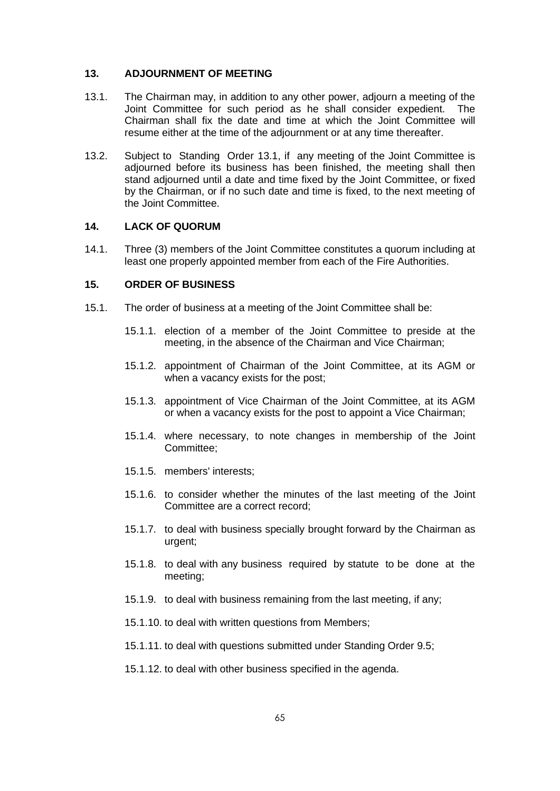### **13. ADJOURNMENT OF MEETING**

- <span id="page-67-0"></span>13.1. The Chairman may, in addition to any other power, adjourn a meeting of the Joint Committee for such period as he shall consider expedient. The Chairman shall fix the date and time at which the Joint Committee will resume either at the time of the adjournment or at any time thereafter.
- 13.2. Subject to Standing Order [13.1,](#page-67-0) if any meeting of the Joint Committee is adjourned before its business has been finished, the meeting shall then stand adjourned until a date and time fixed by the Joint Committee, or fixed by the Chairman, or if no such date and time is fixed, to the next meeting of the Joint Committee.

# **14. LACK OF QUORUM**

14.1. Three (3) members of the Joint Committee constitutes a quorum including at least one properly appointed member from each of the Fire Authorities.

## **15. ORDER OF BUSINESS**

- 15.1. The order of business at a meeting of the Joint Committee shall be:
	- 15.1.1. election of a member of the Joint Committee to preside at the meeting, in the absence of the Chairman and Vice Chairman;
	- 15.1.2. appointment of Chairman of the Joint Committee, at its AGM or when a vacancy exists for the post;
	- 15.1.3. appointment of Vice Chairman of the Joint Committee, at its AGM or when a vacancy exists for the post to appoint a Vice Chairman;
	- 15.1.4. where necessary, to note changes in membership of the Joint Committee;
	- 15.1.5. members' interests;
	- 15.1.6. to consider whether the minutes of the last meeting of the Joint Committee are a correct record;
	- 15.1.7. to deal with business specially brought forward by the Chairman as urgent;
	- 15.1.8. to deal with any business required by statute to be done at the meeting;
	- 15.1.9. to deal with business remaining from the last meeting, if any;
	- 15.1.10. to deal with written questions from Members;
	- 15.1.11. to deal with questions submitted under Standing Order 9.5;
	- 15.1.12. to deal with other business specified in the agenda.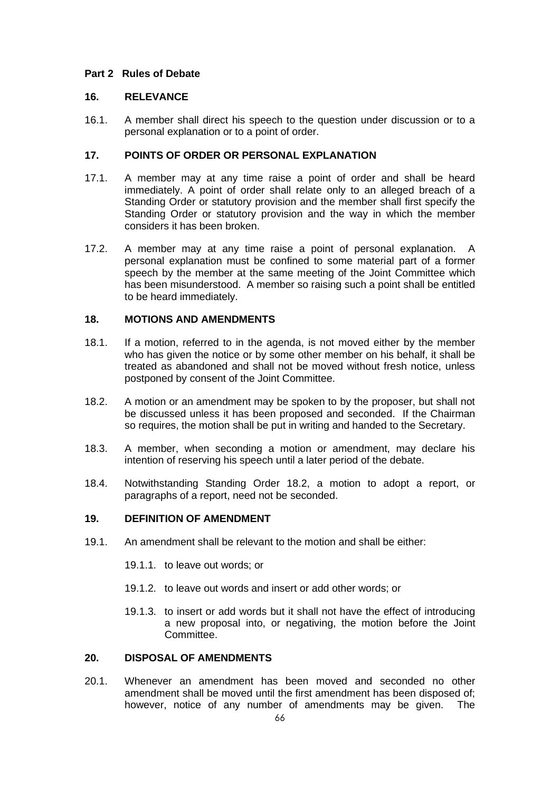## **Part 2 Rules of Debate**

## **16. RELEVANCE**

16.1. A member shall direct his speech to the question under discussion or to a personal explanation or to a point of order.

# **17. POINTS OF ORDER OR PERSONAL EXPLANATION**

- 17.1. A member may at any time raise a point of order and shall be heard immediately. A point of order shall relate only to an alleged breach of a Standing Order or statutory provision and the member shall first specify the Standing Order or statutory provision and the way in which the member considers it has been broken.
- 17.2. A member may at any time raise a point of personal explanation. A personal explanation must be confined to some material part of a former speech by the member at the same meeting of the Joint Committee which has been misunderstood. A member so raising such a point shall be entitled to be heard immediately.

## **18. MOTIONS AND AMENDMENTS**

- 18.1. If a motion, referred to in the agenda, is not moved either by the member who has given the notice or by some other member on his behalf, it shall be treated as abandoned and shall not be moved without fresh notice, unless postponed by consent of the Joint Committee.
- <span id="page-68-0"></span>18.2. A motion or an amendment may be spoken to by the proposer, but shall not be discussed unless it has been proposed and seconded. If the Chairman so requires, the motion shall be put in writing and handed to the Secretary.
- 18.3. A member, when seconding a motion or amendment, may declare his intention of reserving his speech until a later period of the debate.
- 18.4. Notwithstanding Standing Order [18.2,](#page-68-0) a motion to adopt a report, or paragraphs of a report, need not be seconded.

### **19. DEFINITION OF AMENDMENT**

- 19.1. An amendment shall be relevant to the motion and shall be either:
	- 19.1.1. to leave out words; or
	- 19.1.2. to leave out words and insert or add other words; or
	- 19.1.3. to insert or add words but it shall not have the effect of introducing a new proposal into, or negativing, the motion before the Joint Committee.

# **20. DISPOSAL OF AMENDMENTS**

20.1. Whenever an amendment has been moved and seconded no other amendment shall be moved until the first amendment has been disposed of; however, notice of any number of amendments may be given. The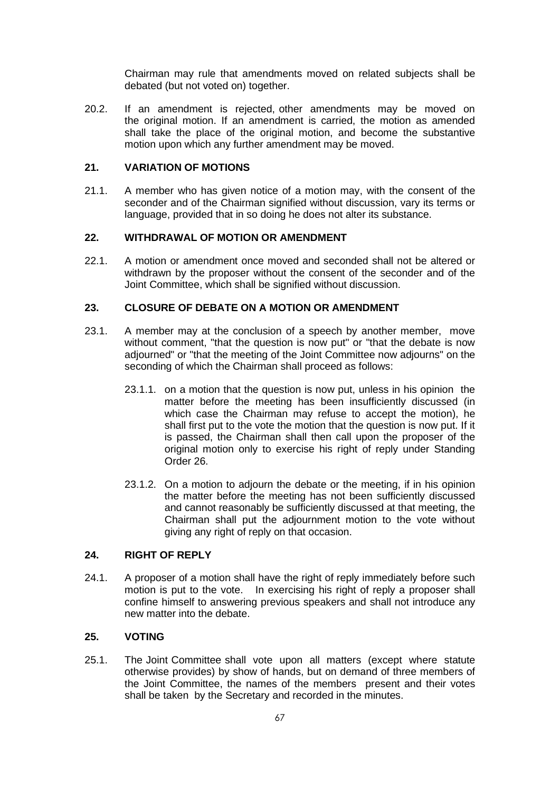Chairman may rule that amendments moved on related subjects shall be debated (but not voted on) together.

20.2. If an amendment is rejected, other amendments may be moved on the original motion. If an amendment is carried, the motion as amended shall take the place of the original motion, and become the substantive motion upon which any further amendment may be moved.

### **21. VARIATION OF MOTIONS**

21.1. A member who has given notice of a motion may, with the consent of the seconder and of the Chairman signified without discussion, vary its terms or language, provided that in so doing he does not alter its substance.

### **22. WITHDRAWAL OF MOTION OR AMENDMENT**

22.1. A motion or amendment once moved and seconded shall not be altered or withdrawn by the proposer without the consent of the seconder and of the Joint Committee, which shall be signified without discussion.

## **23. CLOSURE OF DEBATE ON A MOTION OR AMENDMENT**

- 23.1. A member may at the conclusion of a speech by another member, move without comment, "that the question is now put" or "that the debate is now adjourned" or "that the meeting of the Joint Committee now adjourns" on the seconding of which the Chairman shall proceed as follows:
	- 23.1.1. on a motion that the question is now put, unless in his opinion the matter before the meeting has been insufficiently discussed (in which case the Chairman may refuse to accept the motion), he shall first put to the vote the motion that the question is now put. If it is passed, the Chairman shall then call upon the proposer of the original motion only to exercise his right of reply under Standing Order 26.
	- 23.1.2. On a motion to adjourn the debate or the meeting, if in his opinion the matter before the meeting has not been sufficiently discussed and cannot reasonably be sufficiently discussed at that meeting, the Chairman shall put the adjournment motion to the vote without giving any right of reply on that occasion.

### **24. RIGHT OF REPLY**

24.1. A proposer of a motion shall have the right of reply immediately before such motion is put to the vote. In exercising his right of reply a proposer shall confine himself to answering previous speakers and shall not introduce any new matter into the debate.

### **25. VOTING**

25.1. The Joint Committee shall vote upon all matters (except where statute otherwise provides) by show of hands, but on demand of three members of the Joint Committee, the names of the members present and their votes shall be taken by the Secretary and recorded in the minutes.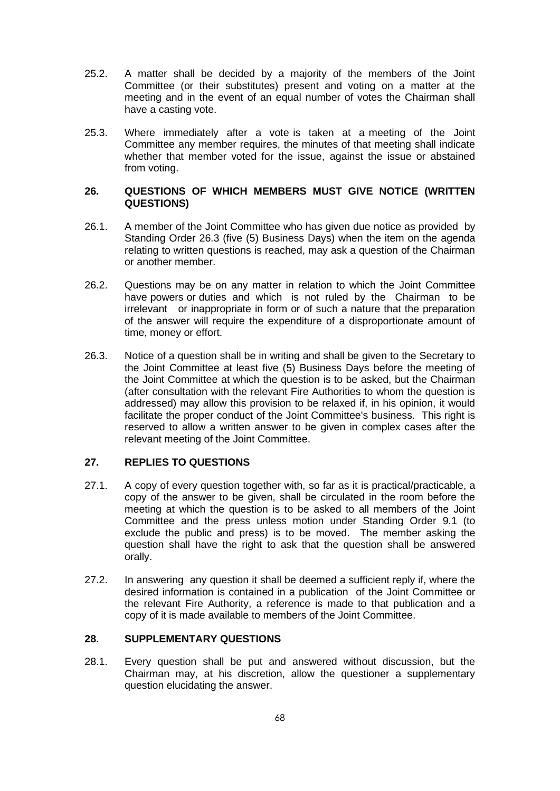- 25.2. A matter shall be decided by a majority of the members of the Joint Committee (or their substitutes) present and voting on a matter at the meeting and in the event of an equal number of votes the Chairman shall have a casting vote.
- 25.3. Where immediately after a vote is taken at a meeting of the Joint Committee any member requires, the minutes of that meeting shall indicate whether that member voted for the issue, against the issue or abstained from voting.

## **26. QUESTIONS OF WHICH MEMBERS MUST GIVE NOTICE (WRITTEN QUESTIONS)**

- 26.1. A member of the Joint Committee who has given due notice as provided by Standing Order [26.3](#page-70-0) (five (5) Business Days) when the item on the agenda relating to written questions is reached, may ask a question of the Chairman or another member.
- 26.2. Questions may be on any matter in relation to which the Joint Committee have powers or duties and which is not ruled by the Chairman to be irrelevant or inappropriate in form or of such a nature that the preparation of the answer will require the expenditure of a disproportionate amount of time, money or effort.
- <span id="page-70-0"></span>26.3. Notice of a question shall be in writing and shall be given to the Secretary to the Joint Committee at least five (5) Business Days before the meeting of the Joint Committee at which the question is to be asked, but the Chairman (after consultation with the relevant Fire Authorities to whom the question is addressed) may allow this provision to be relaxed if, in his opinion, it would facilitate the proper conduct of the Joint Committee's business. This right is reserved to allow a written answer to be given in complex cases after the relevant meeting of the Joint Committee.

# **27. REPLIES TO QUESTIONS**

- 27.1. A copy of every question together with, so far as it is practical/practicable, a copy of the answer to be given, shall be circulated in the room before the meeting at which the question is to be asked to all members of the Joint Committee and the press unless motion under Standing Order [9.1](#page-64-0) (to exclude the public and press) is to be moved. The member asking the question shall have the right to ask that the question shall be answered orally.
- 27.2. In answering any question it shall be deemed a sufficient reply if, where the desired information is contained in a publication of the Joint Committee or the relevant Fire Authority, a reference is made to that publication and a copy of it is made available to members of the Joint Committee.

### **28. SUPPLEMENTARY QUESTIONS**

28.1. Every question shall be put and answered without discussion, but the Chairman may, at his discretion, allow the questioner a supplementary question elucidating the answer.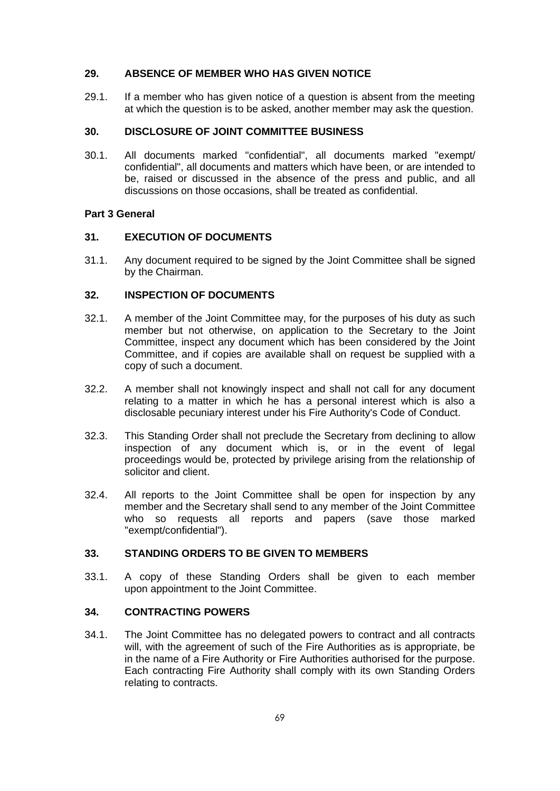# **29. ABSENCE OF MEMBER WHO HAS GIVEN NOTICE**

29.1. If a member who has given notice of a question is absent from the meeting at which the question is to be asked, another member may ask the question.

# **30. DISCLOSURE OF JOINT COMMITTEE BUSINESS**

30.1. All documents marked "confidential", all documents marked "exempt/ confidential", all documents and matters which have been, or are intended to be, raised or discussed in the absence of the press and public, and all discussions on those occasions, shall be treated as confidential.

## **Part 3 General**

## **31. EXECUTION OF DOCUMENTS**

31.1. Any document required to be signed by the Joint Committee shall be signed by the Chairman.

# **32. INSPECTION OF DOCUMENTS**

- 32.1. A member of the Joint Committee may, for the purposes of his duty as such member but not otherwise, on application to the Secretary to the Joint Committee, inspect any document which has been considered by the Joint Committee, and if copies are available shall on request be supplied with a copy of such a document.
- 32.2. A member shall not knowingly inspect and shall not call for any document relating to a matter in which he has a personal interest which is also a disclosable pecuniary interest under his Fire Authority's Code of Conduct.
- 32.3. This Standing Order shall not preclude the Secretary from declining to allow inspection of any document which is, or in the event of legal proceedings would be, protected by privilege arising from the relationship of solicitor and client.
- 32.4. All reports to the Joint Committee shall be open for inspection by any member and the Secretary shall send to any member of the Joint Committee who so requests all reports and papers (save those marked "exempt/confidential").

# **33. STANDING ORDERS TO BE GIVEN TO MEMBERS**

33.1. A copy of these Standing Orders shall be given to each member upon appointment to the Joint Committee.

# **34. CONTRACTING POWERS**

34.1. The Joint Committee has no delegated powers to contract and all contracts will, with the agreement of such of the Fire Authorities as is appropriate, be in the name of a Fire Authority or Fire Authorities authorised for the purpose. Each contracting Fire Authority shall comply with its own Standing Orders relating to contracts.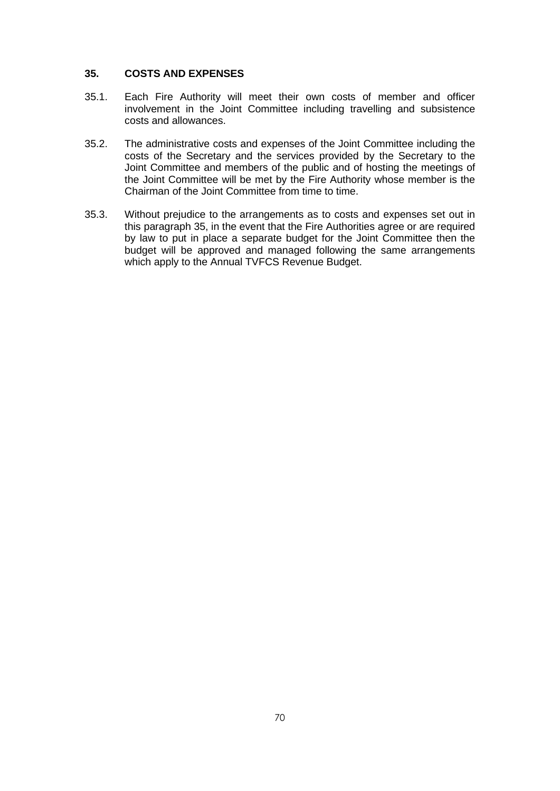## <span id="page-72-0"></span>**35. COSTS AND EXPENSES**

- 35.1. Each Fire Authority will meet their own costs of member and officer involvement in the Joint Committee including travelling and subsistence costs and allowances.
- 35.2. The administrative costs and expenses of the Joint Committee including the costs of the Secretary and the services provided by the Secretary to the Joint Committee and members of the public and of hosting the meetings of the Joint Committee will be met by the Fire Authority whose member is the Chairman of the Joint Committee from time to time.
- 35.3. Without prejudice to the arrangements as to costs and expenses set out in this paragraph [35,](#page-72-0) in the event that the Fire Authorities agree or are required by law to put in place a separate budget for the Joint Committee then the budget will be approved and managed following the same arrangements which apply to the Annual TVFCS Revenue Budget.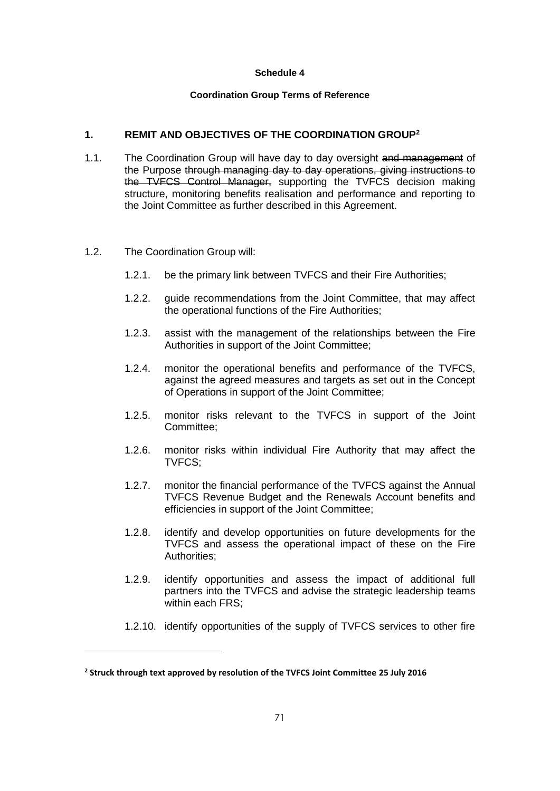#### **Coordination Group Terms of Reference**

## <span id="page-73-0"></span>**1. REMIT AND OBJECTIVES OF THE COORDINATION GROUP<sup>2</sup>**

- 1.1. The Coordination Group will have day to day oversight and management of the Purpose through managing day to day operations, giving instructions to the TVFCS Control Manager, supporting the TVFCS decision making structure, monitoring benefits realisation and performance and reporting to the Joint Committee as further described in this Agreement.
- 1.2. The Coordination Group will:
	- 1.2.1. be the primary link between TVFCS and their Fire Authorities;
	- 1.2.2. guide recommendations from the Joint Committee, that may affect the operational functions of the Fire Authorities;
	- 1.2.3. assist with the management of the relationships between the Fire Authorities in support of the Joint Committee;
	- 1.2.4. monitor the operational benefits and performance of the TVFCS, against the agreed measures and targets as set out in the Concept of Operations in support of the Joint Committee;
	- 1.2.5. monitor risks relevant to the TVFCS in support of the Joint Committee;
	- 1.2.6. monitor risks within individual Fire Authority that may affect the TVFCS;
	- 1.2.7. monitor the financial performance of the TVFCS against the Annual TVFCS Revenue Budget and the Renewals Account benefits and efficiencies in support of the Joint Committee;
	- 1.2.8. identify and develop opportunities on future developments for the TVFCS and assess the operational impact of these on the Fire Authorities;
	- 1.2.9. identify opportunities and assess the impact of additional full partners into the TVFCS and advise the strategic leadership teams within each FRS;
	- 1.2.10. identify opportunities of the supply of TVFCS services to other fire

**<sup>2</sup> Struck through text approved by resolution of the TVFCS Joint Committee 25 July 2016**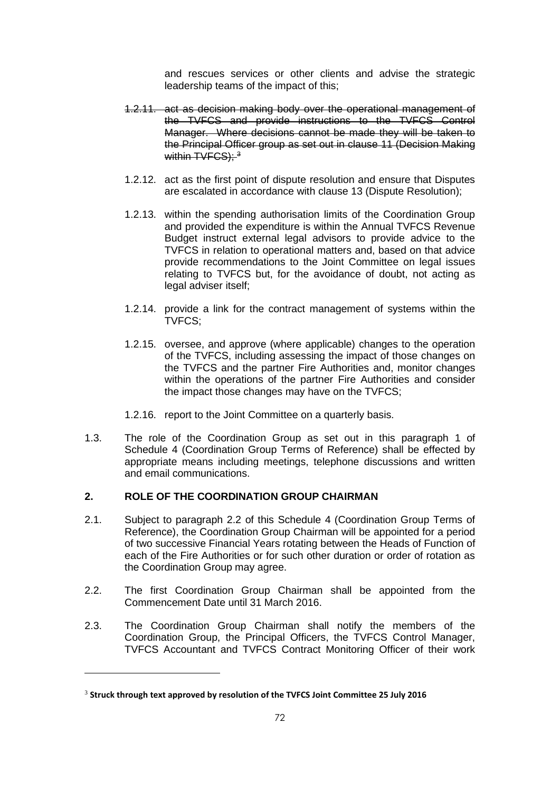and rescues services or other clients and advise the strategic leadership teams of the impact of this;

- 1.2.11. act as decision making body over the operational management of the TVFCS and provide instructions to the TVFCS Control Manager. Where decisions cannot be made they will be taken to the Principal Officer group as set out in clause [11](#page-12-0) (Decision Making within  $TVEGS$ );  $3$
- 1.2.12. act as the first point of dispute resolution and ensure that Disputes are escalated in accordance with clause [13](#page-16-0) (Dispute Resolution);
- 1.2.13. within the spending authorisation limits of the Coordination Group and provided the expenditure is within the Annual TVFCS Revenue Budget instruct external legal advisors to provide advice to the TVFCS in relation to operational matters and, based on that advice provide recommendations to the Joint Committee on legal issues relating to TVFCS but, for the avoidance of doubt, not acting as legal adviser itself;
- 1.2.14. provide a link for the contract management of systems within the TVFCS;
- 1.2.15. oversee, and approve (where applicable) changes to the operation of the TVFCS, including assessing the impact of those changes on the TVFCS and the partner Fire Authorities and, monitor changes within the operations of the partner Fire Authorities and consider the impact those changes may have on the TVFCS;
- 1.2.16. report to the Joint Committee on a quarterly basis.
- 1.3. The role of the Coordination Group as set out in this paragraph [1](#page-73-0) of Schedule 4 (Coordination Group Terms of Reference) shall be effected by appropriate means including meetings, telephone discussions and written and email communications.

## **2. ROLE OF THE COORDINATION GROUP CHAIRMAN**

- 2.1. Subject to paragraph [2.2](#page-74-0) of this Schedule 4 (Coordination Group Terms of Reference), the Coordination Group Chairman will be appointed for a period of two successive Financial Years rotating between the Heads of Function of each of the Fire Authorities or for such other duration or order of rotation as the Coordination Group may agree.
- <span id="page-74-0"></span>2.2. The first Coordination Group Chairman shall be appointed from the Commencement Date until 31 March 2016.
- 2.3. The Coordination Group Chairman shall notify the members of the Coordination Group, the Principal Officers, the TVFCS Control Manager, TVFCS Accountant and TVFCS Contract Monitoring Officer of their work

<sup>3</sup> **Struck through text approved by resolution of the TVFCS Joint Committee 25 July 2016**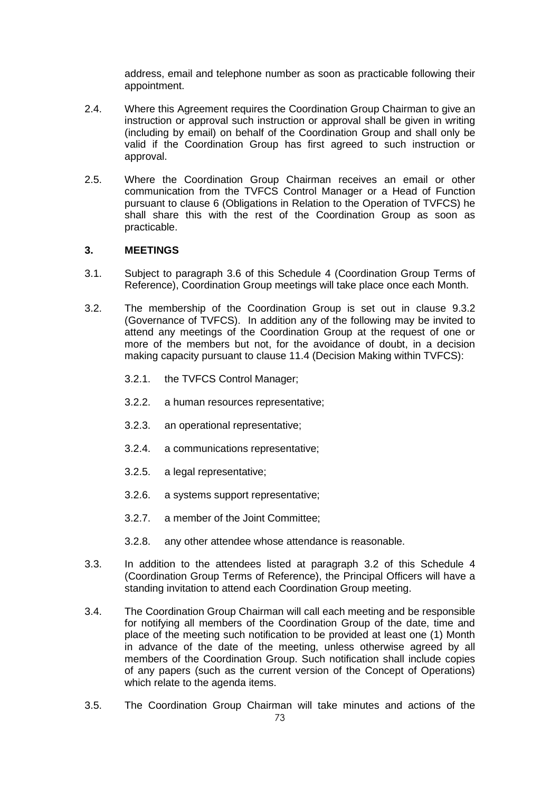address, email and telephone number as soon as practicable following their appointment.

- 2.4. Where this Agreement requires the Coordination Group Chairman to give an instruction or approval such instruction or approval shall be given in writing (including by email) on behalf of the Coordination Group and shall only be valid if the Coordination Group has first agreed to such instruction or approval.
- 2.5. Where the Coordination Group Chairman receives an email or other communication from the TVFCS Control Manager or a Head of Function pursuant to clause [6](#page-7-0) (Obligations in Relation to the Operation of TVFCS) he shall share this with the rest of the Coordination Group as soon as practicable.

### **3. MEETINGS**

- 3.1. Subject to paragraph [3.6](#page-76-0) of this Schedule 4 (Coordination Group Terms of Reference), Coordination Group meetings will take place once each Month.
- <span id="page-75-0"></span>3.2. The membership of the Coordination Group is set out in clause [9.3.2](#page-11-0) (Governance of TVFCS). In addition any of the following may be invited to attend any meetings of the Coordination Group at the request of one or more of the members but not, for the avoidance of doubt, in a decision making capacity pursuant to clause [11.4](#page-13-0) (Decision Making within TVFCS):
	- 3.2.1. the TVFCS Control Manager;
	- 3.2.2. a human resources representative;
	- 3.2.3. an operational representative;
	- 3.2.4. a communications representative;
	- 3.2.5. a legal representative;
	- 3.2.6. a systems support representative;
	- 3.2.7. a member of the Joint Committee;
	- 3.2.8. any other attendee whose attendance is reasonable.
- 3.3. In addition to the attendees listed at paragraph [3.2](#page-75-0) of this Schedule 4 (Coordination Group Terms of Reference), the Principal Officers will have a standing invitation to attend each Coordination Group meeting.
- 3.4. The Coordination Group Chairman will call each meeting and be responsible for notifying all members of the Coordination Group of the date, time and place of the meeting such notification to be provided at least one (1) Month in advance of the date of the meeting, unless otherwise agreed by all members of the Coordination Group. Such notification shall include copies of any papers (such as the current version of the Concept of Operations) which relate to the agenda items.
- 3.5. The Coordination Group Chairman will take minutes and actions of the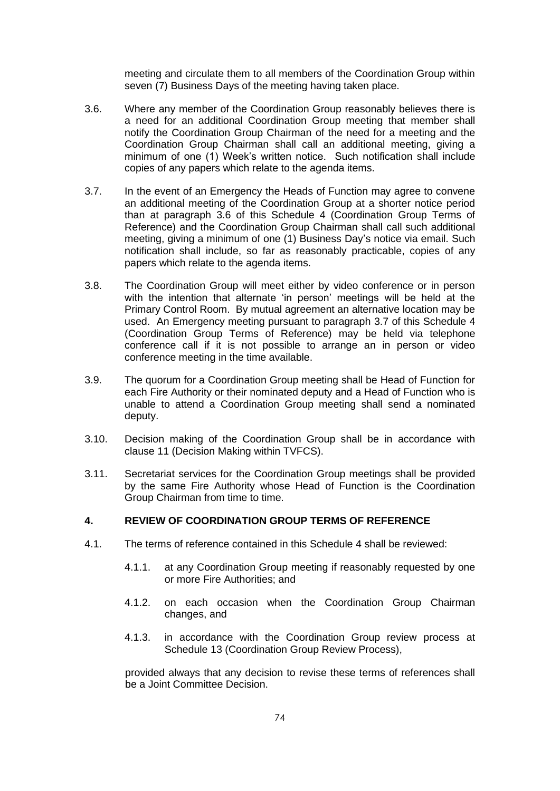meeting and circulate them to all members of the Coordination Group within seven (7) Business Days of the meeting having taken place.

- <span id="page-76-0"></span>3.6. Where any member of the Coordination Group reasonably believes there is a need for an additional Coordination Group meeting that member shall notify the Coordination Group Chairman of the need for a meeting and the Coordination Group Chairman shall call an additional meeting, giving a minimum of one (1) Week's written notice. Such notification shall include copies of any papers which relate to the agenda items.
- <span id="page-76-1"></span>3.7. In the event of an Emergency the Heads of Function may agree to convene an additional meeting of the Coordination Group at a shorter notice period than at paragraph [3.6](#page-76-0) of this Schedule 4 (Coordination Group Terms of Reference) and the Coordination Group Chairman shall call such additional meeting, giving a minimum of one (1) Business Day's notice via email. Such notification shall include, so far as reasonably practicable, copies of any papers which relate to the agenda items.
- 3.8. The Coordination Group will meet either by video conference or in person with the intention that alternate 'in person' meetings will be held at the Primary Control Room. By mutual agreement an alternative location may be used. An Emergency meeting pursuant to paragraph [3.7](#page-76-1) of this Schedule 4 (Coordination Group Terms of Reference) may be held via telephone conference call if it is not possible to arrange an in person or video conference meeting in the time available.
- 3.9. The quorum for a Coordination Group meeting shall be Head of Function for each Fire Authority or their nominated deputy and a Head of Function who is unable to attend a Coordination Group meeting shall send a nominated deputy.
- 3.10. Decision making of the Coordination Group shall be in accordance with clause [11](#page-12-0) (Decision Making within TVFCS).
- 3.11. Secretariat services for the Coordination Group meetings shall be provided by the same Fire Authority whose Head of Function is the Coordination Group Chairman from time to time.

### **4. REVIEW OF COORDINATION GROUP TERMS OF REFERENCE**

- 4.1. The terms of reference contained in this Schedule 4 shall be reviewed:
	- 4.1.1. at any Coordination Group meeting if reasonably requested by one or more Fire Authorities; and
	- 4.1.2. on each occasion when the Coordination Group Chairman changes, and
	- 4.1.3. in accordance with the Coordination Group review process at Schedule 13 (Coordination Group Review Process),

provided always that any decision to revise these terms of references shall be a Joint Committee Decision.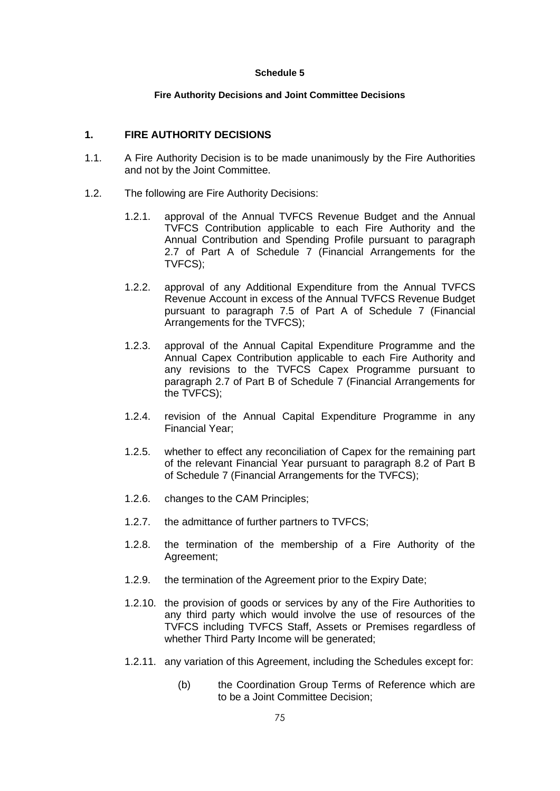#### **Fire Authority Decisions and Joint Committee Decisions**

## **1. FIRE AUTHORITY DECISIONS**

- 1.1. A Fire Authority Decision is to be made unanimously by the Fire Authorities and not by the Joint Committee.
- 1.2. The following are Fire Authority Decisions:
	- 1.2.1. approval of the Annual TVFCS Revenue Budget and the Annual TVFCS Contribution applicable to each Fire Authority and the Annual Contribution and Spending Profile pursuant to paragraph [2.7](#page-83-0) of Part A of Schedule 7 (Financial Arrangements for the TVFCS);
	- 1.2.2. approval of any Additional Expenditure from the Annual TVFCS Revenue Account in excess of the Annual TVFCS Revenue Budget pursuant to paragraph [7.5](#page-85-0) of Part A of Schedule 7 (Financial Arrangements for the TVFCS);
	- 1.2.3. approval of the Annual Capital Expenditure Programme and the Annual Capex Contribution applicable to each Fire Authority and any revisions to the TVFCS Capex Programme pursuant to paragraph [2.7](#page-91-0) of Part B of Schedule 7 (Financial Arrangements for the TVFCS);
	- 1.2.4. revision of the Annual Capital Expenditure Programme in any Financial Year;
	- 1.2.5. whether to effect any reconciliation of Capex for the remaining part of the relevant Financial Year pursuant to paragraph [8.2](#page-93-0) of Part B of Schedule 7 (Financial Arrangements for the TVFCS);
	- 1.2.6. changes to the CAM Principles;
	- 1.2.7. the admittance of further partners to TVFCS;
	- 1.2.8. the termination of the membership of a Fire Authority of the Agreement;
	- 1.2.9. the termination of the Agreement prior to the Expiry Date;
	- 1.2.10. the provision of goods or services by any of the Fire Authorities to any third party which would involve the use of resources of the TVFCS including TVFCS Staff, Assets or Premises regardless of whether Third Party Income will be generated;
	- 1.2.11. any variation of this Agreement, including the Schedules except for:
		- (b) the Coordination Group Terms of Reference which are to be a Joint Committee Decision;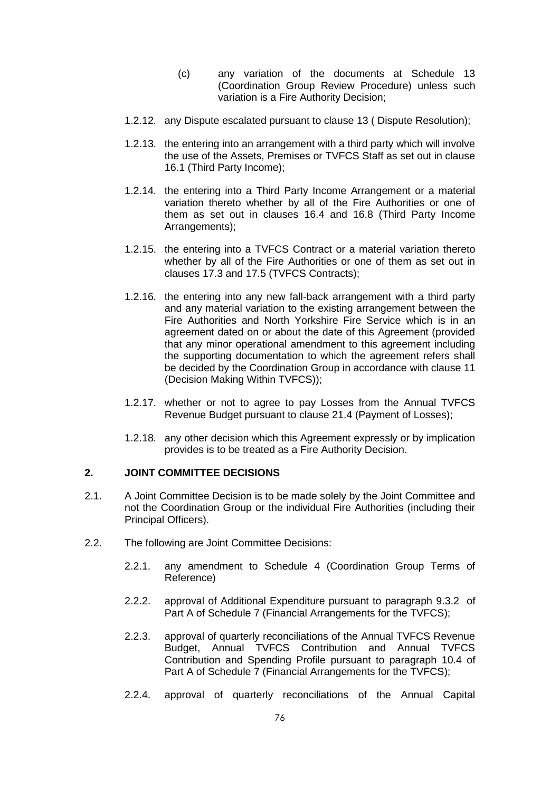- (c) any variation of the documents at Schedule 13 (Coordination Group Review Procedure) unless such variation is a Fire Authority Decision;
- 1.2.12. any Dispute escalated pursuant to clause [13](#page-16-0) ( Dispute Resolution);
- 1.2.13. the entering into an arrangement with a third party which will involve the use of the Assets, Premises or TVFCS Staff as set out in clause [16.1](#page-19-0) (Third Party Income);
- 1.2.14. the entering into a Third Party Income Arrangement or a material variation thereto whether by all of the Fire Authorities or one of them as set out in clauses [16.4](#page-19-1) and [16.8](#page-21-0) (Third Party Income Arrangements);
- 1.2.15. the entering into a TVFCS Contract or a material variation thereto whether by all of the Fire Authorities or one of them as set out in clauses [17.3](#page-22-0) and [17.5](#page-23-0) (TVFCS Contracts);
- 1.2.16. the entering into any new fall-back arrangement with a third party and any material variation to the existing arrangement between the Fire Authorities and North Yorkshire Fire Service which is in an agreement dated on or about the date of this Agreement (provided that any minor operational amendment to this agreement including the supporting documentation to which the agreement refers shall be decided by the Coordination Group in accordance with clause [11](#page-12-0) (Decision Making Within TVFCS));
- 1.2.17. whether or not to agree to pay Losses from the Annual TVFCS Revenue Budget pursuant to clause [21.4](#page-28-0) (Payment of Losses);
- 1.2.18. any other decision which this Agreement expressly or by implication provides is to be treated as a Fire Authority Decision.

## **2. JOINT COMMITTEE DECISIONS**

- 2.1. A Joint Committee Decision is to be made solely by the Joint Committee and not the Coordination Group or the individual Fire Authorities (including their Principal Officers).
- 2.2. The following are Joint Committee Decisions:
	- 2.2.1. any amendment to Schedule 4 (Coordination Group Terms of Reference)
	- 2.2.2. approval of Additional Expenditure pursuant to paragraph [9.3.2](#page-86-0) of Part A of Schedule 7 (Financial Arrangements for the TVFCS);
	- 2.2.3. approval of quarterly reconciliations of the Annual TVFCS Revenue Budget, Annual TVFCS Contribution and Annual TVFCS Contribution and Spending Profile pursuant to paragraph [10.4](#page-87-0) of Part A of Schedule 7 (Financial Arrangements for the TVFCS);
	- 2.2.4. approval of quarterly reconciliations of the Annual Capital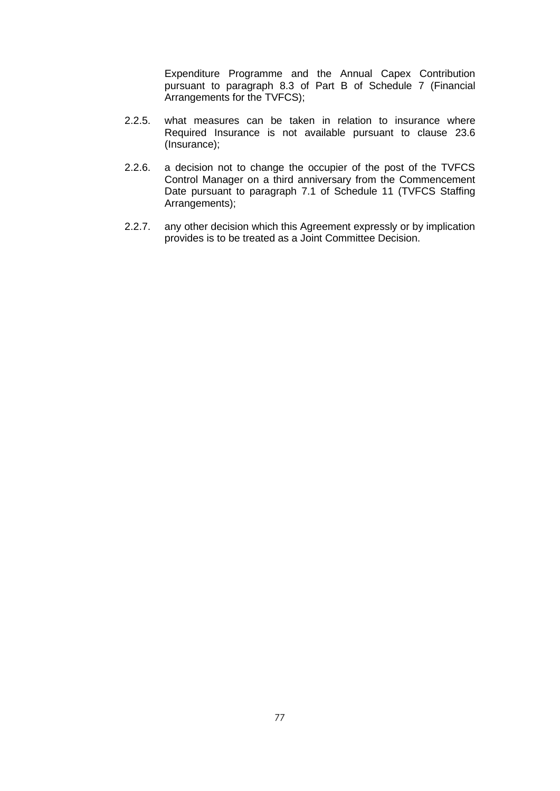Expenditure Programme and the Annual Capex Contribution pursuant to paragraph [8.3](#page-93-1) of Part B of Schedule 7 (Financial Arrangements for the TVFCS);

- 2.2.5. what measures can be taken in relation to insurance where Required Insurance is not available pursuant to clause [23.6](#page-32-0) (Insurance);
- 2.2.6. a decision not to change the occupier of the post of the TVFCS Control Manager on a third anniversary from the Commencement Date pursuant to paragraph [7.1](#page-108-0) of Schedule 11 (TVFCS Staffing Arrangements);
- 2.2.7. any other decision which this Agreement expressly or by implication provides is to be treated as a Joint Committee Decision.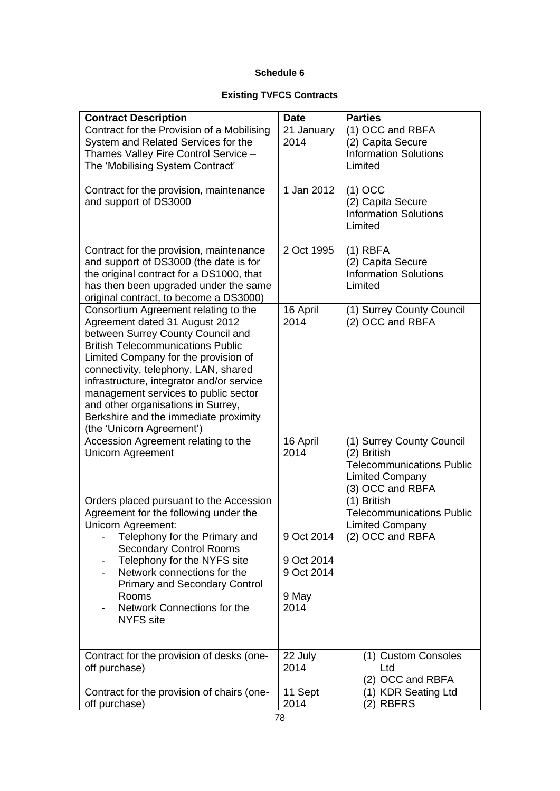# **Existing TVFCS Contracts**

| <b>Contract Description</b>                                                                                                                                                                                                                                                                                                                                                                                                              | <b>Date</b>              | <b>Parties</b>                                                                                                             |
|------------------------------------------------------------------------------------------------------------------------------------------------------------------------------------------------------------------------------------------------------------------------------------------------------------------------------------------------------------------------------------------------------------------------------------------|--------------------------|----------------------------------------------------------------------------------------------------------------------------|
| Contract for the Provision of a Mobilising<br>System and Related Services for the                                                                                                                                                                                                                                                                                                                                                        | 21 January<br>2014       | (1) OCC and RBFA<br>(2) Capita Secure                                                                                      |
| Thames Valley Fire Control Service -                                                                                                                                                                                                                                                                                                                                                                                                     |                          | <b>Information Solutions</b>                                                                                               |
| The 'Mobilising System Contract'                                                                                                                                                                                                                                                                                                                                                                                                         |                          | Limited                                                                                                                    |
| Contract for the provision, maintenance<br>and support of DS3000                                                                                                                                                                                                                                                                                                                                                                         | 1 Jan 2012               | $(1)$ OCC<br>(2) Capita Secure<br><b>Information Solutions</b><br>Limited                                                  |
| Contract for the provision, maintenance<br>and support of DS3000 (the date is for<br>the original contract for a DS1000, that                                                                                                                                                                                                                                                                                                            | 2 Oct 1995               | $(1)$ RBFA<br>(2) Capita Secure<br><b>Information Solutions</b>                                                            |
| has then been upgraded under the same<br>original contract, to become a DS3000)                                                                                                                                                                                                                                                                                                                                                          |                          | Limited                                                                                                                    |
| Consortium Agreement relating to the<br>Agreement dated 31 August 2012<br>between Surrey County Council and<br><b>British Telecommunications Public</b><br>Limited Company for the provision of<br>connectivity, telephony, LAN, shared<br>infrastructure, integrator and/or service<br>management services to public sector<br>and other organisations in Surrey,<br>Berkshire and the immediate proximity<br>(the 'Unicorn Agreement') | 16 April<br>2014         | (1) Surrey County Council<br>(2) OCC and RBFA                                                                              |
| Accession Agreement relating to the<br><b>Unicorn Agreement</b>                                                                                                                                                                                                                                                                                                                                                                          | 16 April<br>2014         | (1) Surrey County Council<br>(2) British<br><b>Telecommunications Public</b><br><b>Limited Company</b><br>(3) OCC and RBFA |
| Orders placed pursuant to the Accession<br>Agreement for the following under the<br><b>Unicorn Agreement:</b>                                                                                                                                                                                                                                                                                                                            |                          | (1) British<br><b>Telecommunications Public</b><br><b>Limited Company</b>                                                  |
| Telephony for the Primary and<br><b>Secondary Control Rooms</b>                                                                                                                                                                                                                                                                                                                                                                          | 9 Oct 2014               | (2) OCC and RBFA                                                                                                           |
| Telephony for the NYFS site<br>-<br>Network connections for the<br><b>Primary and Secondary Control</b>                                                                                                                                                                                                                                                                                                                                  | 9 Oct 2014<br>9 Oct 2014 |                                                                                                                            |
| Rooms<br>Network Connections for the<br><b>NYFS</b> site                                                                                                                                                                                                                                                                                                                                                                                 | 9 May<br>2014            |                                                                                                                            |
| Contract for the provision of desks (one-<br>off purchase)                                                                                                                                                                                                                                                                                                                                                                               | 22 July<br>2014          | (1) Custom Consoles<br>Ltd<br>(2) OCC and RBFA                                                                             |
| Contract for the provision of chairs (one-<br>off purchase)                                                                                                                                                                                                                                                                                                                                                                              | 11 Sept<br>2014          | (1) KDR Seating Ltd<br>(2) RBFRS                                                                                           |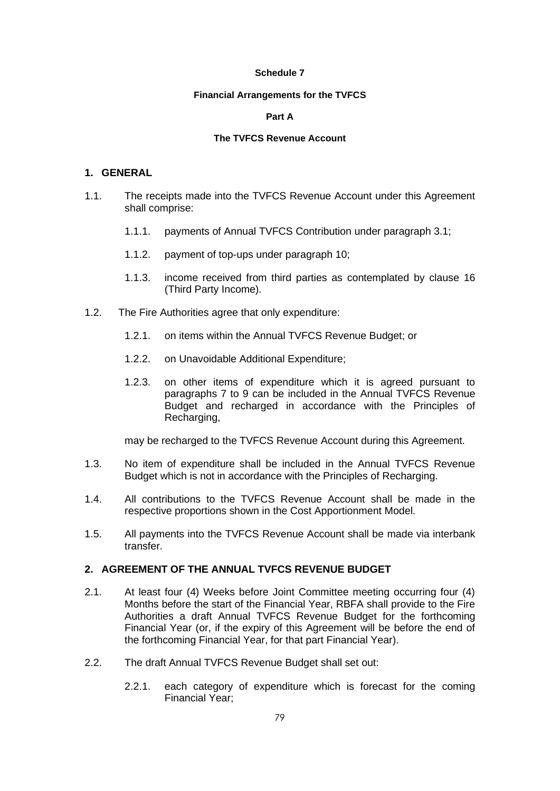#### **Financial Arrangements for the TVFCS**

#### **Part A**

#### **The TVFCS Revenue Account**

#### **1. GENERAL**

- 1.1. The receipts made into the TVFCS Revenue Account under this Agreement shall comprise:
	- 1.1.1. payments of Annual TVFCS Contribution under paragraph [3.1;](#page-83-1)
	- 1.1.2. payment of top-ups under paragraph [10;](#page-86-1)
	- 1.1.3. income received from third parties as contemplated by clause [16](#page-19-2) (Third Party Income).
- 1.2. The Fire Authorities agree that only expenditure:
	- 1.2.1. on items within the Annual TVFCS Revenue Budget; or
	- 1.2.2. on Unavoidable Additional Expenditure;
	- 1.2.3. on other items of expenditure which it is agreed pursuant to paragraphs [7](#page-84-0) to [9](#page-86-2) can be included in the Annual TVFCS Revenue Budget and recharged in accordance with the Principles of Recharging,

may be recharged to the TVFCS Revenue Account during this Agreement.

- 1.3. No item of expenditure shall be included in the Annual TVFCS Revenue Budget which is not in accordance with the Principles of Recharging.
- 1.4. All contributions to the TVFCS Revenue Account shall be made in the respective proportions shown in the Cost Apportionment Model.
- 1.5. All payments into the TVFCS Revenue Account shall be made via interbank transfer.

### **2. AGREEMENT OF THE ANNUAL TVFCS REVENUE BUDGET**

- <span id="page-81-0"></span>2.1. At least four (4) Weeks before Joint Committee meeting occurring four (4) Months before the start of the Financial Year, RBFA shall provide to the Fire Authorities a draft Annual TVFCS Revenue Budget for the forthcoming Financial Year (or, if the expiry of this Agreement will be before the end of the forthcoming Financial Year, for that part Financial Year).
- <span id="page-81-1"></span>2.2. The draft Annual TVFCS Revenue Budget shall set out:
	- 2.2.1. each category of expenditure which is forecast for the coming Financial Year;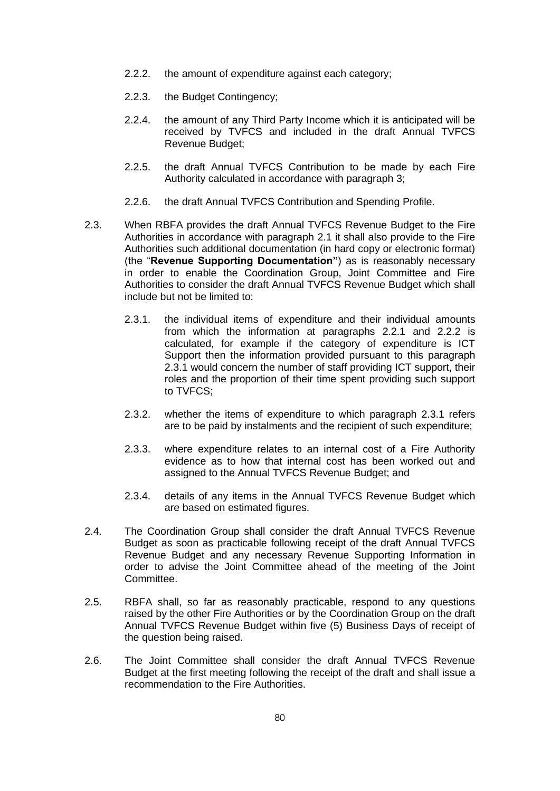- <span id="page-82-0"></span>2.2.2. the amount of expenditure against each category;
- 2.2.3. the Budget Contingency;
- 2.2.4. the amount of any Third Party Income which it is anticipated will be received by TVFCS and included in the draft Annual TVFCS Revenue Budget;
- 2.2.5. the draft Annual TVFCS Contribution to be made by each Fire Authority calculated in accordance with paragraph [3;](#page-83-2)
- 2.2.6. the draft Annual TVFCS Contribution and Spending Profile.
- <span id="page-82-1"></span>2.3. When RBFA provides the draft Annual TVFCS Revenue Budget to the Fire Authorities in accordance with paragraph [2.1](#page-81-0) it shall also provide to the Fire Authorities such additional documentation (in hard copy or electronic format) (the "**Revenue Supporting Documentation"**) as is reasonably necessary in order to enable the Coordination Group, Joint Committee and Fire Authorities to consider the draft Annual TVFCS Revenue Budget which shall include but not be limited to:
	- 2.3.1. the individual items of expenditure and their individual amounts from which the information at paragraphs [2.2.1](#page-81-1) and [2.2.2](#page-82-0) is calculated, for example if the category of expenditure is ICT Support then the information provided pursuant to this paragraph [2.3.1](#page-82-1) would concern the number of staff providing ICT support, their roles and the proportion of their time spent providing such support to TVFCS;
	- 2.3.2. whether the items of expenditure to which paragraph [2.3.1](#page-82-1) refers are to be paid by instalments and the recipient of such expenditure;
	- 2.3.3. where expenditure relates to an internal cost of a Fire Authority evidence as to how that internal cost has been worked out and assigned to the Annual TVFCS Revenue Budget; and
	- 2.3.4. details of any items in the Annual TVFCS Revenue Budget which are based on estimated figures.
- 2.4. The Coordination Group shall consider the draft Annual TVFCS Revenue Budget as soon as practicable following receipt of the draft Annual TVFCS Revenue Budget and any necessary Revenue Supporting Information in order to advise the Joint Committee ahead of the meeting of the Joint Committee.
- 2.5. RBFA shall, so far as reasonably practicable, respond to any questions raised by the other Fire Authorities or by the Coordination Group on the draft Annual TVFCS Revenue Budget within five (5) Business Days of receipt of the question being raised.
- 2.6. The Joint Committee shall consider the draft Annual TVFCS Revenue Budget at the first meeting following the receipt of the draft and shall issue a recommendation to the Fire Authorities.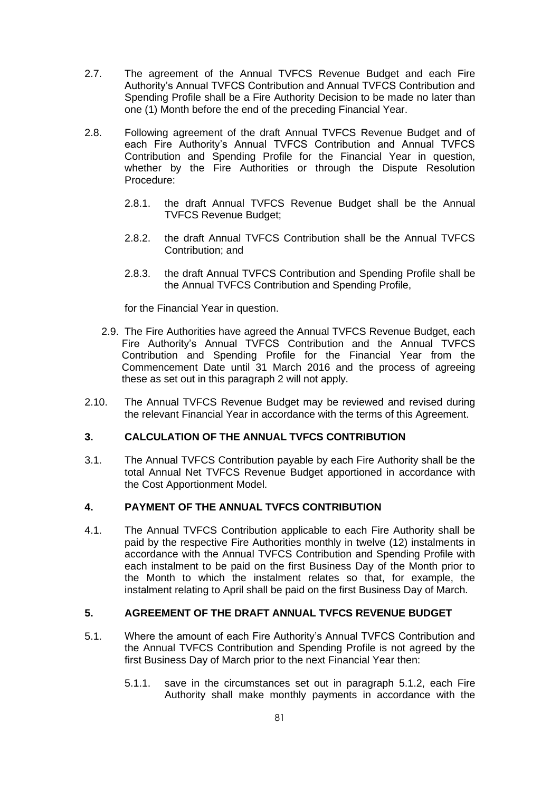- <span id="page-83-0"></span>2.7. The agreement of the Annual TVFCS Revenue Budget and each Fire Authority's Annual TVFCS Contribution and Annual TVFCS Contribution and Spending Profile shall be a Fire Authority Decision to be made no later than one (1) Month before the end of the preceding Financial Year.
- 2.8. Following agreement of the draft Annual TVFCS Revenue Budget and of each Fire Authority's Annual TVFCS Contribution and Annual TVFCS Contribution and Spending Profile for the Financial Year in question, whether by the Fire Authorities or through the Dispute Resolution Procedure:
	- 2.8.1. the draft Annual TVFCS Revenue Budget shall be the Annual TVFCS Revenue Budget;
	- 2.8.2. the draft Annual TVFCS Contribution shall be the Annual TVFCS Contribution; and
	- 2.8.3. the draft Annual TVFCS Contribution and Spending Profile shall be the Annual TVFCS Contribution and Spending Profile,

for the Financial Year in question.

- 2.9. The Fire Authorities have agreed the Annual TVFCS Revenue Budget, each Fire Authority's Annual TVFCS Contribution and the Annual TVFCS Contribution and Spending Profile for the Financial Year from the Commencement Date until 31 March 2016 and the process of agreeing these as set out in this paragraph 2 will not apply.
- 2.10. The Annual TVFCS Revenue Budget may be reviewed and revised during the relevant Financial Year in accordance with the terms of this Agreement.

## <span id="page-83-2"></span>**3. CALCULATION OF THE ANNUAL TVFCS CONTRIBUTION**

<span id="page-83-1"></span>3.1. The Annual TVFCS Contribution payable by each Fire Authority shall be the total Annual Net TVFCS Revenue Budget apportioned in accordance with the Cost Apportionment Model.

## **4. PAYMENT OF THE ANNUAL TVFCS CONTRIBUTION**

<span id="page-83-3"></span>4.1. The Annual TVFCS Contribution applicable to each Fire Authority shall be paid by the respective Fire Authorities monthly in twelve (12) instalments in accordance with the Annual TVFCS Contribution and Spending Profile with each instalment to be paid on the first Business Day of the Month prior to the Month to which the instalment relates so that, for example, the instalment relating to April shall be paid on the first Business Day of March.

#### **5. AGREEMENT OF THE DRAFT ANNUAL TVFCS REVENUE BUDGET**

- <span id="page-83-4"></span>5.1. Where the amount of each Fire Authority's Annual TVFCS Contribution and the Annual TVFCS Contribution and Spending Profile is not agreed by the first Business Day of March prior to the next Financial Year then:
	- 5.1.1. save in the circumstances set out in paragraph [5.1.2,](#page-84-1) each Fire Authority shall make monthly payments in accordance with the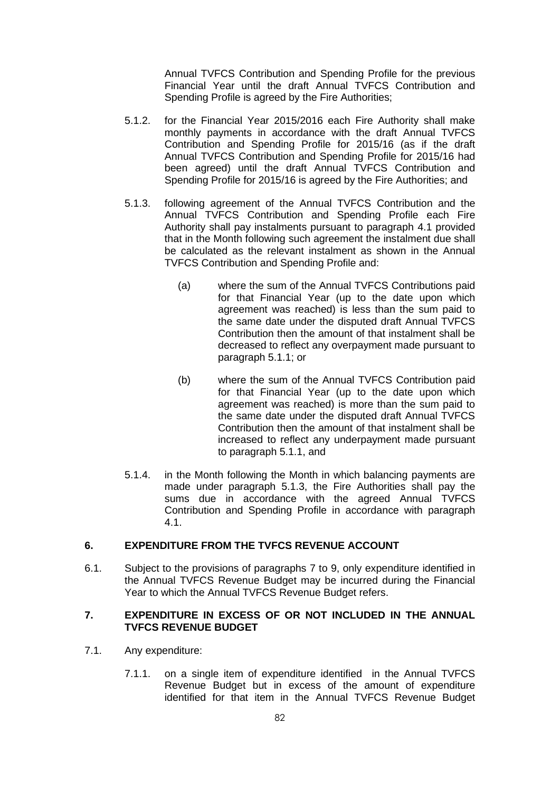Annual TVFCS Contribution and Spending Profile for the previous Financial Year until the draft Annual TVFCS Contribution and Spending Profile is agreed by the Fire Authorities;

- <span id="page-84-1"></span>5.1.2. for the Financial Year 2015/2016 each Fire Authority shall make monthly payments in accordance with the draft Annual TVFCS Contribution and Spending Profile for 2015/16 (as if the draft Annual TVFCS Contribution and Spending Profile for 2015/16 had been agreed) until the draft Annual TVFCS Contribution and Spending Profile for 2015/16 is agreed by the Fire Authorities; and
- <span id="page-84-2"></span>5.1.3. following agreement of the Annual TVFCS Contribution and the Annual TVFCS Contribution and Spending Profile each Fire Authority shall pay instalments pursuant to paragraph [4.1](#page-83-3) provided that in the Month following such agreement the instalment due shall be calculated as the relevant instalment as shown in the Annual TVFCS Contribution and Spending Profile and:
	- (a) where the sum of the Annual TVFCS Contributions paid for that Financial Year (up to the date upon which agreement was reached) is less than the sum paid to the same date under the disputed draft Annual TVFCS Contribution then the amount of that instalment shall be decreased to reflect any overpayment made pursuant to paragraph [5.1.1;](#page-83-4) or
	- (b) where the sum of the Annual TVFCS Contribution paid for that Financial Year (up to the date upon which agreement was reached) is more than the sum paid to the same date under the disputed draft Annual TVFCS Contribution then the amount of that instalment shall be increased to reflect any underpayment made pursuant to paragraph [5.1.1,](#page-83-4) and
- 5.1.4. in the Month following the Month in which balancing payments are made under paragraph [5.1.3,](#page-84-2) the Fire Authorities shall pay the sums due in accordance with the agreed Annual TVFCS Contribution and Spending Profile in accordance with paragraph [4.1.](#page-83-3)

### **6. EXPENDITURE FROM THE TVFCS REVENUE ACCOUNT**

6.1. Subject to the provisions of paragraphs [7](#page-84-0) to [9,](#page-86-2) only expenditure identified in the Annual TVFCS Revenue Budget may be incurred during the Financial Year to which the Annual TVFCS Revenue Budget refers.

### <span id="page-84-0"></span>**7. EXPENDITURE IN EXCESS OF OR NOT INCLUDED IN THE ANNUAL TVFCS REVENUE BUDGET**

- 7.1. Any expenditure:
	- 7.1.1. on a single item of expenditure identified in the Annual TVFCS Revenue Budget but in excess of the amount of expenditure identified for that item in the Annual TVFCS Revenue Budget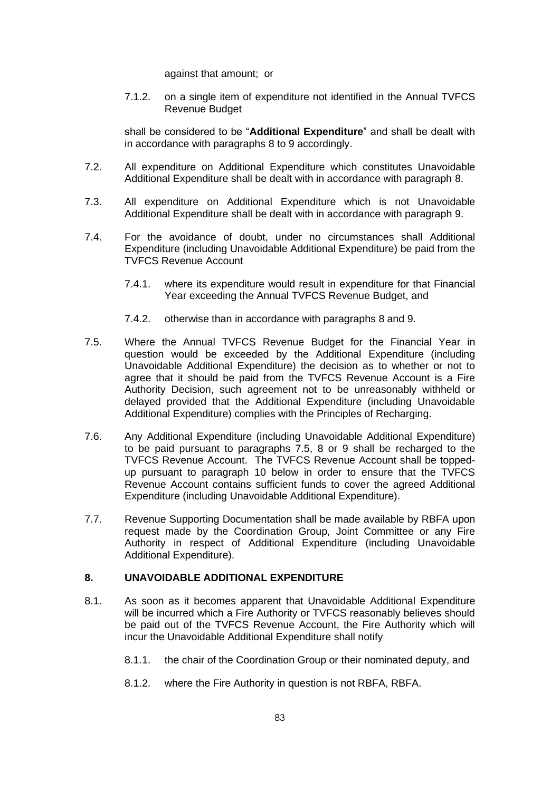against that amount; or

7.1.2. on a single item of expenditure not identified in the Annual TVFCS Revenue Budget

shall be considered to be "**Additional Expenditure**" and shall be dealt with in accordance with paragraphs [8](#page-85-1) to [9](#page-86-2) accordingly.

- 7.2. All expenditure on Additional Expenditure which constitutes Unavoidable Additional Expenditure shall be dealt with in accordance with paragraph [8.](#page-85-1)
- 7.3. All expenditure on Additional Expenditure which is not Unavoidable Additional Expenditure shall be dealt with in accordance with paragraph [9.](#page-86-2)
- <span id="page-85-3"></span>7.4. For the avoidance of doubt, under no circumstances shall Additional Expenditure (including Unavoidable Additional Expenditure) be paid from the TVFCS Revenue Account
	- 7.4.1. where its expenditure would result in expenditure for that Financial Year exceeding the Annual TVFCS Revenue Budget, and
	- 7.4.2. otherwise than in accordance with paragraphs [8](#page-85-1) and [9.](#page-86-2)
- <span id="page-85-0"></span>7.5. Where the Annual TVFCS Revenue Budget for the Financial Year in question would be exceeded by the Additional Expenditure (including Unavoidable Additional Expenditure) the decision as to whether or not to agree that it should be paid from the TVFCS Revenue Account is a Fire Authority Decision, such agreement not to be unreasonably withheld or delayed provided that the Additional Expenditure (including Unavoidable Additional Expenditure) complies with the Principles of Recharging.
- 7.6. Any Additional Expenditure (including Unavoidable Additional Expenditure) to be paid pursuant to paragraphs [7.5,](#page-85-0) [8](#page-85-1) or [9](#page-86-2) shall be recharged to the TVFCS Revenue Account. The TVFCS Revenue Account shall be toppedup pursuant to paragraph [10](#page-86-1) below in order to ensure that the TVFCS Revenue Account contains sufficient funds to cover the agreed Additional Expenditure (including Unavoidable Additional Expenditure).
- 7.7. Revenue Supporting Documentation shall be made available by RBFA upon request made by the Coordination Group, Joint Committee or any Fire Authority in respect of Additional Expenditure (including Unavoidable Additional Expenditure).

#### <span id="page-85-1"></span>**8. UNAVOIDABLE ADDITIONAL EXPENDITURE**

- <span id="page-85-2"></span>8.1. As soon as it becomes apparent that Unavoidable Additional Expenditure will be incurred which a Fire Authority or TVFCS reasonably believes should be paid out of the TVFCS Revenue Account, the Fire Authority which will incur the Unavoidable Additional Expenditure shall notify
	- 8.1.1. the chair of the Coordination Group or their nominated deputy, and
	- 8.1.2. where the Fire Authority in question is not RBFA, RBFA.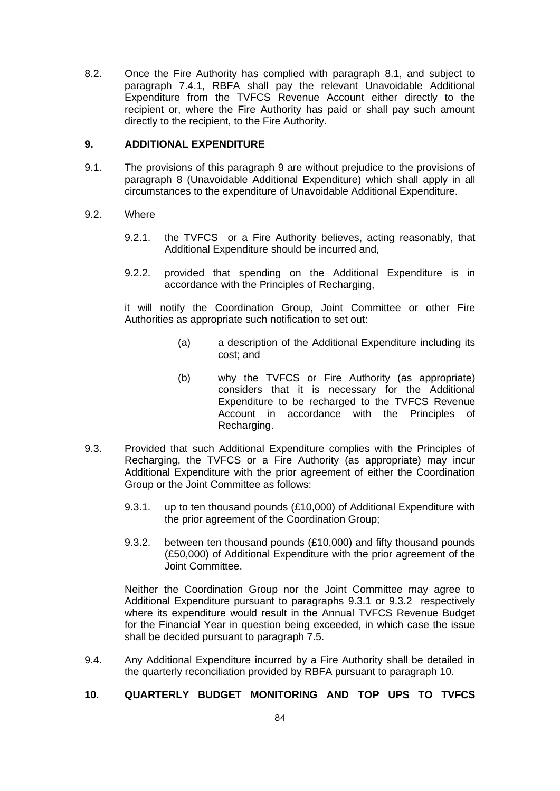8.2. Once the Fire Authority has complied with paragraph [8.1,](#page-85-2) and subject to paragraph [7.4.1,](#page-85-3) RBFA shall pay the relevant Unavoidable Additional Expenditure from the TVFCS Revenue Account either directly to the recipient or, where the Fire Authority has paid or shall pay such amount directly to the recipient, to the Fire Authority.

### <span id="page-86-2"></span>**9. ADDITIONAL EXPENDITURE**

9.1. The provisions of this paragraph [9](#page-86-2) are without prejudice to the provisions of paragraph [8](#page-85-1) (Unavoidable Additional Expenditure) which shall apply in all circumstances to the expenditure of Unavoidable Additional Expenditure.

#### 9.2. Where

- 9.2.1. the TVFCS or a Fire Authority believes, acting reasonably, that Additional Expenditure should be incurred and,
- 9.2.2. provided that spending on the Additional Expenditure is in accordance with the Principles of Recharging,

it will notify the Coordination Group, Joint Committee or other Fire Authorities as appropriate such notification to set out:

- (a) a description of the Additional Expenditure including its cost; and
- (b) why the TVFCS or Fire Authority (as appropriate) considers that it is necessary for the Additional Expenditure to be recharged to the TVFCS Revenue Account in accordance with the Principles of Recharging.
- <span id="page-86-3"></span>9.3. Provided that such Additional Expenditure complies with the Principles of Recharging, the TVFCS or a Fire Authority (as appropriate) may incur Additional Expenditure with the prior agreement of either the Coordination Group or the Joint Committee as follows:
	- 9.3.1. up to ten thousand pounds (£10,000) of Additional Expenditure with the prior agreement of the Coordination Group;
	- 9.3.2. between ten thousand pounds (£10,000) and fifty thousand pounds (£50,000) of Additional Expenditure with the prior agreement of the Joint Committee.

<span id="page-86-0"></span>Neither the Coordination Group nor the Joint Committee may agree to Additional Expenditure pursuant to paragraphs [9.3.1](#page-86-3) or [9.3.2](#page-86-0) respectively where its expenditure would result in the Annual TVFCS Revenue Budget for the Financial Year in question being exceeded, in which case the issue shall be decided pursuant to paragraph [7.5.](#page-85-0)

9.4. Any Additional Expenditure incurred by a Fire Authority shall be detailed in the quarterly reconciliation provided by RBFA pursuant to paragraph [10.](#page-86-1)

### <span id="page-86-1"></span>**10. QUARTERLY BUDGET MONITORING AND TOP UPS TO TVFCS**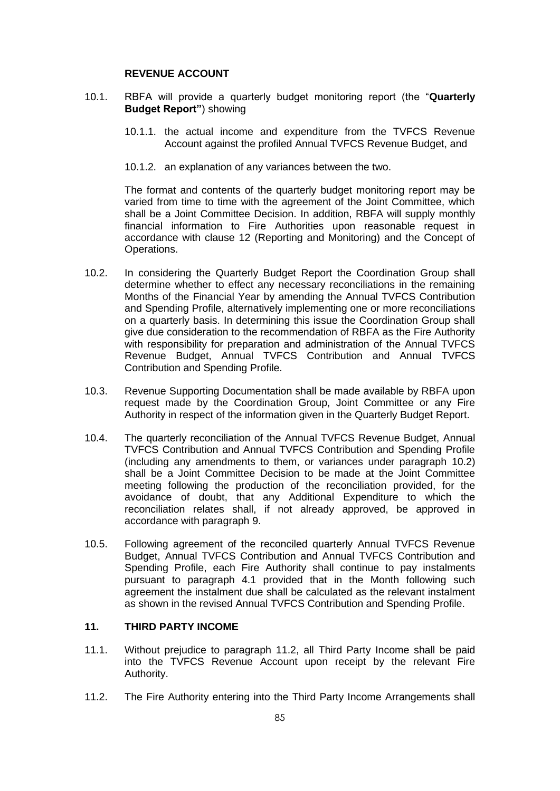#### **REVENUE ACCOUNT**

- <span id="page-87-3"></span>10.1. RBFA will provide a quarterly budget monitoring report (the "**Quarterly Budget Report"**) showing
	- 10.1.1. the actual income and expenditure from the TVFCS Revenue Account against the profiled Annual TVFCS Revenue Budget, and
	- 10.1.2. an explanation of any variances between the two.

The format and contents of the quarterly budget monitoring report may be varied from time to time with the agreement of the Joint Committee, which shall be a Joint Committee Decision. In addition, RBFA will supply monthly financial information to Fire Authorities upon reasonable request in accordance with clause [12](#page-15-0) (Reporting and Monitoring) and the Concept of Operations.

- <span id="page-87-1"></span>10.2. In considering the Quarterly Budget Report the Coordination Group shall determine whether to effect any necessary reconciliations in the remaining Months of the Financial Year by amending the Annual TVFCS Contribution and Spending Profile, alternatively implementing one or more reconciliations on a quarterly basis. In determining this issue the Coordination Group shall give due consideration to the recommendation of RBFA as the Fire Authority with responsibility for preparation and administration of the Annual TVFCS Revenue Budget, Annual TVFCS Contribution and Annual TVFCS Contribution and Spending Profile.
- 10.3. Revenue Supporting Documentation shall be made available by RBFA upon request made by the Coordination Group, Joint Committee or any Fire Authority in respect of the information given in the Quarterly Budget Report.
- <span id="page-87-0"></span>10.4. The quarterly reconciliation of the Annual TVFCS Revenue Budget, Annual TVFCS Contribution and Annual TVFCS Contribution and Spending Profile (including any amendments to them, or variances under paragraph [10.2\)](#page-87-1) shall be a Joint Committee Decision to be made at the Joint Committee meeting following the production of the reconciliation provided, for the avoidance of doubt, that any Additional Expenditure to which the reconciliation relates shall, if not already approved, be approved in accordance with paragraph [9.](#page-86-2)
- 10.5. Following agreement of the reconciled quarterly Annual TVFCS Revenue Budget, Annual TVFCS Contribution and Annual TVFCS Contribution and Spending Profile, each Fire Authority shall continue to pay instalments pursuant to paragraph [4.1](#page-83-3) provided that in the Month following such agreement the instalment due shall be calculated as the relevant instalment as shown in the revised Annual TVFCS Contribution and Spending Profile.

### **11. THIRD PARTY INCOME**

- 11.1. Without prejudice to paragraph [11.2,](#page-87-2) all Third Party Income shall be paid into the TVFCS Revenue Account upon receipt by the relevant Fire Authority.
- <span id="page-87-2"></span>11.2. The Fire Authority entering into the Third Party Income Arrangements shall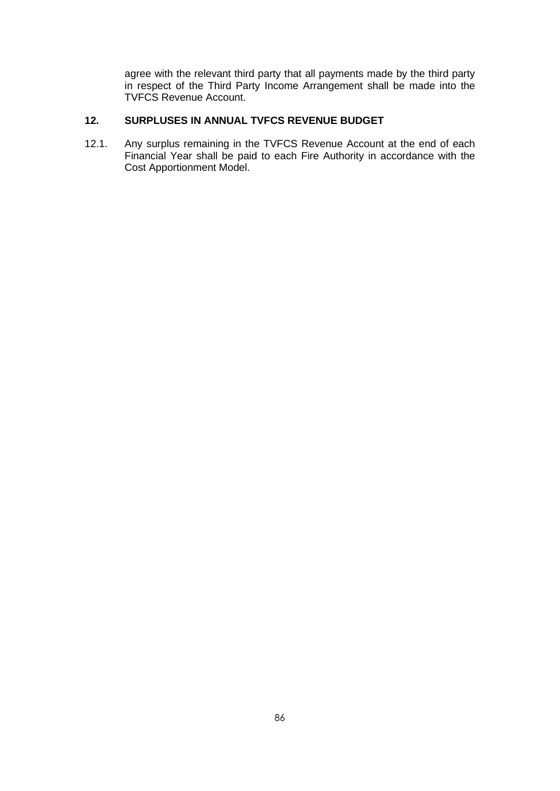agree with the relevant third party that all payments made by the third party in respect of the Third Party Income Arrangement shall be made into the TVFCS Revenue Account.

## **12. SURPLUSES IN ANNUAL TVFCS REVENUE BUDGET**

12.1. Any surplus remaining in the TVFCS Revenue Account at the end of each Financial Year shall be paid to each Fire Authority in accordance with the Cost Apportionment Model.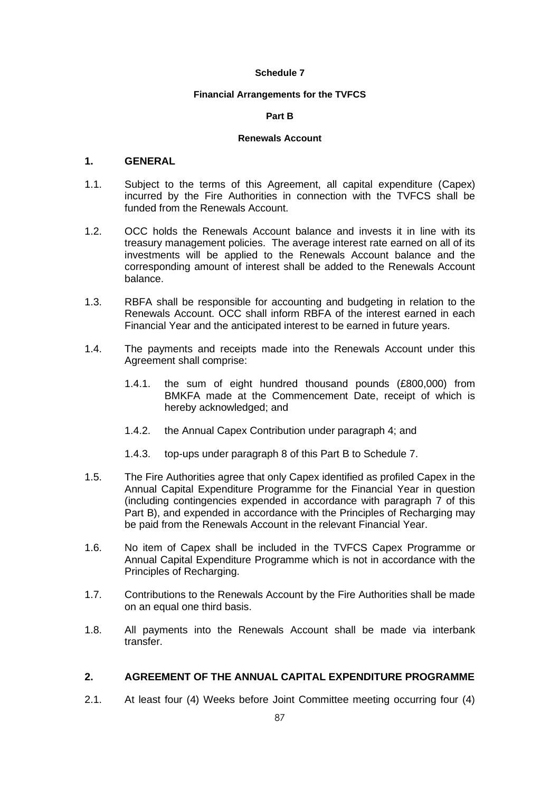#### **Financial Arrangements for the TVFCS**

#### **Part B**

#### **Renewals Account**

### **1. GENERAL**

- 1.1. Subject to the terms of this Agreement, all capital expenditure (Capex) incurred by the Fire Authorities in connection with the TVFCS shall be funded from the Renewals Account.
- 1.2. OCC holds the Renewals Account balance and invests it in line with its treasury management policies. The average interest rate earned on all of its investments will be applied to the Renewals Account balance and the corresponding amount of interest shall be added to the Renewals Account balance.
- 1.3. RBFA shall be responsible for accounting and budgeting in relation to the Renewals Account. OCC shall inform RBFA of the interest earned in each Financial Year and the anticipated interest to be earned in future years.
- 1.4. The payments and receipts made into the Renewals Account under this Agreement shall comprise:
	- 1.4.1. the sum of eight hundred thousand pounds (£800,000) from BMKFA made at the Commencement Date, receipt of which is hereby acknowledged; and
	- 1.4.2. the Annual Capex Contribution under paragraph [4;](#page-91-1) and
	- 1.4.3. top-ups under paragraph [8](#page-93-2) of this Part B to Schedule 7.
- 1.5. The Fire Authorities agree that only Capex identified as profiled Capex in the Annual Capital Expenditure Programme for the Financial Year in question (including contingencies expended in accordance with paragraph [7](#page-92-0) of this Part B), and expended in accordance with the Principles of Recharging may be paid from the Renewals Account in the relevant Financial Year.
- 1.6. No item of Capex shall be included in the TVFCS Capex Programme or Annual Capital Expenditure Programme which is not in accordance with the Principles of Recharging.
- 1.7. Contributions to the Renewals Account by the Fire Authorities shall be made on an equal one third basis.
- 1.8. All payments into the Renewals Account shall be made via interbank transfer.

### **2. AGREEMENT OF THE ANNUAL CAPITAL EXPENDITURE PROGRAMME**

<span id="page-89-0"></span>2.1. At least four (4) Weeks before Joint Committee meeting occurring four (4)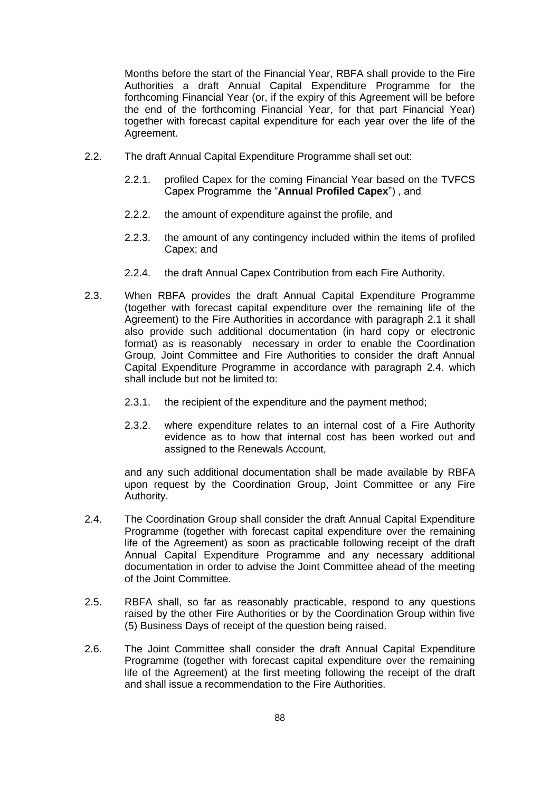Months before the start of the Financial Year, RBFA shall provide to the Fire Authorities a draft Annual Capital Expenditure Programme for the forthcoming Financial Year (or, if the expiry of this Agreement will be before the end of the forthcoming Financial Year, for that part Financial Year) together with forecast capital expenditure for each year over the life of the Agreement.

- 2.2. The draft Annual Capital Expenditure Programme shall set out:
	- 2.2.1. profiled Capex for the coming Financial Year based on the TVFCS Capex Programme the "**Annual Profiled Capex**") , and
	- 2.2.2. the amount of expenditure against the profile, and
	- 2.2.3. the amount of any contingency included within the items of profiled Capex; and
	- 2.2.4. the draft Annual Capex Contribution from each Fire Authority.
- 2.3. When RBFA provides the draft Annual Capital Expenditure Programme (together with forecast capital expenditure over the remaining life of the Agreement) to the Fire Authorities in accordance with paragraph [2.1](#page-89-0) it shall also provide such additional documentation (in hard copy or electronic format) as is reasonably necessary in order to enable the Coordination Group, Joint Committee and Fire Authorities to consider the draft Annual Capital Expenditure Programme in accordance with paragraph [2.4.](#page-90-0) which shall include but not be limited to:
	- 2.3.1. the recipient of the expenditure and the payment method;
	- 2.3.2. where expenditure relates to an internal cost of a Fire Authority evidence as to how that internal cost has been worked out and assigned to the Renewals Account,

and any such additional documentation shall be made available by RBFA upon request by the Coordination Group, Joint Committee or any Fire Authority.

- <span id="page-90-0"></span>2.4. The Coordination Group shall consider the draft Annual Capital Expenditure Programme (together with forecast capital expenditure over the remaining life of the Agreement) as soon as practicable following receipt of the draft Annual Capital Expenditure Programme and any necessary additional documentation in order to advise the Joint Committee ahead of the meeting of the Joint Committee.
- 2.5. RBFA shall, so far as reasonably practicable, respond to any questions raised by the other Fire Authorities or by the Coordination Group within five (5) Business Days of receipt of the question being raised.
- 2.6. The Joint Committee shall consider the draft Annual Capital Expenditure Programme (together with forecast capital expenditure over the remaining life of the Agreement) at the first meeting following the receipt of the draft and shall issue a recommendation to the Fire Authorities.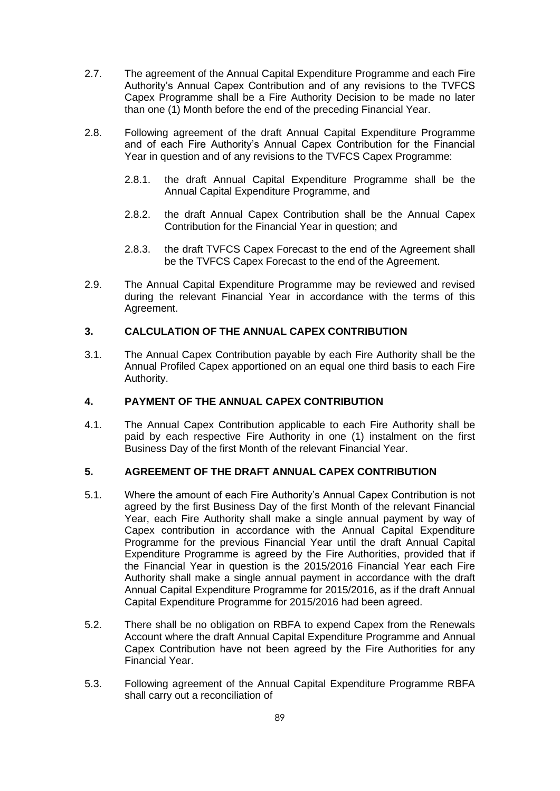- <span id="page-91-0"></span>2.7. The agreement of the Annual Capital Expenditure Programme and each Fire Authority's Annual Capex Contribution and of any revisions to the TVFCS Capex Programme shall be a Fire Authority Decision to be made no later than one (1) Month before the end of the preceding Financial Year.
- 2.8. Following agreement of the draft Annual Capital Expenditure Programme and of each Fire Authority's Annual Capex Contribution for the Financial Year in question and of any revisions to the TVFCS Capex Programme:
	- 2.8.1. the draft Annual Capital Expenditure Programme shall be the Annual Capital Expenditure Programme, and
	- 2.8.2. the draft Annual Capex Contribution shall be the Annual Capex Contribution for the Financial Year in question; and
	- 2.8.3. the draft TVFCS Capex Forecast to the end of the Agreement shall be the TVFCS Capex Forecast to the end of the Agreement.
- 2.9. The Annual Capital Expenditure Programme may be reviewed and revised during the relevant Financial Year in accordance with the terms of this Agreement.

## **3. CALCULATION OF THE ANNUAL CAPEX CONTRIBUTION**

3.1. The Annual Capex Contribution payable by each Fire Authority shall be the Annual Profiled Capex apportioned on an equal one third basis to each Fire Authority.

### <span id="page-91-1"></span>**4. PAYMENT OF THE ANNUAL CAPEX CONTRIBUTION**

4.1. The Annual Capex Contribution applicable to each Fire Authority shall be paid by each respective Fire Authority in one (1) instalment on the first Business Day of the first Month of the relevant Financial Year.

## **5. AGREEMENT OF THE DRAFT ANNUAL CAPEX CONTRIBUTION**

- 5.1. Where the amount of each Fire Authority's Annual Capex Contribution is not agreed by the first Business Day of the first Month of the relevant Financial Year, each Fire Authority shall make a single annual payment by way of Capex contribution in accordance with the Annual Capital Expenditure Programme for the previous Financial Year until the draft Annual Capital Expenditure Programme is agreed by the Fire Authorities, provided that if the Financial Year in question is the 2015/2016 Financial Year each Fire Authority shall make a single annual payment in accordance with the draft Annual Capital Expenditure Programme for 2015/2016, as if the draft Annual Capital Expenditure Programme for 2015/2016 had been agreed.
- 5.2. There shall be no obligation on RBFA to expend Capex from the Renewals Account where the draft Annual Capital Expenditure Programme and Annual Capex Contribution have not been agreed by the Fire Authorities for any Financial Year.
- <span id="page-91-2"></span>5.3. Following agreement of the Annual Capital Expenditure Programme RBFA shall carry out a reconciliation of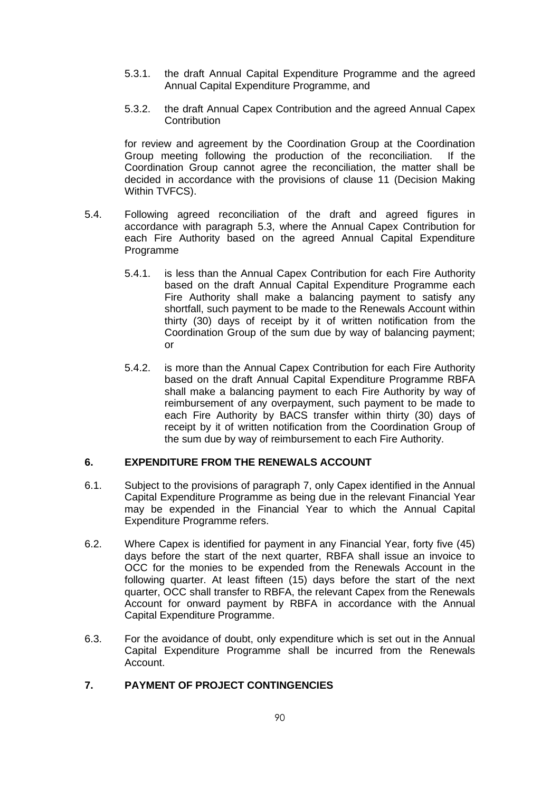- 5.3.1. the draft Annual Capital Expenditure Programme and the agreed Annual Capital Expenditure Programme, and
- 5.3.2. the draft Annual Capex Contribution and the agreed Annual Capex **Contribution**

for review and agreement by the Coordination Group at the Coordination Group meeting following the production of the reconciliation. If the Coordination Group cannot agree the reconciliation, the matter shall be decided in accordance with the provisions of clause [11](#page-12-0) (Decision Making Within TVFCS).

- 5.4. Following agreed reconciliation of the draft and agreed figures in accordance with paragraph [5.3,](#page-91-2) where the Annual Capex Contribution for each Fire Authority based on the agreed Annual Capital Expenditure Programme
	- 5.4.1. is less than the Annual Capex Contribution for each Fire Authority based on the draft Annual Capital Expenditure Programme each Fire Authority shall make a balancing payment to satisfy any shortfall, such payment to be made to the Renewals Account within thirty (30) days of receipt by it of written notification from the Coordination Group of the sum due by way of balancing payment; or
	- 5.4.2. is more than the Annual Capex Contribution for each Fire Authority based on the draft Annual Capital Expenditure Programme RBFA shall make a balancing payment to each Fire Authority by way of reimbursement of any overpayment, such payment to be made to each Fire Authority by BACS transfer within thirty (30) days of receipt by it of written notification from the Coordination Group of the sum due by way of reimbursement to each Fire Authority.

#### **6. EXPENDITURE FROM THE RENEWALS ACCOUNT**

- 6.1. Subject to the provisions of paragraph [7,](#page-92-0) only Capex identified in the Annual Capital Expenditure Programme as being due in the relevant Financial Year may be expended in the Financial Year to which the Annual Capital Expenditure Programme refers.
- 6.2. Where Capex is identified for payment in any Financial Year, forty five (45) days before the start of the next quarter, RBFA shall issue an invoice to OCC for the monies to be expended from the Renewals Account in the following quarter. At least fifteen (15) days before the start of the next quarter, OCC shall transfer to RBFA, the relevant Capex from the Renewals Account for onward payment by RBFA in accordance with the Annual Capital Expenditure Programme.
- 6.3. For the avoidance of doubt, only expenditure which is set out in the Annual Capital Expenditure Programme shall be incurred from the Renewals Account.

## <span id="page-92-0"></span>**7. PAYMENT OF PROJECT CONTINGENCIES**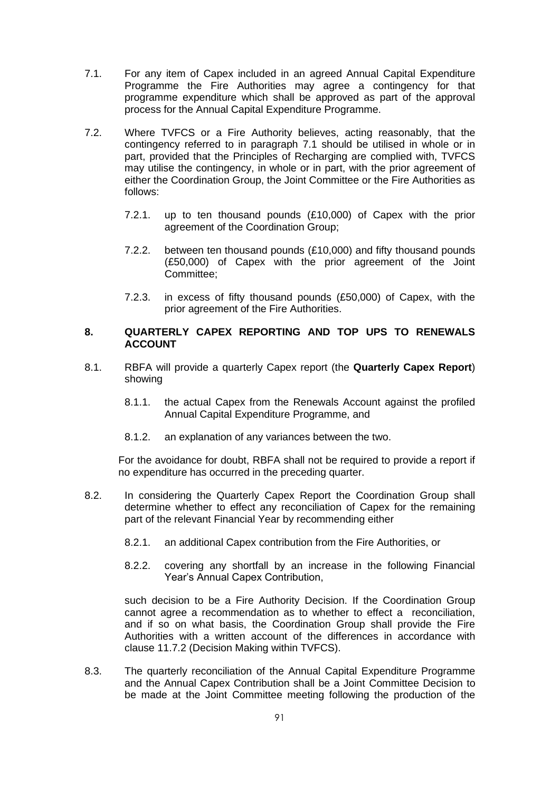- <span id="page-93-3"></span>7.1. For any item of Capex included in an agreed Annual Capital Expenditure Programme the Fire Authorities may agree a contingency for that programme expenditure which shall be approved as part of the approval process for the Annual Capital Expenditure Programme.
- 7.2. Where TVFCS or a Fire Authority believes, acting reasonably, that the contingency referred to in paragraph [7.1](#page-93-3) should be utilised in whole or in part, provided that the Principles of Recharging are complied with, TVFCS may utilise the contingency, in whole or in part, with the prior agreement of either the Coordination Group, the Joint Committee or the Fire Authorities as follows:
	- 7.2.1. up to ten thousand pounds (£10,000) of Capex with the prior agreement of the Coordination Group;
	- 7.2.2. between ten thousand pounds (£10,000) and fifty thousand pounds (£50,000) of Capex with the prior agreement of the Joint Committee;
	- 7.2.3. in excess of fifty thousand pounds (£50,000) of Capex, with the prior agreement of the Fire Authorities.

### <span id="page-93-2"></span>**8. QUARTERLY CAPEX REPORTING AND TOP UPS TO RENEWALS ACCOUNT**

- <span id="page-93-4"></span>8.1. RBFA will provide a quarterly Capex report (the **Quarterly Capex Report**) showing
	- 8.1.1. the actual Capex from the Renewals Account against the profiled Annual Capital Expenditure Programme, and
	- 8.1.2. an explanation of any variances between the two.

For the avoidance for doubt, RBFA shall not be required to provide a report if no expenditure has occurred in the preceding quarter.

- <span id="page-93-0"></span>8.2. In considering the Quarterly Capex Report the Coordination Group shall determine whether to effect any reconciliation of Capex for the remaining part of the relevant Financial Year by recommending either
	- 8.2.1. an additional Capex contribution from the Fire Authorities, or
	- 8.2.2. covering any shortfall by an increase in the following Financial Year's Annual Capex Contribution,

such decision to be a Fire Authority Decision. If the Coordination Group cannot agree a recommendation as to whether to effect a reconciliation, and if so on what basis, the Coordination Group shall provide the Fire Authorities with a written account of the differences in accordance with clause [11.7.2](#page-13-1) (Decision Making within TVFCS).

<span id="page-93-1"></span>8.3. The quarterly reconciliation of the Annual Capital Expenditure Programme and the Annual Capex Contribution shall be a Joint Committee Decision to be made at the Joint Committee meeting following the production of the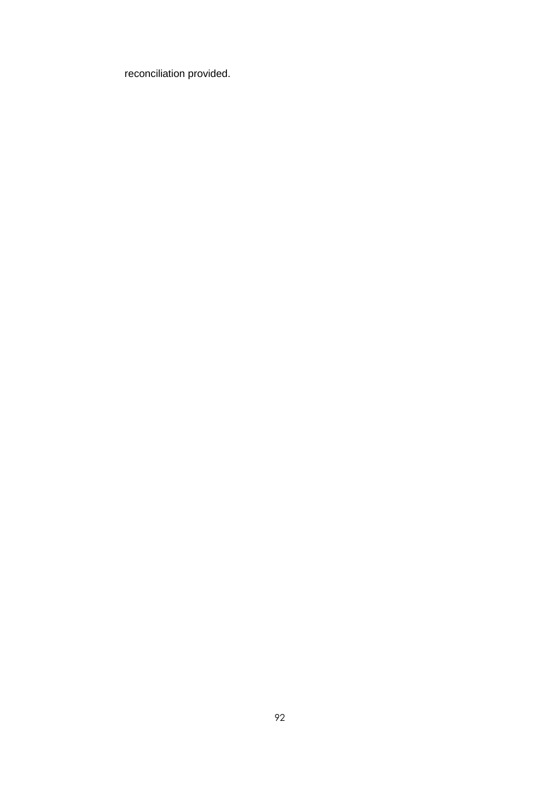reconciliation provided.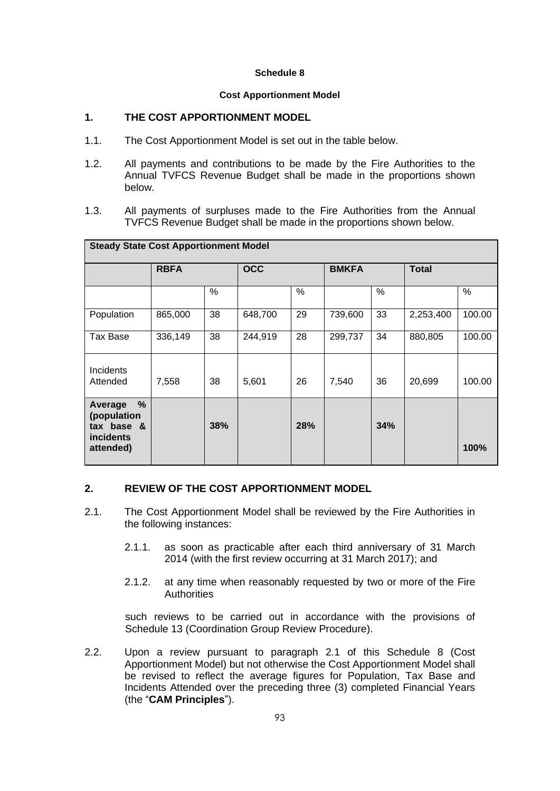#### **Cost Apportionment Model**

## **1. THE COST APPORTIONMENT MODEL**

- 1.1. The Cost Apportionment Model is set out in the table below.
- 1.2. All payments and contributions to be made by the Fire Authorities to the Annual TVFCS Revenue Budget shall be made in the proportions shown below.
- 1.3. All payments of surpluses made to the Fire Authorities from the Annual TVFCS Revenue Budget shall be made in the proportions shown below.

| <b>Steady State Cost Apportionment Model</b>                               |             |     |            |     |              |     |              |        |  |  |  |
|----------------------------------------------------------------------------|-------------|-----|------------|-----|--------------|-----|--------------|--------|--|--|--|
|                                                                            | <b>RBFA</b> |     | <b>OCC</b> |     | <b>BMKFA</b> |     | <b>Total</b> |        |  |  |  |
|                                                                            |             | ℅   |            | ℅   |              | %   |              | ℅      |  |  |  |
| Population                                                                 | 865,000     | 38  | 648,700    | 29  | 739,600      | 33  | 2,253,400    | 100.00 |  |  |  |
| Tax Base                                                                   | 336,149     | 38  | 244,919    | 28  | 299,737      | 34  | 880,805      | 100.00 |  |  |  |
| Incidents<br>Attended                                                      | 7,558       | 38  | 5,601      | 26  | 7,540        | 36  | 20,699       | 100.00 |  |  |  |
| %<br>Average<br>(population<br>tax base &<br><i>incidents</i><br>attended) |             | 38% |            | 28% |              | 34% |              | 100%   |  |  |  |

### **2. REVIEW OF THE COST APPORTIONMENT MODEL**

- 2.1. The Cost Apportionment Model shall be reviewed by the Fire Authorities in the following instances:
	- 2.1.1. as soon as practicable after each third anniversary of 31 March 2014 (with the first review occurring at 31 March 2017); and
	- 2.1.2. at any time when reasonably requested by two or more of the Fire **Authorities**

<span id="page-95-0"></span>such reviews to be carried out in accordance with the provisions of Schedule 13 (Coordination Group Review Procedure).

2.2. Upon a review pursuant to paragraph [2.1](#page-95-0) of this Schedule 8 (Cost Apportionment Model) but not otherwise the Cost Apportionment Model shall be revised to reflect the average figures for Population, Tax Base and Incidents Attended over the preceding three (3) completed Financial Years (the "**CAM Principles**").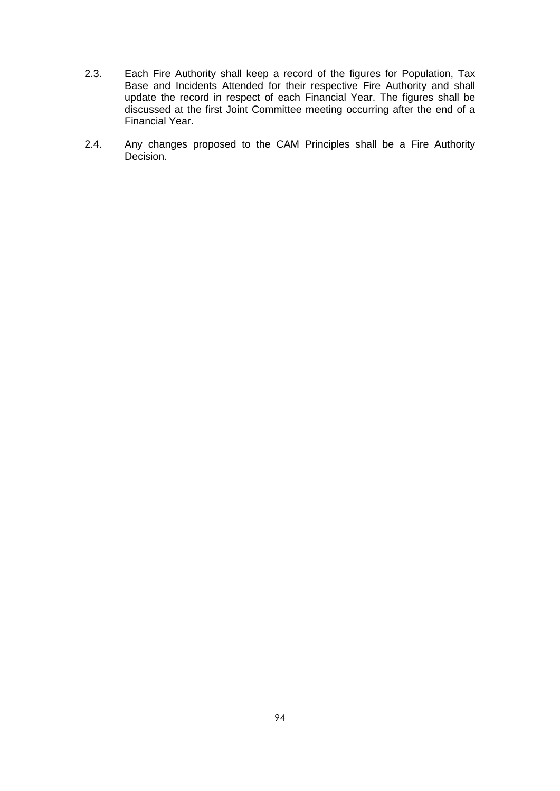- 2.3. Each Fire Authority shall keep a record of the figures for Population, Tax Base and Incidents Attended for their respective Fire Authority and shall update the record in respect of each Financial Year. The figures shall be discussed at the first Joint Committee meeting occurring after the end of a Financial Year.
- 2.4. Any changes proposed to the CAM Principles shall be a Fire Authority Decision.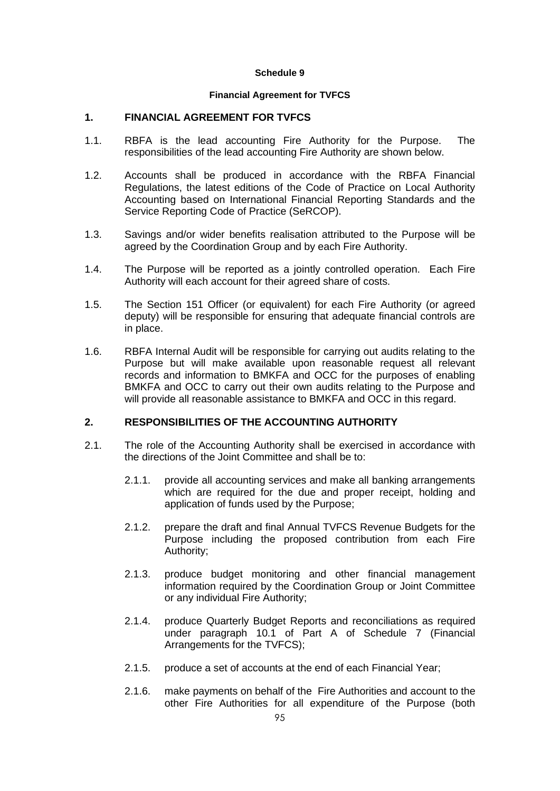#### **Financial Agreement for TVFCS**

### **1. FINANCIAL AGREEMENT FOR TVFCS**

- 1.1. RBFA is the lead accounting Fire Authority for the Purpose. The responsibilities of the lead accounting Fire Authority are shown below.
- 1.2. Accounts shall be produced in accordance with the RBFA Financial Regulations, the latest editions of the Code of Practice on Local Authority Accounting based on International Financial Reporting Standards and the Service Reporting Code of Practice (SeRCOP).
- 1.3. Savings and/or wider benefits realisation attributed to the Purpose will be agreed by the Coordination Group and by each Fire Authority.
- 1.4. The Purpose will be reported as a jointly controlled operation. Each Fire Authority will each account for their agreed share of costs.
- 1.5. The Section 151 Officer (or equivalent) for each Fire Authority (or agreed deputy) will be responsible for ensuring that adequate financial controls are in place.
- 1.6. RBFA Internal Audit will be responsible for carrying out audits relating to the Purpose but will make available upon reasonable request all relevant records and information to BMKFA and OCC for the purposes of enabling BMKFA and OCC to carry out their own audits relating to the Purpose and will provide all reasonable assistance to BMKFA and OCC in this regard.

## **2. RESPONSIBILITIES OF THE ACCOUNTING AUTHORITY**

- 2.1. The role of the Accounting Authority shall be exercised in accordance with the directions of the Joint Committee and shall be to:
	- 2.1.1. provide all accounting services and make all banking arrangements which are required for the due and proper receipt, holding and application of funds used by the Purpose;
	- 2.1.2. prepare the draft and final Annual TVFCS Revenue Budgets for the Purpose including the proposed contribution from each Fire Authority;
	- 2.1.3. produce budget monitoring and other financial management information required by the Coordination Group or Joint Committee or any individual Fire Authority;
	- 2.1.4. produce Quarterly Budget Reports and reconciliations as required under paragraph [10.1](#page-87-3) of Part A of Schedule 7 (Financial Arrangements for the TVFCS);
	- 2.1.5. produce a set of accounts at the end of each Financial Year;
	- 2.1.6. make payments on behalf of the Fire Authorities and account to the other Fire Authorities for all expenditure of the Purpose (both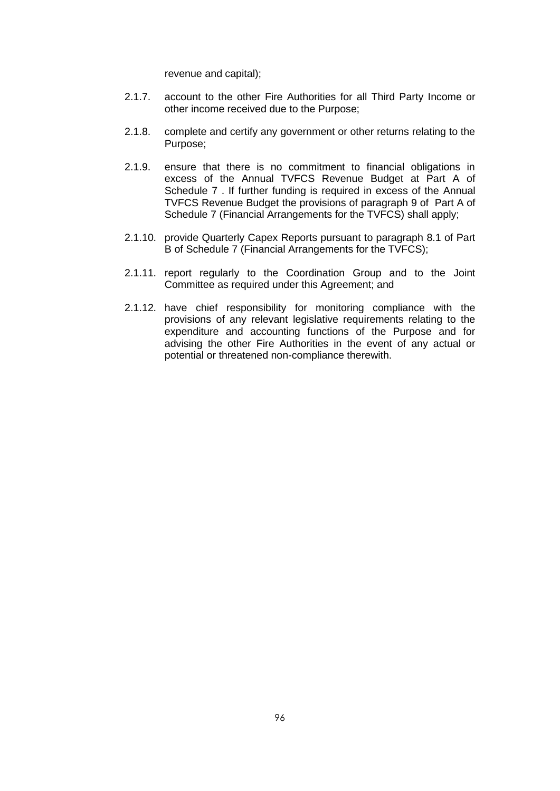revenue and capital);

- 2.1.7. account to the other Fire Authorities for all Third Party Income or other income received due to the Purpose;
- 2.1.8. complete and certify any government or other returns relating to the Purpose;
- 2.1.9. ensure that there is no commitment to financial obligations in excess of the Annual TVFCS Revenue Budget at Part A of Schedule 7 . If further funding is required in excess of the Annual TVFCS Revenue Budget the provisions of paragraph [9](#page-86-2) of Part A of Schedule 7 (Financial Arrangements for the TVFCS) shall apply;
- 2.1.10. provide Quarterly Capex Reports pursuant to paragraph [8.1](#page-93-4) of Part B of Schedule 7 (Financial Arrangements for the TVFCS);
- 2.1.11. report regularly to the Coordination Group and to the Joint Committee as required under this Agreement; and
- 2.1.12. have chief responsibility for monitoring compliance with the provisions of any relevant legislative requirements relating to the expenditure and accounting functions of the Purpose and for advising the other Fire Authorities in the event of any actual or potential or threatened non-compliance therewith.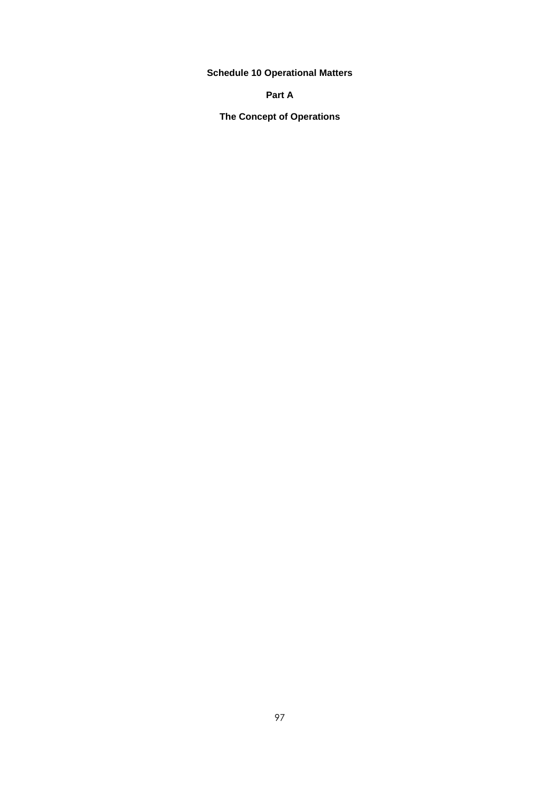**Schedule 10 Operational Matters**

## **Part A**

**The Concept of Operations**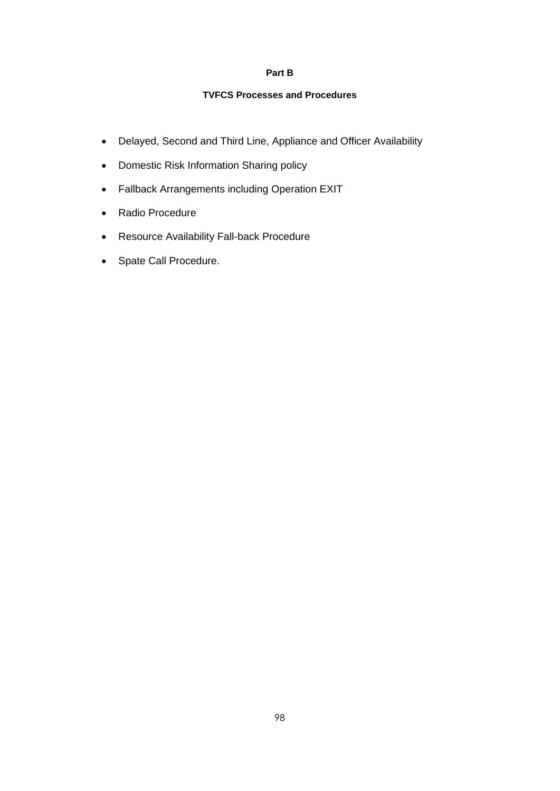### **Part B**

### **TVFCS Processes and Procedures**

- Delayed, Second and Third Line, Appliance and Officer Availability
- Domestic Risk Information Sharing policy
- Fallback Arrangements including Operation EXIT
- Radio Procedure
- Resource Availability Fall-back Procedure
- Spate Call Procedure.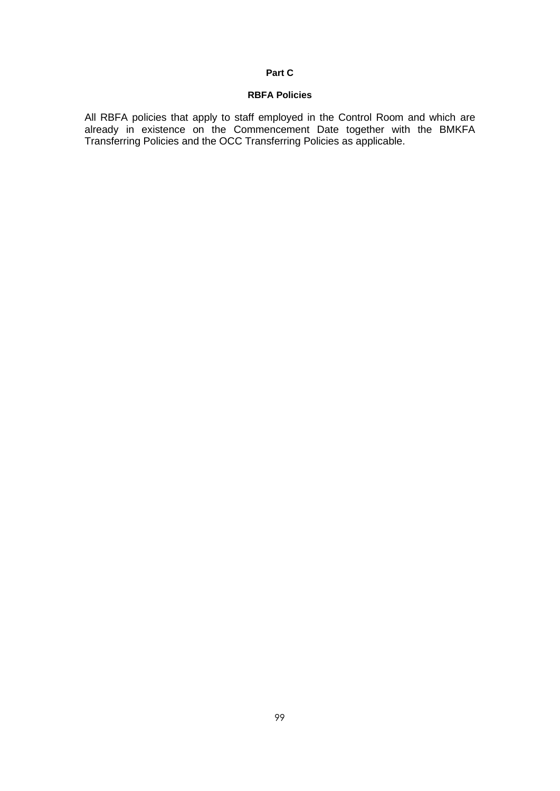### **Part C**

### **RBFA Policies**

All RBFA policies that apply to staff employed in the Control Room and which are already in existence on the Commencement Date together with the BMKFA Transferring Policies and the OCC Transferring Policies as applicable.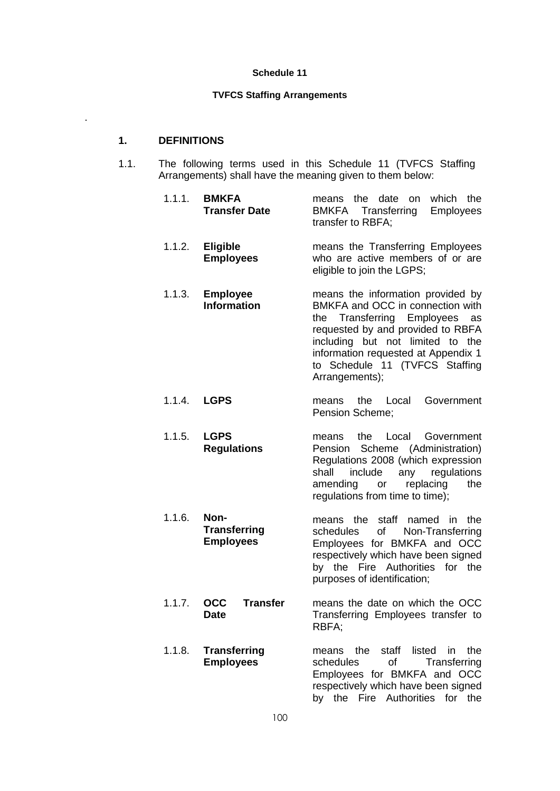#### **TVFCS Staffing Arrangements**

#### **1. DEFINITIONS**

.

- 1.1. The following terms used in this Schedule 11 (TVFCS Staffing Arrangements) shall have the meaning given to them below:
	- 1.1.1. **BMKFA Transfer Date** means the date on which the<br>BMKFA Transferring Employees Transferring transfer to RBFA;
		- 1.1.2. **Eligible Employees** means the Transferring Employees who are active members of or are eligible to join the LGPS;
		- 1.1.3. **Employee Information** means the information provided by BMKFA and OCC in connection with the Transferring Employees as requested by and provided to RBFA including but not limited to the information requested at Appendix 1 to Schedule 11 (TVFCS Staffing Arrangements);
		- 1.1.4. **LGPS** means the Local Government Pension Scheme;
		- 1.1.5. **LGPS Regulations** means the Local Government Pension Scheme (Administration) Regulations 2008 (which expression shall include any regulations amending or replacing the regulations from time to time);
		- 1.1.6. **Non-Transferring Employees** means the staff named in the schedules of Non-Transferring Employees for BMKFA and OCC respectively which have been signed by the Fire Authorities for the

purposes of identification;

by the Fire Authorities for the

- 1.1.7. **OCC Transfer Date** means the date on which the OCC Transferring Employees transfer to RBFA;
- 1.1.8. **Transferring Employees** means the staff listed in the schedules of Transferring Employees for BMKFA and OCC respectively which have been signed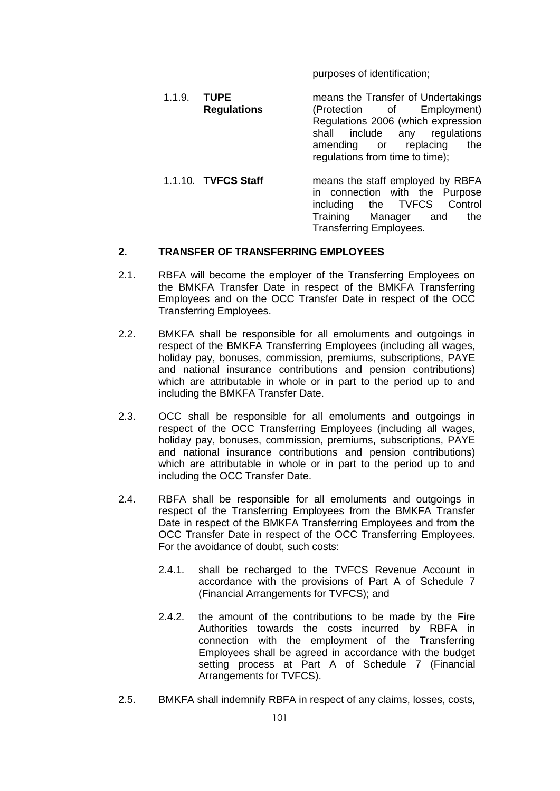purposes of identification;

- 1.1.9. **TUPE Regulations** means the Transfer of Undertakings<br>(Protection of Employment) Employment) Regulations 2006 (which expression<br>shall include any regulations any regulations amending or replacing the regulations from time to time);
	- 1.1.10. **TVFCS Staff** means the staff employed by RBFA in connection with the Purpose<br>including the TVFCS Control including the TVFCS C<br>Training Manager and Training Manager and the Transferring Employees.

## **2. TRANSFER OF TRANSFERRING EMPLOYEES**

- 2.1. RBFA will become the employer of the Transferring Employees on the BMKFA Transfer Date in respect of the BMKFA Transferring Employees and on the OCC Transfer Date in respect of the OCC Transferring Employees.
- 2.2. BMKFA shall be responsible for all emoluments and outgoings in respect of the BMKFA Transferring Employees (including all wages, holiday pay, bonuses, commission, premiums, subscriptions, PAYE and national insurance contributions and pension contributions) which are attributable in whole or in part to the period up to and including the BMKFA Transfer Date.
- 2.3. OCC shall be responsible for all emoluments and outgoings in respect of the OCC Transferring Employees (including all wages, holiday pay, bonuses, commission, premiums, subscriptions, PAYE and national insurance contributions and pension contributions) which are attributable in whole or in part to the period up to and including the OCC Transfer Date.
- 2.4. RBFA shall be responsible for all emoluments and outgoings in respect of the Transferring Employees from the BMKFA Transfer Date in respect of the BMKFA Transferring Employees and from the OCC Transfer Date in respect of the OCC Transferring Employees. For the avoidance of doubt, such costs:
	- 2.4.1. shall be recharged to the TVFCS Revenue Account in accordance with the provisions of Part A of Schedule 7 (Financial Arrangements for TVFCS); and
	- 2.4.2. the amount of the contributions to be made by the Fire Authorities towards the costs incurred by RBFA in connection with the employment of the Transferring Employees shall be agreed in accordance with the budget setting process at Part A of Schedule 7 (Financial Arrangements for TVFCS).
- 2.5. BMKFA shall indemnify RBFA in respect of any claims, losses, costs,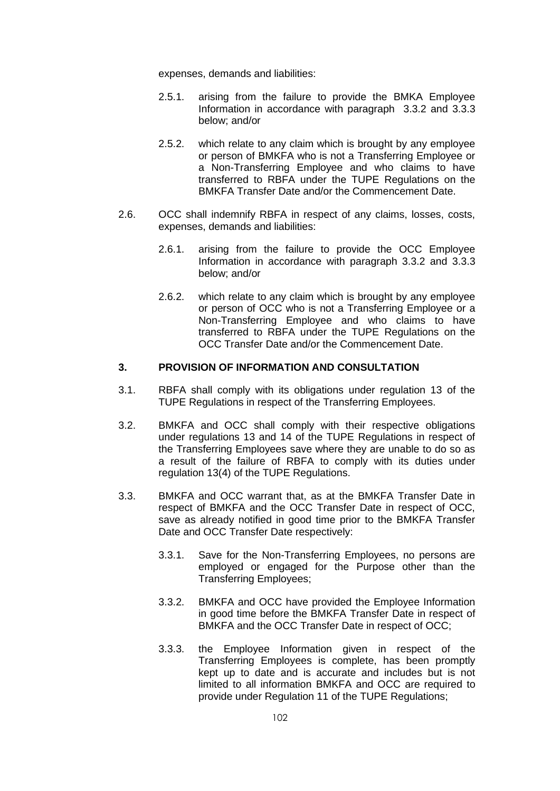expenses, demands and liabilities:

- 2.5.1. arising from the failure to provide the BMKA Employee Information in accordance with paragraph [3.3.2](#page-104-0) and [3.3.3](#page-104-1) below; and/or
- 2.5.2. which relate to any claim which is brought by any employee or person of BMKFA who is not a Transferring Employee or a Non-Transferring Employee and who claims to have transferred to RBFA under the TUPE Regulations on the BMKFA Transfer Date and/or the Commencement Date.
- 2.6. OCC shall indemnify RBFA in respect of any claims, losses, costs, expenses, demands and liabilities:
	- 2.6.1. arising from the failure to provide the OCC Employee Information in accordance with paragraph [3.3.2](#page-104-0) and [3.3.3](#page-104-1) below; and/or
	- 2.6.2. which relate to any claim which is brought by any employee or person of OCC who is not a Transferring Employee or a Non-Transferring Employee and who claims to have transferred to RBFA under the TUPE Regulations on the OCC Transfer Date and/or the Commencement Date.

## **3. PROVISION OF INFORMATION AND CONSULTATION**

- 3.1. RBFA shall comply with its obligations under regulation 13 of the TUPE Regulations in respect of the Transferring Employees.
- 3.2. BMKFA and OCC shall comply with their respective obligations under regulations 13 and 14 of the TUPE Regulations in respect of the Transferring Employees save where they are unable to do so as a result of the failure of RBFA to comply with its duties under regulation 13(4) of the TUPE Regulations.
- <span id="page-104-1"></span><span id="page-104-0"></span>3.3. BMKFA and OCC warrant that, as at the BMKFA Transfer Date in respect of BMKFA and the OCC Transfer Date in respect of OCC, save as already notified in good time prior to the BMKFA Transfer Date and OCC Transfer Date respectively:
	- 3.3.1. Save for the Non-Transferring Employees, no persons are employed or engaged for the Purpose other than the Transferring Employees;
	- 3.3.2. BMKFA and OCC have provided the Employee Information in good time before the BMKFA Transfer Date in respect of BMKFA and the OCC Transfer Date in respect of OCC;
	- 3.3.3. the Employee Information given in respect of the Transferring Employees is complete, has been promptly kept up to date and is accurate and includes but is not limited to all information BMKFA and OCC are required to provide under Regulation 11 of the TUPE Regulations;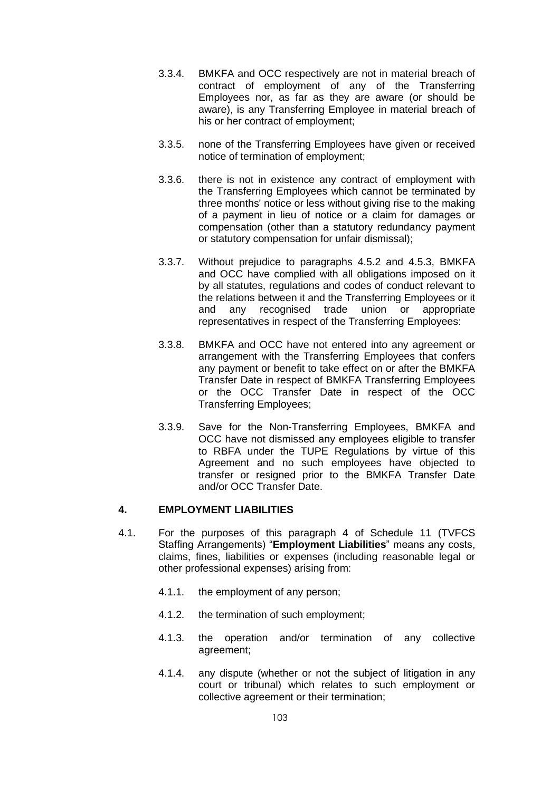- 3.3.4. BMKFA and OCC respectively are not in material breach of contract of employment of any of the Transferring Employees nor, as far as they are aware (or should be aware), is any Transferring Employee in material breach of his or her contract of employment;
- 3.3.5. none of the Transferring Employees have given or received notice of termination of employment;
- 3.3.6. there is not in existence any contract of employment with the Transferring Employees which cannot be terminated by three months' notice or less without giving rise to the making of a payment in lieu of notice or a claim for damages or compensation (other than a statutory redundancy payment or statutory compensation for unfair dismissal);
- 3.3.7. Without prejudice to paragraphs [4.5.2](#page-106-0) and [4.5.3,](#page-106-1) BMKFA and OCC have complied with all obligations imposed on it by all statutes, regulations and codes of conduct relevant to the relations between it and the Transferring Employees or it and any recognised trade union or appropriate representatives in respect of the Transferring Employees:
- 3.3.8. BMKFA and OCC have not entered into any agreement or arrangement with the Transferring Employees that confers any payment or benefit to take effect on or after the BMKFA Transfer Date in respect of BMKFA Transferring Employees or the OCC Transfer Date in respect of the OCC Transferring Employees;
- 3.3.9. Save for the Non-Transferring Employees, BMKFA and OCC have not dismissed any employees eligible to transfer to RBFA under the TUPE Regulations by virtue of this Agreement and no such employees have objected to transfer or resigned prior to the BMKFA Transfer Date and/or OCC Transfer Date.

## <span id="page-105-0"></span>**4. EMPLOYMENT LIABILITIES**

- 4.1. For the purposes of this paragraph [4](#page-105-0) of Schedule 11 (TVFCS Staffing Arrangements) "**Employment Liabilities**" means any costs, claims, fines, liabilities or expenses (including reasonable legal or other professional expenses) arising from:
	- 4.1.1. the employment of any person;
	- 4.1.2. the termination of such employment;
	- 4.1.3. the operation and/or termination of any collective agreement;
	- 4.1.4. any dispute (whether or not the subject of litigation in any court or tribunal) which relates to such employment or collective agreement or their termination;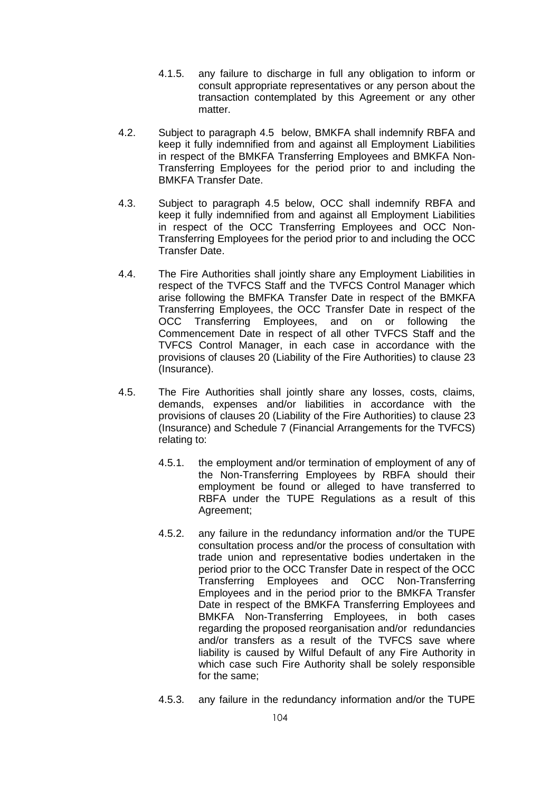- 4.1.5. any failure to discharge in full any obligation to inform or consult appropriate representatives or any person about the transaction contemplated by this Agreement or any other matter.
- 4.2. Subject to paragraph [4.5](#page-106-2) below, BMKFA shall indemnify RBFA and keep it fully indemnified from and against all Employment Liabilities in respect of the BMKFA Transferring Employees and BMKFA Non-Transferring Employees for the period prior to and including the BMKFA Transfer Date.
- 4.3. Subject to paragraph [4.5](#page-106-2) below, OCC shall indemnify RBFA and keep it fully indemnified from and against all Employment Liabilities in respect of the OCC Transferring Employees and OCC Non-Transferring Employees for the period prior to and including the OCC Transfer Date.
- 4.4. The Fire Authorities shall jointly share any Employment Liabilities in respect of the TVFCS Staff and the TVFCS Control Manager which arise following the BMFKA Transfer Date in respect of the BMKFA Transferring Employees, the OCC Transfer Date in respect of the OCC Transferring Employees, and on or following the Commencement Date in respect of all other TVFCS Staff and the TVFCS Control Manager, in each case in accordance with the provisions of clauses [20](#page-26-0) (Liability of the Fire Authorities) to clause [23](#page-31-0) (Insurance).
- <span id="page-106-2"></span><span id="page-106-1"></span><span id="page-106-0"></span>4.5. The Fire Authorities shall jointly share any losses, costs, claims, demands, expenses and/or liabilities in accordance with the provisions of clauses [20](#page-26-0) (Liability of the Fire Authorities) to clause [23](#page-31-0) (Insurance) and Schedule 7 (Financial Arrangements for the TVFCS) relating to:
	- 4.5.1. the employment and/or termination of employment of any of the Non-Transferring Employees by RBFA should their employment be found or alleged to have transferred to RBFA under the TUPE Regulations as a result of this Agreement;
	- 4.5.2. any failure in the redundancy information and/or the TUPE consultation process and/or the process of consultation with trade union and representative bodies undertaken in the period prior to the OCC Transfer Date in respect of the OCC Transferring Employees and OCC Non-Transferring Employees and in the period prior to the BMKFA Transfer Date in respect of the BMKFA Transferring Employees and BMKFA Non-Transferring Employees, in both cases regarding the proposed reorganisation and/or redundancies and/or transfers as a result of the TVFCS save where liability is caused by Wilful Default of any Fire Authority in which case such Fire Authority shall be solely responsible for the same;
	- 4.5.3. any failure in the redundancy information and/or the TUPE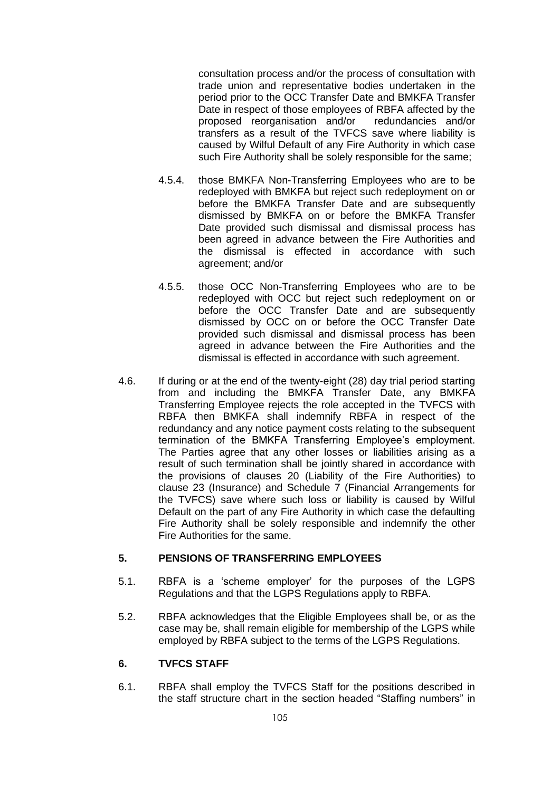consultation process and/or the process of consultation with trade union and representative bodies undertaken in the period prior to the OCC Transfer Date and BMKFA Transfer Date in respect of those employees of RBFA affected by the proposed reorganisation and/or redundancies and/or transfers as a result of the TVFCS save where liability is caused by Wilful Default of any Fire Authority in which case such Fire Authority shall be solely responsible for the same;

- 4.5.4. those BMKFA Non-Transferring Employees who are to be redeployed with BMKFA but reject such redeployment on or before the BMKFA Transfer Date and are subsequently dismissed by BMKFA on or before the BMKFA Transfer Date provided such dismissal and dismissal process has been agreed in advance between the Fire Authorities and the dismissal is effected in accordance with such agreement; and/or
- 4.5.5. those OCC Non-Transferring Employees who are to be redeployed with OCC but reject such redeployment on or before the OCC Transfer Date and are subsequently dismissed by OCC on or before the OCC Transfer Date provided such dismissal and dismissal process has been agreed in advance between the Fire Authorities and the dismissal is effected in accordance with such agreement.
- 4.6. If during or at the end of the twenty-eight (28) day trial period starting from and including the BMKFA Transfer Date, any BMKFA Transferring Employee rejects the role accepted in the TVFCS with RBFA then BMKFA shall indemnify RBFA in respect of the redundancy and any notice payment costs relating to the subsequent termination of the BMKFA Transferring Employee's employment. The Parties agree that any other losses or liabilities arising as a result of such termination shall be jointly shared in accordance with the provisions of clauses [20](#page-26-0) (Liability of the Fire Authorities) to clause [23](#page-31-0) (Insurance) and Schedule 7 (Financial Arrangements for the TVFCS) save where such loss or liability is caused by Wilful Default on the part of any Fire Authority in which case the defaulting Fire Authority shall be solely responsible and indemnify the other Fire Authorities for the same.

## **5. PENSIONS OF TRANSFERRING EMPLOYEES**

- 5.1. RBFA is a 'scheme employer' for the purposes of the LGPS Regulations and that the LGPS Regulations apply to RBFA.
- 5.2. RBFA acknowledges that the Eligible Employees shall be, or as the case may be, shall remain eligible for membership of the LGPS while employed by RBFA subject to the terms of the LGPS Regulations.

## **6. TVFCS STAFF**

6.1. RBFA shall employ the TVFCS Staff for the positions described in the staff structure chart in the section headed "Staffing numbers" in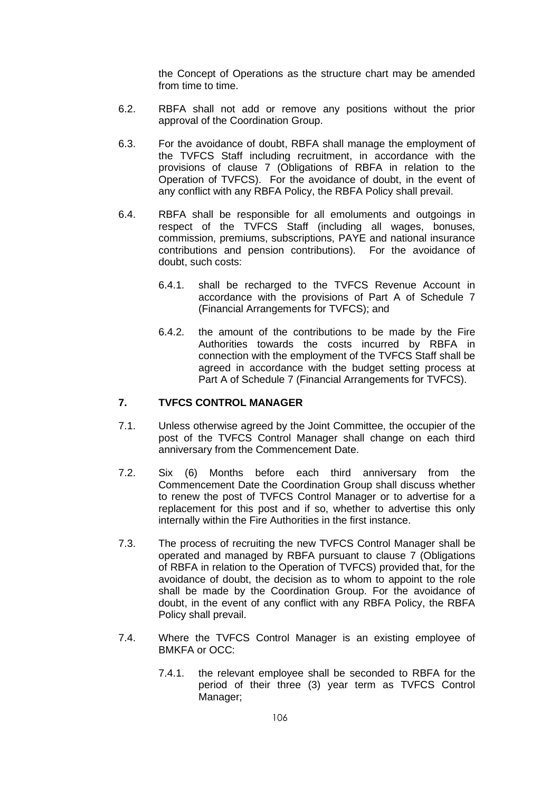the Concept of Operations as the structure chart may be amended from time to time.

- 6.2. RBFA shall not add or remove any positions without the prior approval of the Coordination Group.
- 6.3. For the avoidance of doubt, RBFA shall manage the employment of the TVFCS Staff including recruitment, in accordance with the provisions of clause [7](#page-8-0) (Obligations of RBFA in relation to the Operation of TVFCS). For the avoidance of doubt, in the event of any conflict with any RBFA Policy, the RBFA Policy shall prevail.
- 6.4. RBFA shall be responsible for all emoluments and outgoings in respect of the TVFCS Staff (including all wages, bonuses, commission, premiums, subscriptions, PAYE and national insurance contributions and pension contributions). For the avoidance of doubt, such costs:
	- 6.4.1. shall be recharged to the TVFCS Revenue Account in accordance with the provisions of Part A of Schedule 7 (Financial Arrangements for TVFCS); and
	- 6.4.2. the amount of the contributions to be made by the Fire Authorities towards the costs incurred by RBFA in connection with the employment of the TVFCS Staff shall be agreed in accordance with the budget setting process at Part A of Schedule 7 (Financial Arrangements for TVFCS).

# **7. TVFCS CONTROL MANAGER**

- 7.1. Unless otherwise agreed by the Joint Committee, the occupier of the post of the TVFCS Control Manager shall change on each third anniversary from the Commencement Date.
- 7.2. Six (6) Months before each third anniversary from the Commencement Date the Coordination Group shall discuss whether to renew the post of TVFCS Control Manager or to advertise for a replacement for this post and if so, whether to advertise this only internally within the Fire Authorities in the first instance.
- 7.3. The process of recruiting the new TVFCS Control Manager shall be operated and managed by RBFA pursuant to clause [7](#page-8-0) (Obligations of RBFA in relation to the Operation of TVFCS) provided that, for the avoidance of doubt, the decision as to whom to appoint to the role shall be made by the Coordination Group. For the avoidance of doubt, in the event of any conflict with any RBFA Policy, the RBFA Policy shall prevail.
- 7.4. Where the TVFCS Control Manager is an existing employee of BMKFA or OCC:
	- 7.4.1. the relevant employee shall be seconded to RBFA for the period of their three (3) year term as TVFCS Control Manager;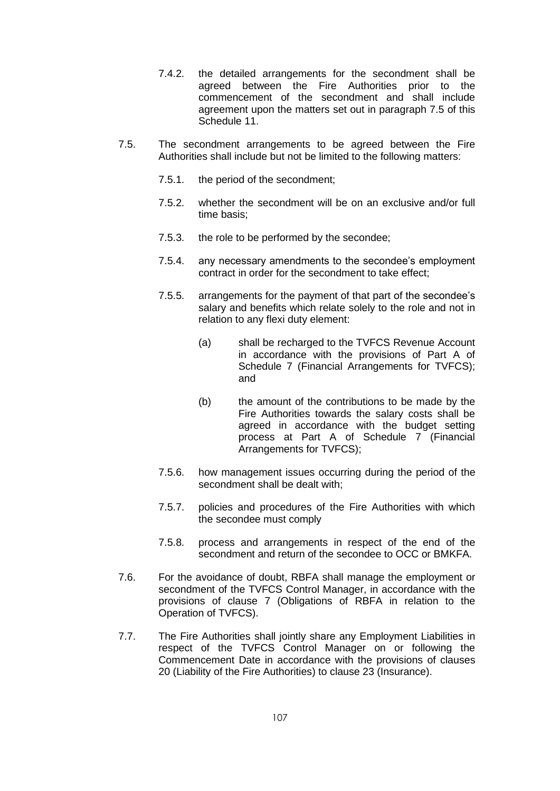- 7.4.2. the detailed arrangements for the secondment shall be agreed between the Fire Authorities prior to the commencement of the secondment and shall include agreement upon the matters set out in paragraph [7.5](#page-109-0) of this Schedule 11.
- <span id="page-109-0"></span>7.5. The secondment arrangements to be agreed between the Fire Authorities shall include but not be limited to the following matters:
	- 7.5.1. the period of the secondment;
	- 7.5.2. whether the secondment will be on an exclusive and/or full time basis;
	- 7.5.3. the role to be performed by the secondee;
	- 7.5.4. any necessary amendments to the secondee's employment contract in order for the secondment to take effect;
	- 7.5.5. arrangements for the payment of that part of the secondee's salary and benefits which relate solely to the role and not in relation to any flexi duty element:
		- (a) shall be recharged to the TVFCS Revenue Account in accordance with the provisions of Part A of Schedule 7 (Financial Arrangements for TVFCS); and
		- (b) the amount of the contributions to be made by the Fire Authorities towards the salary costs shall be agreed in accordance with the budget setting process at Part A of Schedule 7 (Financial Arrangements for TVFCS);
	- 7.5.6. how management issues occurring during the period of the secondment shall be dealt with;
	- 7.5.7. policies and procedures of the Fire Authorities with which the secondee must comply
	- 7.5.8. process and arrangements in respect of the end of the secondment and return of the secondee to OCC or BMKFA.
- 7.6. For the avoidance of doubt, RBFA shall manage the employment or secondment of the TVFCS Control Manager, in accordance with the provisions of clause [7](#page-8-0) (Obligations of RBFA in relation to the Operation of TVFCS).
- 7.7. The Fire Authorities shall jointly share any Employment Liabilities in respect of the TVFCS Control Manager on or following the Commencement Date in accordance with the provisions of clauses [20](#page-26-0) (Liability of the Fire Authorities) to clause [23](#page-31-0) (Insurance).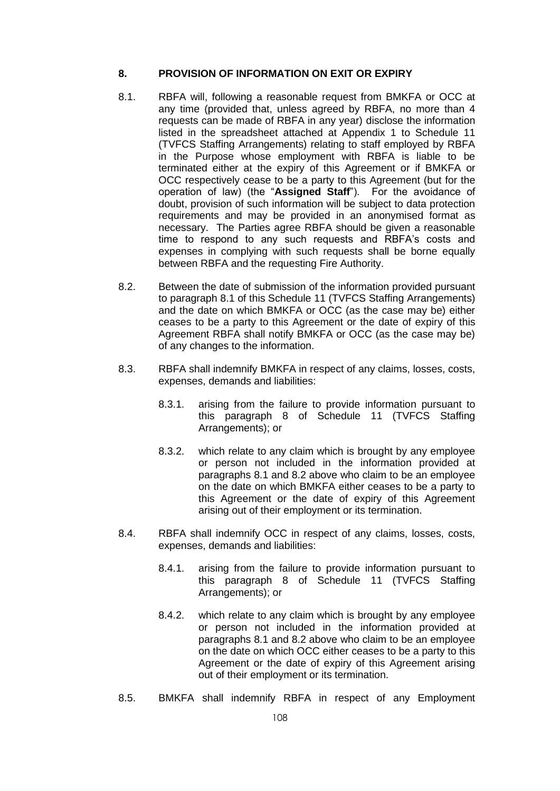## <span id="page-110-1"></span>**8. PROVISION OF INFORMATION ON EXIT OR EXPIRY**

- <span id="page-110-0"></span>8.1. RBFA will, following a reasonable request from BMKFA or OCC at any time (provided that, unless agreed by RBFA, no more than 4 requests can be made of RBFA in any year) disclose the information listed in the spreadsheet attached at Appendix 1 to Schedule 11 (TVFCS Staffing Arrangements) relating to staff employed by RBFA in the Purpose whose employment with RBFA is liable to be terminated either at the expiry of this Agreement or if BMKFA or OCC respectively cease to be a party to this Agreement (but for the operation of law) (the "**Assigned Staff**"). For the avoidance of doubt, provision of such information will be subject to data protection requirements and may be provided in an anonymised format as necessary. The Parties agree RBFA should be given a reasonable time to respond to any such requests and RBFA's costs and expenses in complying with such requests shall be borne equally between RBFA and the requesting Fire Authority.
- <span id="page-110-2"></span>8.2. Between the date of submission of the information provided pursuant to paragraph [8.1](#page-110-0) of this Schedule 11 (TVFCS Staffing Arrangements) and the date on which BMKFA or OCC (as the case may be) either ceases to be a party to this Agreement or the date of expiry of this Agreement RBFA shall notify BMKFA or OCC (as the case may be) of any changes to the information.
- 8.3. RBFA shall indemnify BMKFA in respect of any claims, losses, costs, expenses, demands and liabilities:
	- 8.3.1. arising from the failure to provide information pursuant to this paragraph [8](#page-110-1) of Schedule 11 (TVFCS Staffing Arrangements); or
	- 8.3.2. which relate to any claim which is brought by any employee or person not included in the information provided at paragraphs [8.1](#page-110-0) and [8.2](#page-110-2) above who claim to be an employee on the date on which BMKFA either ceases to be a party to this Agreement or the date of expiry of this Agreement arising out of their employment or its termination.
- 8.4. RBFA shall indemnify OCC in respect of any claims, losses, costs, expenses, demands and liabilities:
	- 8.4.1. arising from the failure to provide information pursuant to this paragraph [8](#page-110-1) of Schedule 11 (TVFCS Staffing Arrangements); or
	- 8.4.2. which relate to any claim which is brought by any employee or person not included in the information provided at paragraphs [8.1](#page-110-0) and [8.2](#page-110-2) above who claim to be an employee on the date on which OCC either ceases to be a party to this Agreement or the date of expiry of this Agreement arising out of their employment or its termination.
- 8.5. BMKFA shall indemnify RBFA in respect of any Employment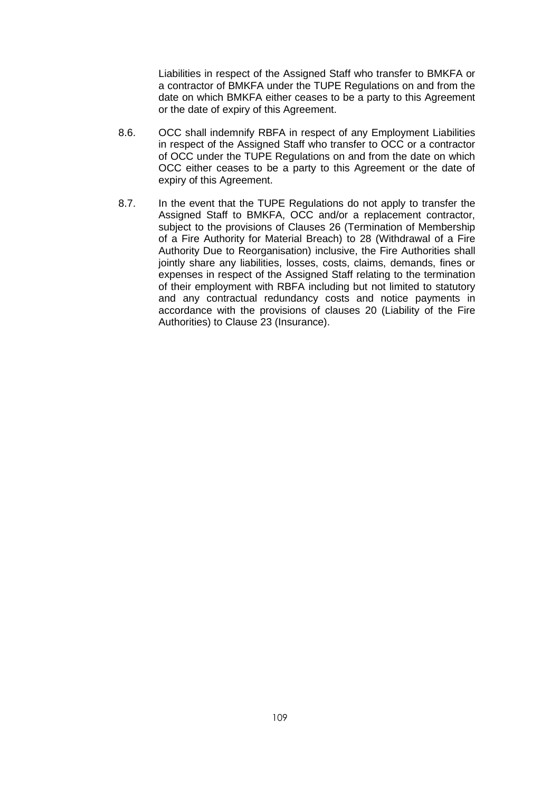Liabilities in respect of the Assigned Staff who transfer to BMKFA or a contractor of BMKFA under the TUPE Regulations on and from the date on which BMKFA either ceases to be a party to this Agreement or the date of expiry of this Agreement.

- 8.6. OCC shall indemnify RBFA in respect of any Employment Liabilities in respect of the Assigned Staff who transfer to OCC or a contractor of OCC under the TUPE Regulations on and from the date on which OCC either ceases to be a party to this Agreement or the date of expiry of this Agreement.
- 8.7. In the event that the TUPE Regulations do not apply to transfer the Assigned Staff to BMKFA, OCC and/or a replacement contractor, subject to the provisions of Clauses [26](#page-35-0) (Termination of Membership of a Fire Authority for Material Breach) to [28](#page-40-0) (Withdrawal of a Fire Authority Due to Reorganisation) inclusive, the Fire Authorities shall jointly share any liabilities, losses, costs, claims, demands, fines or expenses in respect of the Assigned Staff relating to the termination of their employment with RBFA including but not limited to statutory and any contractual redundancy costs and notice payments in accordance with the provisions of clauses [20](#page-26-0) (Liability of the Fire Authorities) to Clause [23](#page-31-0) (Insurance).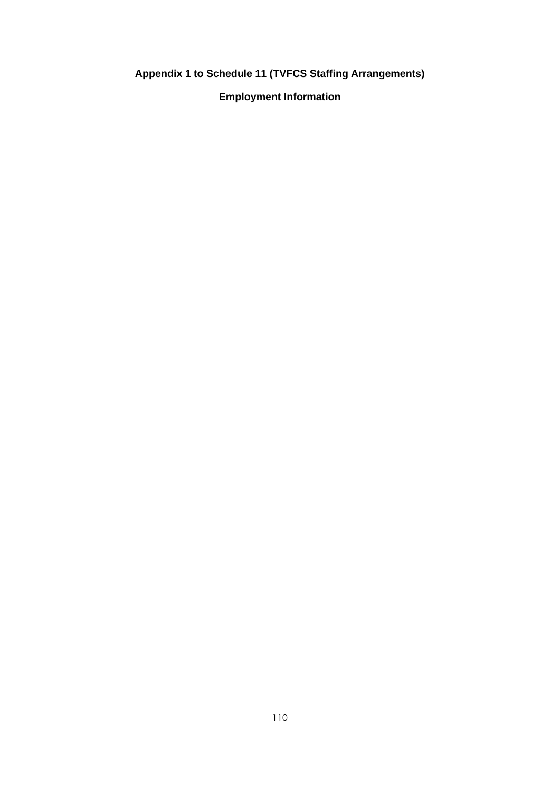**Appendix 1 to Schedule 11 (TVFCS Staffing Arrangements)**

**Employment Information**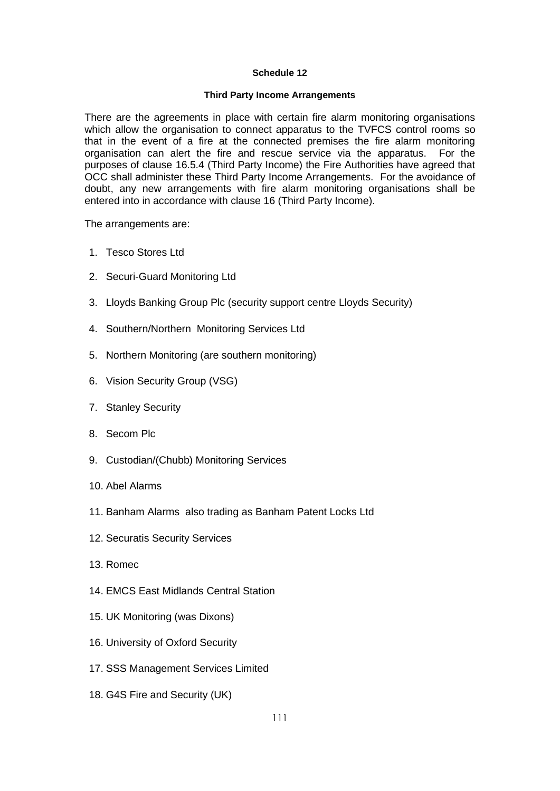#### **Schedule 12**

### **Third Party Income Arrangements**

There are the agreements in place with certain fire alarm monitoring organisations which allow the organisation to connect apparatus to the TVFCS control rooms so that in the event of a fire at the connected premises the fire alarm monitoring organisation can alert the fire and rescue service via the apparatus. For the purposes of clause [16.5.4](#page-20-0) (Third Party Income) the Fire Authorities have agreed that OCC shall administer these Third Party Income Arrangements. For the avoidance of doubt, any new arrangements with fire alarm monitoring organisations shall be entered into in accordance with clause [16](#page-19-0) (Third Party Income).

The arrangements are:

- 1. Tesco Stores Ltd
- 2. Securi-Guard Monitoring Ltd
- 3. Lloyds Banking Group Plc (security support centre Lloyds Security)
- 4. Southern/Northern Monitoring Services Ltd
- 5. Northern Monitoring (are southern monitoring)
- 6. Vision Security Group (VSG)
- 7. Stanley Security
- 8. Secom Plc
- 9. Custodian/(Chubb) Monitoring Services
- 10. Abel Alarms
- 11. Banham Alarms also trading as Banham Patent Locks Ltd
- 12. Securatis Security Services
- 13. Romec
- 14. EMCS East Midlands Central Station
- 15. UK Monitoring (was Dixons)
- 16. University of Oxford Security
- 17. SSS Management Services Limited
- 18. G4S Fire and Security (UK)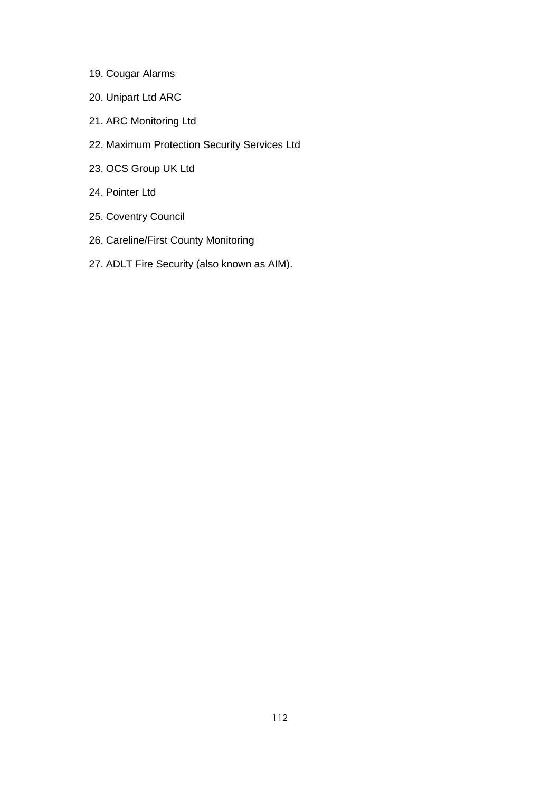- 19. Cougar Alarms
- 20. Unipart Ltd ARC
- 21. ARC Monitoring Ltd
- 22. Maximum Protection Security Services Ltd
- 23. OCS Group UK Ltd
- 24. Pointer Ltd
- 25. Coventry Council
- 26. Careline/First County Monitoring
- 27. ADLT Fire Security (also known as AIM).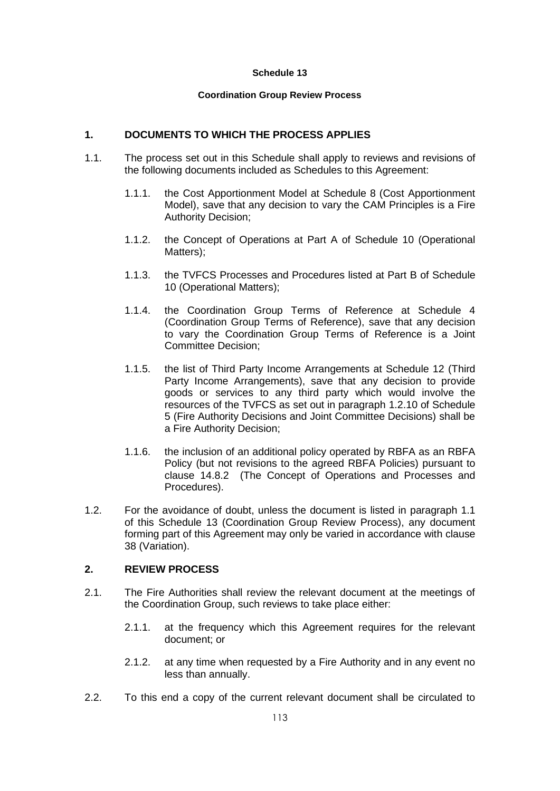### **Schedule 13**

### **Coordination Group Review Process**

# **1. DOCUMENTS TO WHICH THE PROCESS APPLIES**

- <span id="page-115-0"></span>1.1. The process set out in this Schedule shall apply to reviews and revisions of the following documents included as Schedules to this Agreement:
	- 1.1.1. the Cost Apportionment Model at Schedule 8 (Cost Apportionment Model), save that any decision to vary the CAM Principles is a Fire Authority Decision;
	- 1.1.2. the Concept of Operations at Part A of Schedule 10 (Operational Matters);
	- 1.1.3. the TVFCS Processes and Procedures listed at Part B of Schedule 10 (Operational Matters);
	- 1.1.4. the Coordination Group Terms of Reference at Schedule 4 (Coordination Group Terms of Reference), save that any decision to vary the Coordination Group Terms of Reference is a Joint Committee Decision;
	- 1.1.5. the list of Third Party Income Arrangements at Schedule 12 (Third Party Income Arrangements), save that any decision to provide goods or services to any third party which would involve the resources of the TVFCS as set out in paragraph [1.2.10](#page-77-0) of Schedule 5 (Fire Authority Decisions and Joint Committee Decisions) shall be a Fire Authority Decision;
	- 1.1.6. the inclusion of an additional policy operated by RBFA as an RBFA Policy (but not revisions to the agreed RBFA Policies) pursuant to clause [14.8.2](#page-18-0) (The Concept of Operations and Processes and Procedures).
- 1.2. For the avoidance of doubt, unless the document is listed in paragraph [1.1](#page-115-0) of this Schedule 13 (Coordination Group Review Process), any document forming part of this Agreement may only be varied in accordance with clause [38](#page-46-0) (Variation).

## **2. REVIEW PROCESS**

- 2.1. The Fire Authorities shall review the relevant document at the meetings of the Coordination Group, such reviews to take place either:
	- 2.1.1. at the frequency which this Agreement requires for the relevant document; or
	- 2.1.2. at any time when requested by a Fire Authority and in any event no less than annually.
- 2.2. To this end a copy of the current relevant document shall be circulated to